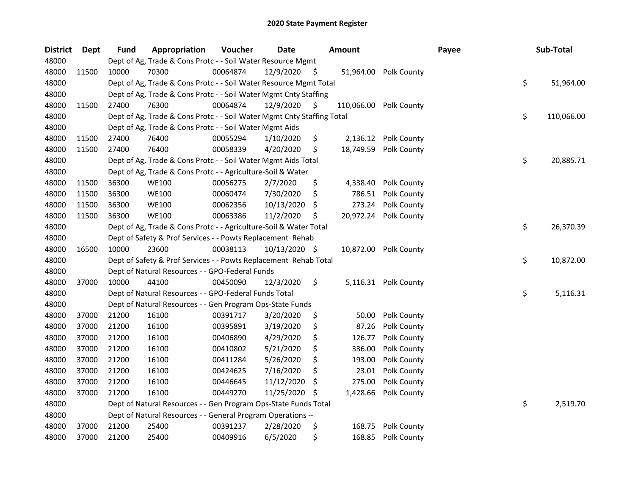| <b>District</b> | Dept  | <b>Fund</b> | Appropriation                                                          | Voucher  | <b>Date</b>   |     | <b>Amount</b> |                      | Payee | Sub-Total        |
|-----------------|-------|-------------|------------------------------------------------------------------------|----------|---------------|-----|---------------|----------------------|-------|------------------|
| 48000           |       |             | Dept of Ag, Trade & Cons Protc - - Soil Water Resource Mgmt            |          |               |     |               |                      |       |                  |
| 48000           | 11500 | 10000       | 70300                                                                  | 00064874 | 12/9/2020     | -S  | 51,964.00     | Polk County          |       |                  |
| 48000           |       |             | Dept of Ag, Trade & Cons Protc - - Soil Water Resource Mgmt Total      |          |               |     |               |                      |       | \$<br>51,964.00  |
| 48000           |       |             | Dept of Ag, Trade & Cons Protc - - Soil Water Mgmt Cnty Staffing       |          |               |     |               |                      |       |                  |
| 48000           | 11500 | 27400       | 76300                                                                  | 00064874 | 12/9/2020     | \$. | 110,066.00    | Polk County          |       |                  |
| 48000           |       |             | Dept of Ag, Trade & Cons Protc - - Soil Water Mgmt Cnty Staffing Total |          |               |     |               |                      |       | \$<br>110,066.00 |
| 48000           |       |             | Dept of Ag, Trade & Cons Protc - - Soil Water Mgmt Aids                |          |               |     |               |                      |       |                  |
| 48000           | 11500 | 27400       | 76400                                                                  | 00055294 | 1/10/2020     | \$  | 2,136.12      | <b>Polk County</b>   |       |                  |
| 48000           | 11500 | 27400       | 76400                                                                  | 00058339 | 4/20/2020     | \$  | 18,749.59     | Polk County          |       |                  |
| 48000           |       |             | Dept of Ag, Trade & Cons Protc - - Soil Water Mgmt Aids Total          |          |               |     |               |                      |       | \$<br>20,885.71  |
| 48000           |       |             | Dept of Ag, Trade & Cons Protc - - Agriculture-Soil & Water            |          |               |     |               |                      |       |                  |
| 48000           | 11500 | 36300       | <b>WE100</b>                                                           | 00056275 | 2/7/2020      | \$  | 4,338.40      | Polk County          |       |                  |
| 48000           | 11500 | 36300       | <b>WE100</b>                                                           | 00060474 | 7/30/2020     | \$  | 786.51        | Polk County          |       |                  |
| 48000           | 11500 | 36300       | <b>WE100</b>                                                           | 00062356 | 10/13/2020    | \$  | 273.24        | Polk County          |       |                  |
| 48000           | 11500 | 36300       | <b>WE100</b>                                                           | 00063386 | 11/2/2020     | S   | 20,972.24     | Polk County          |       |                  |
| 48000           |       |             | Dept of Ag, Trade & Cons Protc - - Agriculture-Soil & Water Total      |          |               |     |               |                      |       | \$<br>26,370.39  |
| 48000           |       |             | Dept of Safety & Prof Services - - Powts Replacement Rehab             |          |               |     |               |                      |       |                  |
| 48000           | 16500 | 10000       | 23600                                                                  | 00038113 | 10/13/2020 \$ |     | 10,872.00     | Polk County          |       |                  |
| 48000           |       |             | Dept of Safety & Prof Services - - Powts Replacement Rehab Total       |          |               |     |               |                      |       | \$<br>10,872.00  |
| 48000           |       |             | Dept of Natural Resources - - GPO-Federal Funds                        |          |               |     |               |                      |       |                  |
| 48000           | 37000 | 10000       | 44100                                                                  | 00450090 | 12/3/2020     | \$  |               | 5,116.31 Polk County |       |                  |
| 48000           |       |             | Dept of Natural Resources - - GPO-Federal Funds Total                  |          |               |     |               |                      |       | \$<br>5,116.31   |
| 48000           |       |             | Dept of Natural Resources - - Gen Program Ops-State Funds              |          |               |     |               |                      |       |                  |
| 48000           | 37000 | 21200       | 16100                                                                  | 00391717 | 3/20/2020     | \$  | 50.00         | Polk County          |       |                  |
| 48000           | 37000 | 21200       | 16100                                                                  | 00395891 | 3/19/2020     | \$  | 87.26         | Polk County          |       |                  |
| 48000           | 37000 | 21200       | 16100                                                                  | 00406890 | 4/29/2020     | \$  | 126.77        | Polk County          |       |                  |
| 48000           | 37000 | 21200       | 16100                                                                  | 00410802 | 5/21/2020     | \$  | 336.00        | Polk County          |       |                  |
| 48000           | 37000 | 21200       | 16100                                                                  | 00411284 | 5/26/2020     | \$  | 193.00        | Polk County          |       |                  |
| 48000           | 37000 | 21200       | 16100                                                                  | 00424625 | 7/16/2020     | \$  | 23.01         | Polk County          |       |                  |
| 48000           | 37000 | 21200       | 16100                                                                  | 00446645 | 11/12/2020    | S   | 275.00        | Polk County          |       |                  |
| 48000           | 37000 | 21200       | 16100                                                                  | 00449270 | 11/25/2020    | \$, | 1,428.66      | Polk County          |       |                  |
| 48000           |       |             | Dept of Natural Resources - - Gen Program Ops-State Funds Total        |          |               |     |               |                      |       | \$<br>2,519.70   |
| 48000           |       |             | Dept of Natural Resources - - General Program Operations --            |          |               |     |               |                      |       |                  |
| 48000           | 37000 | 21200       | 25400                                                                  | 00391237 | 2/28/2020     | \$  | 168.75        | Polk County          |       |                  |
| 48000           | 37000 | 21200       | 25400                                                                  | 00409916 | 6/5/2020      | \$  | 168.85        | Polk County          |       |                  |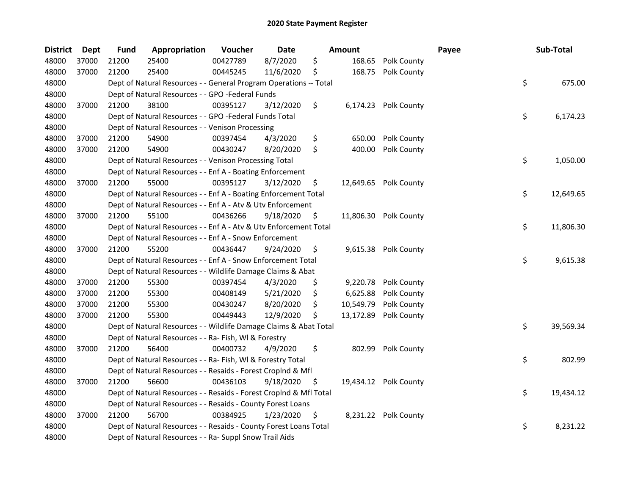| <b>District</b> | Dept  | <b>Fund</b> | Appropriation                                                      | Voucher  | <b>Date</b> |     | <b>Amount</b> |                       | Payee | Sub-Total       |
|-----------------|-------|-------------|--------------------------------------------------------------------|----------|-------------|-----|---------------|-----------------------|-------|-----------------|
| 48000           | 37000 | 21200       | 25400                                                              | 00427789 | 8/7/2020    | \$  | 168.65        | Polk County           |       |                 |
| 48000           | 37000 | 21200       | 25400                                                              | 00445245 | 11/6/2020   | \$  | 168.75        | Polk County           |       |                 |
| 48000           |       |             | Dept of Natural Resources - - General Program Operations -- Total  |          |             |     |               |                       |       | \$<br>675.00    |
| 48000           |       |             | Dept of Natural Resources - - GPO -Federal Funds                   |          |             |     |               |                       |       |                 |
| 48000           | 37000 | 21200       | 38100                                                              | 00395127 | 3/12/2020   | \$  |               | 6,174.23 Polk County  |       |                 |
| 48000           |       |             | Dept of Natural Resources - - GPO -Federal Funds Total             |          |             |     |               |                       |       | \$<br>6,174.23  |
| 48000           |       |             | Dept of Natural Resources - - Venison Processing                   |          |             |     |               |                       |       |                 |
| 48000           | 37000 | 21200       | 54900                                                              | 00397454 | 4/3/2020    | \$  | 650.00        | Polk County           |       |                 |
| 48000           | 37000 | 21200       | 54900                                                              | 00430247 | 8/20/2020   | \$  | 400.00        | Polk County           |       |                 |
| 48000           |       |             | Dept of Natural Resources - - Venison Processing Total             |          |             |     |               |                       |       | \$<br>1,050.00  |
| 48000           |       |             | Dept of Natural Resources - - Enf A - Boating Enforcement          |          |             |     |               |                       |       |                 |
| 48000           | 37000 | 21200       | 55000                                                              | 00395127 | 3/12/2020   | \$  |               | 12,649.65 Polk County |       |                 |
| 48000           |       |             | Dept of Natural Resources - - Enf A - Boating Enforcement Total    |          |             |     |               |                       |       | \$<br>12,649.65 |
| 48000           |       |             | Dept of Natural Resources - - Enf A - Atv & Utv Enforcement        |          |             |     |               |                       |       |                 |
| 48000           | 37000 | 21200       | 55100                                                              | 00436266 | 9/18/2020   | \$  |               | 11,806.30 Polk County |       |                 |
| 48000           |       |             | Dept of Natural Resources - - Enf A - Atv & Utv Enforcement Total  |          |             |     |               |                       |       | \$<br>11,806.30 |
| 48000           |       |             | Dept of Natural Resources - - Enf A - Snow Enforcement             |          |             |     |               |                       |       |                 |
| 48000           | 37000 | 21200       | 55200                                                              | 00436447 | 9/24/2020   | \$  | 9,615.38      | Polk County           |       |                 |
| 48000           |       |             | Dept of Natural Resources - - Enf A - Snow Enforcement Total       |          |             |     |               |                       |       | \$<br>9,615.38  |
| 48000           |       |             | Dept of Natural Resources - - Wildlife Damage Claims & Abat        |          |             |     |               |                       |       |                 |
| 48000           | 37000 | 21200       | 55300                                                              | 00397454 | 4/3/2020    | \$  | 9,220.78      | Polk County           |       |                 |
| 48000           | 37000 | 21200       | 55300                                                              | 00408149 | 5/21/2020   | \$  | 6,625.88      | Polk County           |       |                 |
| 48000           | 37000 | 21200       | 55300                                                              | 00430247 | 8/20/2020   | \$  | 10,549.79     | Polk County           |       |                 |
| 48000           | 37000 | 21200       | 55300                                                              | 00449443 | 12/9/2020   | \$  | 13,172.89     | Polk County           |       |                 |
| 48000           |       |             | Dept of Natural Resources - - Wildlife Damage Claims & Abat Total  |          |             |     |               |                       |       | \$<br>39,569.34 |
| 48000           |       |             | Dept of Natural Resources - - Ra- Fish, WI & Forestry              |          |             |     |               |                       |       |                 |
| 48000           | 37000 | 21200       | 56400                                                              | 00400732 | 4/9/2020    | \$  | 802.99        | Polk County           |       |                 |
| 48000           |       |             | Dept of Natural Resources - - Ra- Fish, WI & Forestry Total        |          |             |     |               |                       |       | \$<br>802.99    |
| 48000           |       |             | Dept of Natural Resources - - Resaids - Forest Croplnd & Mfl       |          |             |     |               |                       |       |                 |
| 48000           | 37000 | 21200       | 56600                                                              | 00436103 | 9/18/2020   | \$. |               | 19,434.12 Polk County |       |                 |
| 48000           |       |             | Dept of Natural Resources - - Resaids - Forest CropInd & Mfl Total |          |             |     |               |                       |       | \$<br>19,434.12 |
| 48000           |       |             | Dept of Natural Resources - - Resaids - County Forest Loans        |          |             |     |               |                       |       |                 |
| 48000           | 37000 | 21200       | 56700                                                              | 00384925 | 1/23/2020   | \$  |               | 8,231.22 Polk County  |       |                 |
| 48000           |       |             | Dept of Natural Resources - - Resaids - County Forest Loans Total  |          |             |     |               |                       |       | \$<br>8,231.22  |
| 48000           |       |             | Dept of Natural Resources - - Ra- Suppl Snow Trail Aids            |          |             |     |               |                       |       |                 |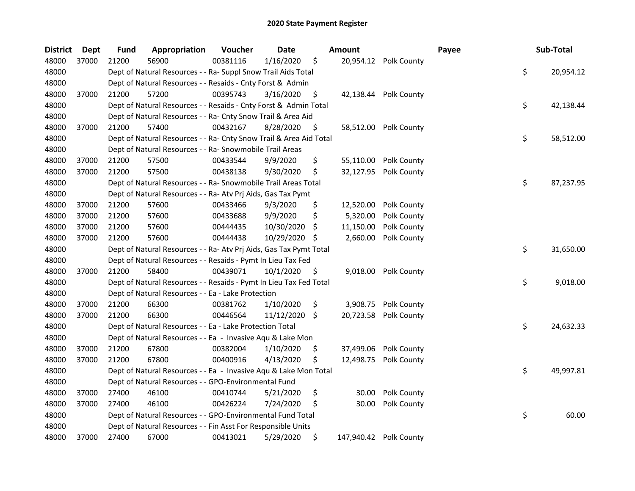| <b>District</b> | Dept  | <b>Fund</b> | Appropriation                                                      | Voucher  | <b>Date</b>   |     | <b>Amount</b> |                        | Payee | Sub-Total       |
|-----------------|-------|-------------|--------------------------------------------------------------------|----------|---------------|-----|---------------|------------------------|-------|-----------------|
| 48000           | 37000 | 21200       | 56900                                                              | 00381116 | 1/16/2020     | \$  |               | 20,954.12 Polk County  |       |                 |
| 48000           |       |             | Dept of Natural Resources - - Ra- Suppl Snow Trail Aids Total      |          |               |     |               |                        |       | \$<br>20,954.12 |
| 48000           |       |             | Dept of Natural Resources - - Resaids - Cnty Forst & Admin         |          |               |     |               |                        |       |                 |
| 48000           | 37000 | 21200       | 57200                                                              | 00395743 | 3/16/2020     | \$  |               | 42,138.44 Polk County  |       |                 |
| 48000           |       |             | Dept of Natural Resources - - Resaids - Cnty Forst & Admin Total   |          |               |     |               |                        |       | \$<br>42,138.44 |
| 48000           |       |             | Dept of Natural Resources - - Ra- Cnty Snow Trail & Area Aid       |          |               |     |               |                        |       |                 |
| 48000           | 37000 | 21200       | 57400                                                              | 00432167 | 8/28/2020     | \$  |               | 58,512.00 Polk County  |       |                 |
| 48000           |       |             | Dept of Natural Resources - - Ra- Cnty Snow Trail & Area Aid Total |          |               |     |               |                        |       | \$<br>58,512.00 |
| 48000           |       |             | Dept of Natural Resources - - Ra- Snowmobile Trail Areas           |          |               |     |               |                        |       |                 |
| 48000           | 37000 | 21200       | 57500                                                              | 00433544 | 9/9/2020      | \$  |               | 55,110.00 Polk County  |       |                 |
| 48000           | 37000 | 21200       | 57500                                                              | 00438138 | 9/30/2020     | \$  |               | 32,127.95 Polk County  |       |                 |
| 48000           |       |             | Dept of Natural Resources - - Ra- Snowmobile Trail Areas Total     |          |               |     |               |                        |       | \$<br>87,237.95 |
| 48000           |       |             | Dept of Natural Resources - - Ra- Atv Prj Aids, Gas Tax Pymt       |          |               |     |               |                        |       |                 |
| 48000           | 37000 | 21200       | 57600                                                              | 00433466 | 9/3/2020      | \$  | 12,520.00     | Polk County            |       |                 |
| 48000           | 37000 | 21200       | 57600                                                              | 00433688 | 9/9/2020      | \$  | 5,320.00      | Polk County            |       |                 |
| 48000           | 37000 | 21200       | 57600                                                              | 00444435 | 10/30/2020    | \$. | 11,150.00     | Polk County            |       |                 |
| 48000           | 37000 | 21200       | 57600                                                              | 00444438 | 10/29/2020    | S   | 2,660.00      | Polk County            |       |                 |
| 48000           |       |             | Dept of Natural Resources - - Ra- Atv Prj Aids, Gas Tax Pymt Total |          |               |     |               |                        |       | \$<br>31,650.00 |
| 48000           |       |             | Dept of Natural Resources - - Resaids - Pymt In Lieu Tax Fed       |          |               |     |               |                        |       |                 |
| 48000           | 37000 | 21200       | 58400                                                              | 00439071 | 10/1/2020     | \$  | 9,018.00      | Polk County            |       |                 |
| 48000           |       |             | Dept of Natural Resources - - Resaids - Pymt In Lieu Tax Fed Total |          |               |     |               |                        |       | \$<br>9,018.00  |
| 48000           |       |             | Dept of Natural Resources - - Ea - Lake Protection                 |          |               |     |               |                        |       |                 |
| 48000           | 37000 | 21200       | 66300                                                              | 00381762 | 1/10/2020     | \$  |               | 3,908.75 Polk County   |       |                 |
| 48000           | 37000 | 21200       | 66300                                                              | 00446564 | 11/12/2020 \$ |     |               | 20,723.58 Polk County  |       |                 |
| 48000           |       |             | Dept of Natural Resources - - Ea - Lake Protection Total           |          |               |     |               |                        |       | \$<br>24,632.33 |
| 48000           |       |             | Dept of Natural Resources - - Ea - Invasive Aqu & Lake Mon         |          |               |     |               |                        |       |                 |
| 48000           | 37000 | 21200       | 67800                                                              | 00382004 | 1/10/2020     | \$  |               | 37,499.06 Polk County  |       |                 |
| 48000           | 37000 | 21200       | 67800                                                              | 00400916 | 4/13/2020     | \$  | 12,498.75     | Polk County            |       |                 |
| 48000           |       |             | Dept of Natural Resources - - Ea - Invasive Aqu & Lake Mon Total   |          |               |     |               |                        |       | \$<br>49,997.81 |
| 48000           |       |             | Dept of Natural Resources - - GPO-Environmental Fund               |          |               |     |               |                        |       |                 |
| 48000           | 37000 | 27400       | 46100                                                              | 00410744 | 5/21/2020     | \$  | 30.00         | Polk County            |       |                 |
| 48000           | 37000 | 27400       | 46100                                                              | 00426224 | 7/24/2020     | \$  | 30.00         | Polk County            |       |                 |
| 48000           |       |             | Dept of Natural Resources - - GPO-Environmental Fund Total         |          |               |     |               |                        |       | \$<br>60.00     |
| 48000           |       |             | Dept of Natural Resources - - Fin Asst For Responsible Units       |          |               |     |               |                        |       |                 |
| 48000           | 37000 | 27400       | 67000                                                              | 00413021 | 5/29/2020     | \$  |               | 147,940.42 Polk County |       |                 |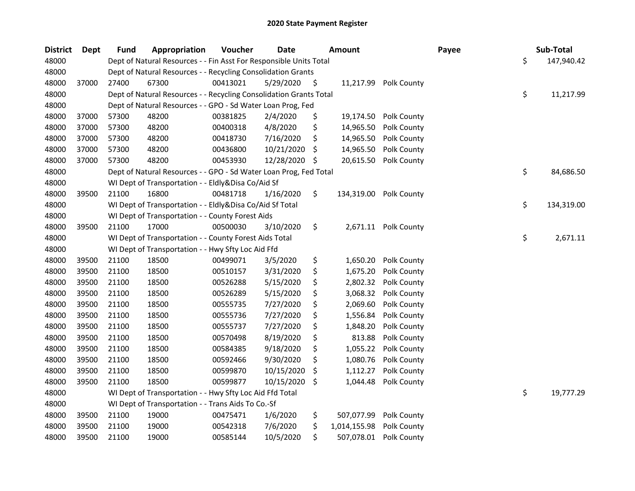| <b>District</b> | Dept  | <b>Fund</b> | Appropriation                                                      | Voucher  | <b>Date</b> |     | <b>Amount</b> |             | Payee | Sub-Total        |
|-----------------|-------|-------------|--------------------------------------------------------------------|----------|-------------|-----|---------------|-------------|-------|------------------|
| 48000           |       |             | Dept of Natural Resources - - Fin Asst For Responsible Units Total |          |             |     |               |             |       | \$<br>147,940.42 |
| 48000           |       |             | Dept of Natural Resources - - Recycling Consolidation Grants       |          |             |     |               |             |       |                  |
| 48000           | 37000 | 27400       | 67300                                                              | 00413021 | 5/29/2020   | \$. | 11,217.99     | Polk County |       |                  |
| 48000           |       |             | Dept of Natural Resources - - Recycling Consolidation Grants Total |          |             |     |               |             |       | \$<br>11,217.99  |
| 48000           |       |             | Dept of Natural Resources - - GPO - Sd Water Loan Prog, Fed        |          |             |     |               |             |       |                  |
| 48000           | 37000 | 57300       | 48200                                                              | 00381825 | 2/4/2020    | \$  | 19,174.50     | Polk County |       |                  |
| 48000           | 37000 | 57300       | 48200                                                              | 00400318 | 4/8/2020    | \$  | 14,965.50     | Polk County |       |                  |
| 48000           | 37000 | 57300       | 48200                                                              | 00418730 | 7/16/2020   | \$  | 14,965.50     | Polk County |       |                  |
| 48000           | 37000 | 57300       | 48200                                                              | 00436800 | 10/21/2020  | \$  | 14,965.50     | Polk County |       |                  |
| 48000           | 37000 | 57300       | 48200                                                              | 00453930 | 12/28/2020  | \$  | 20,615.50     | Polk County |       |                  |
| 48000           |       |             | Dept of Natural Resources - - GPO - Sd Water Loan Prog, Fed Total  |          |             |     |               |             |       | \$<br>84,686.50  |
| 48000           |       |             | WI Dept of Transportation - - Eldly&Disa Co/Aid Sf                 |          |             |     |               |             |       |                  |
| 48000           | 39500 | 21100       | 16800                                                              | 00481718 | 1/16/2020   | \$  | 134,319.00    | Polk County |       |                  |
| 48000           |       |             | WI Dept of Transportation - - Eldly&Disa Co/Aid Sf Total           |          |             |     |               |             |       | \$<br>134,319.00 |
| 48000           |       |             | WI Dept of Transportation - - County Forest Aids                   |          |             |     |               |             |       |                  |
| 48000           | 39500 | 21100       | 17000                                                              | 00500030 | 3/10/2020   | \$  | 2,671.11      | Polk County |       |                  |
| 48000           |       |             | WI Dept of Transportation - - County Forest Aids Total             |          |             |     |               |             |       | \$<br>2,671.11   |
| 48000           |       |             | WI Dept of Transportation - - Hwy Sfty Loc Aid Ffd                 |          |             |     |               |             |       |                  |
| 48000           | 39500 | 21100       | 18500                                                              | 00499071 | 3/5/2020    | \$  | 1,650.20      | Polk County |       |                  |
| 48000           | 39500 | 21100       | 18500                                                              | 00510157 | 3/31/2020   | \$  | 1,675.20      | Polk County |       |                  |
| 48000           | 39500 | 21100       | 18500                                                              | 00526288 | 5/15/2020   | \$  | 2,802.32      | Polk County |       |                  |
| 48000           | 39500 | 21100       | 18500                                                              | 00526289 | 5/15/2020   | \$  | 3,068.32      | Polk County |       |                  |
| 48000           | 39500 | 21100       | 18500                                                              | 00555735 | 7/27/2020   | \$  | 2,069.60      | Polk County |       |                  |
| 48000           | 39500 | 21100       | 18500                                                              | 00555736 | 7/27/2020   | \$  | 1,556.84      | Polk County |       |                  |
| 48000           | 39500 | 21100       | 18500                                                              | 00555737 | 7/27/2020   | \$  | 1,848.20      | Polk County |       |                  |
| 48000           | 39500 | 21100       | 18500                                                              | 00570498 | 8/19/2020   | \$  | 813.88        | Polk County |       |                  |
| 48000           | 39500 | 21100       | 18500                                                              | 00584385 | 9/18/2020   | \$  | 1,055.22      | Polk County |       |                  |
| 48000           | 39500 | 21100       | 18500                                                              | 00592466 | 9/30/2020   | \$  | 1,080.76      | Polk County |       |                  |
| 48000           | 39500 | 21100       | 18500                                                              | 00599870 | 10/15/2020  | \$  | 1,112.27      | Polk County |       |                  |
| 48000           | 39500 | 21100       | 18500                                                              | 00599877 | 10/15/2020  | \$  | 1,044.48      | Polk County |       |                  |
| 48000           |       |             | WI Dept of Transportation - - Hwy Sfty Loc Aid Ffd Total           |          |             |     |               |             |       | \$<br>19,777.29  |
| 48000           |       |             | WI Dept of Transportation - - Trans Aids To Co.-Sf                 |          |             |     |               |             |       |                  |
| 48000           | 39500 | 21100       | 19000                                                              | 00475471 | 1/6/2020    | \$  | 507,077.99    | Polk County |       |                  |
| 48000           | 39500 | 21100       | 19000                                                              | 00542318 | 7/6/2020    | \$  | 1,014,155.98  | Polk County |       |                  |
| 48000           | 39500 | 21100       | 19000                                                              | 00585144 | 10/5/2020   | \$  | 507,078.01    | Polk County |       |                  |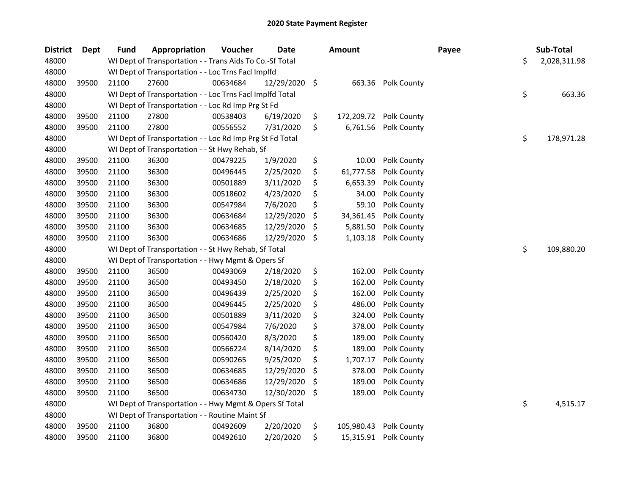| <b>District</b> | <b>Dept</b> | <b>Fund</b> | Appropriation                                            | Voucher  | <b>Date</b> | <b>Amount</b>    |             | Payee | Sub-Total          |
|-----------------|-------------|-------------|----------------------------------------------------------|----------|-------------|------------------|-------------|-------|--------------------|
| 48000           |             |             | WI Dept of Transportation - - Trans Aids To Co.-Sf Total |          |             |                  |             |       | \$<br>2,028,311.98 |
| 48000           |             |             | WI Dept of Transportation - - Loc Trns Facl Implfd       |          |             |                  |             |       |                    |
| 48000           | 39500       | 21100       | 27600                                                    | 00634684 | 12/29/2020  | \$<br>663.36     | Polk County |       |                    |
| 48000           |             |             | WI Dept of Transportation - - Loc Trns Facl Implfd Total |          |             |                  |             |       | \$<br>663.36       |
| 48000           |             |             | WI Dept of Transportation - - Loc Rd Imp Prg St Fd       |          |             |                  |             |       |                    |
| 48000           | 39500       | 21100       | 27800                                                    | 00538403 | 6/19/2020   | \$<br>172,209.72 | Polk County |       |                    |
| 48000           | 39500       | 21100       | 27800                                                    | 00556552 | 7/31/2020   | \$<br>6,761.56   | Polk County |       |                    |
| 48000           |             |             | WI Dept of Transportation - - Loc Rd Imp Prg St Fd Total |          |             |                  |             |       | \$<br>178,971.28   |
| 48000           |             |             | WI Dept of Transportation - - St Hwy Rehab, Sf           |          |             |                  |             |       |                    |
| 48000           | 39500       | 21100       | 36300                                                    | 00479225 | 1/9/2020    | \$<br>10.00      | Polk County |       |                    |
| 48000           | 39500       | 21100       | 36300                                                    | 00496445 | 2/25/2020   | \$<br>61,777.58  | Polk County |       |                    |
| 48000           | 39500       | 21100       | 36300                                                    | 00501889 | 3/11/2020   | \$<br>6,653.39   | Polk County |       |                    |
| 48000           | 39500       | 21100       | 36300                                                    | 00518602 | 4/23/2020   | \$<br>34.00      | Polk County |       |                    |
| 48000           | 39500       | 21100       | 36300                                                    | 00547984 | 7/6/2020    | \$<br>59.10      | Polk County |       |                    |
| 48000           | 39500       | 21100       | 36300                                                    | 00634684 | 12/29/2020  | \$<br>34,361.45  | Polk County |       |                    |
| 48000           | 39500       | 21100       | 36300                                                    | 00634685 | 12/29/2020  | \$<br>5,881.50   | Polk County |       |                    |
| 48000           | 39500       | 21100       | 36300                                                    | 00634686 | 12/29/2020  | \$<br>1,103.18   | Polk County |       |                    |
| 48000           |             |             | WI Dept of Transportation - - St Hwy Rehab, Sf Total     |          |             |                  |             |       | \$<br>109,880.20   |
| 48000           |             |             | WI Dept of Transportation - - Hwy Mgmt & Opers Sf        |          |             |                  |             |       |                    |
| 48000           | 39500       | 21100       | 36500                                                    | 00493069 | 2/18/2020   | \$<br>162.00     | Polk County |       |                    |
| 48000           | 39500       | 21100       | 36500                                                    | 00493450 | 2/18/2020   | \$<br>162.00     | Polk County |       |                    |
| 48000           | 39500       | 21100       | 36500                                                    | 00496439 | 2/25/2020   | \$<br>162.00     | Polk County |       |                    |
| 48000           | 39500       | 21100       | 36500                                                    | 00496445 | 2/25/2020   | \$<br>486.00     | Polk County |       |                    |
| 48000           | 39500       | 21100       | 36500                                                    | 00501889 | 3/11/2020   | \$<br>324.00     | Polk County |       |                    |
| 48000           | 39500       | 21100       | 36500                                                    | 00547984 | 7/6/2020    | \$<br>378.00     | Polk County |       |                    |
| 48000           | 39500       | 21100       | 36500                                                    | 00560420 | 8/3/2020    | \$<br>189.00     | Polk County |       |                    |
| 48000           | 39500       | 21100       | 36500                                                    | 00566224 | 8/14/2020   | \$<br>189.00     | Polk County |       |                    |
| 48000           | 39500       | 21100       | 36500                                                    | 00590265 | 9/25/2020   | \$<br>1,707.17   | Polk County |       |                    |
| 48000           | 39500       | 21100       | 36500                                                    | 00634685 | 12/29/2020  | \$<br>378.00     | Polk County |       |                    |
| 48000           | 39500       | 21100       | 36500                                                    | 00634686 | 12/29/2020  | \$<br>189.00     | Polk County |       |                    |
| 48000           | 39500       | 21100       | 36500                                                    | 00634730 | 12/30/2020  | \$<br>189.00     | Polk County |       |                    |
| 48000           |             |             | WI Dept of Transportation - - Hwy Mgmt & Opers Sf Total  |          |             |                  |             |       | \$<br>4,515.17     |
| 48000           |             |             | WI Dept of Transportation - - Routine Maint Sf           |          |             |                  |             |       |                    |
| 48000           | 39500       | 21100       | 36800                                                    | 00492609 | 2/20/2020   | \$<br>105,980.43 | Polk County |       |                    |
| 48000           | 39500       | 21100       | 36800                                                    | 00492610 | 2/20/2020   | \$<br>15,315.91  | Polk County |       |                    |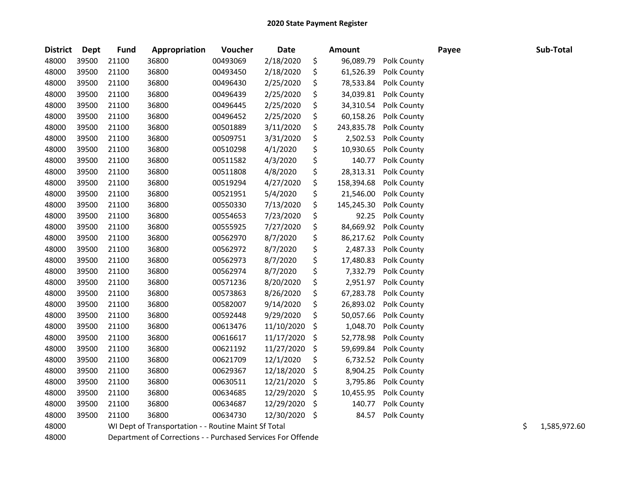| <b>District</b> | <b>Dept</b> | <b>Fund</b> | Appropriation                                                | Voucher  | <b>Date</b> |     | <b>Amount</b> |             | Payee | Sub-Total          |
|-----------------|-------------|-------------|--------------------------------------------------------------|----------|-------------|-----|---------------|-------------|-------|--------------------|
| 48000           | 39500       | 21100       | 36800                                                        | 00493069 | 2/18/2020   | \$  | 96,089.79     | Polk County |       |                    |
| 48000           | 39500       | 21100       | 36800                                                        | 00493450 | 2/18/2020   | \$  | 61,526.39     | Polk County |       |                    |
| 48000           | 39500       | 21100       | 36800                                                        | 00496430 | 2/25/2020   | \$  | 78,533.84     | Polk County |       |                    |
| 48000           | 39500       | 21100       | 36800                                                        | 00496439 | 2/25/2020   | \$  | 34,039.81     | Polk County |       |                    |
| 48000           | 39500       | 21100       | 36800                                                        | 00496445 | 2/25/2020   | \$  | 34,310.54     | Polk County |       |                    |
| 48000           | 39500       | 21100       | 36800                                                        | 00496452 | 2/25/2020   | \$  | 60,158.26     | Polk County |       |                    |
| 48000           | 39500       | 21100       | 36800                                                        | 00501889 | 3/11/2020   | \$  | 243,835.78    | Polk County |       |                    |
| 48000           | 39500       | 21100       | 36800                                                        | 00509751 | 3/31/2020   | \$  | 2,502.53      | Polk County |       |                    |
| 48000           | 39500       | 21100       | 36800                                                        | 00510298 | 4/1/2020    | \$  | 10,930.65     | Polk County |       |                    |
| 48000           | 39500       | 21100       | 36800                                                        | 00511582 | 4/3/2020    | \$  | 140.77        | Polk County |       |                    |
| 48000           | 39500       | 21100       | 36800                                                        | 00511808 | 4/8/2020    | \$  | 28,313.31     | Polk County |       |                    |
| 48000           | 39500       | 21100       | 36800                                                        | 00519294 | 4/27/2020   | \$  | 158,394.68    | Polk County |       |                    |
| 48000           | 39500       | 21100       | 36800                                                        | 00521951 | 5/4/2020    | \$  | 21,546.00     | Polk County |       |                    |
| 48000           | 39500       | 21100       | 36800                                                        | 00550330 | 7/13/2020   | \$  | 145,245.30    | Polk County |       |                    |
| 48000           | 39500       | 21100       | 36800                                                        | 00554653 | 7/23/2020   | \$  | 92.25         | Polk County |       |                    |
| 48000           | 39500       | 21100       | 36800                                                        | 00555925 | 7/27/2020   | \$  | 84,669.92     | Polk County |       |                    |
| 48000           | 39500       | 21100       | 36800                                                        | 00562970 | 8/7/2020    | \$  | 86,217.62     | Polk County |       |                    |
| 48000           | 39500       | 21100       | 36800                                                        | 00562972 | 8/7/2020    | \$  | 2,487.33      | Polk County |       |                    |
| 48000           | 39500       | 21100       | 36800                                                        | 00562973 | 8/7/2020    | \$  | 17,480.83     | Polk County |       |                    |
| 48000           | 39500       | 21100       | 36800                                                        | 00562974 | 8/7/2020    | \$  | 7,332.79      | Polk County |       |                    |
| 48000           | 39500       | 21100       | 36800                                                        | 00571236 | 8/20/2020   | \$  | 2,951.97      | Polk County |       |                    |
| 48000           | 39500       | 21100       | 36800                                                        | 00573863 | 8/26/2020   | \$  | 67,283.78     | Polk County |       |                    |
| 48000           | 39500       | 21100       | 36800                                                        | 00582007 | 9/14/2020   | \$  | 26,893.02     | Polk County |       |                    |
| 48000           | 39500       | 21100       | 36800                                                        | 00592448 | 9/29/2020   | \$  | 50,057.66     | Polk County |       |                    |
| 48000           | 39500       | 21100       | 36800                                                        | 00613476 | 11/10/2020  | \$  | 1,048.70      | Polk County |       |                    |
| 48000           | 39500       | 21100       | 36800                                                        | 00616617 | 11/17/2020  | \$  | 52,778.98     | Polk County |       |                    |
| 48000           | 39500       | 21100       | 36800                                                        | 00621192 | 11/27/2020  | \$  | 59,699.84     | Polk County |       |                    |
| 48000           | 39500       | 21100       | 36800                                                        | 00621709 | 12/1/2020   | \$  | 6,732.52      | Polk County |       |                    |
| 48000           | 39500       | 21100       | 36800                                                        | 00629367 | 12/18/2020  | \$  | 8,904.25      | Polk County |       |                    |
| 48000           | 39500       | 21100       | 36800                                                        | 00630511 | 12/21/2020  | \$  | 3,795.86      | Polk County |       |                    |
| 48000           | 39500       | 21100       | 36800                                                        | 00634685 | 12/29/2020  | \$  | 10,455.95     | Polk County |       |                    |
| 48000           | 39500       | 21100       | 36800                                                        | 00634687 | 12/29/2020  | \$  | 140.77        | Polk County |       |                    |
| 48000           | 39500       | 21100       | 36800                                                        | 00634730 | 12/30/2020  | -\$ | 84.57         | Polk County |       |                    |
| 48000           |             |             | WI Dept of Transportation - - Routine Maint Sf Total         |          |             |     |               |             |       | \$<br>1,585,972.60 |
| 48000           |             |             | Department of Corrections - - Purchased Services For Offende |          |             |     |               |             |       |                    |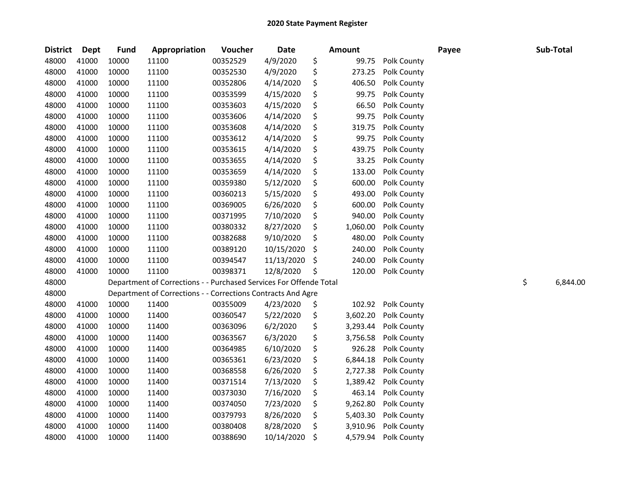| <b>District</b> | <b>Dept</b> | <b>Fund</b> | Appropriation                                                      | Voucher  | <b>Date</b> |    | <b>Amount</b> |             | Payee | Sub-Total      |
|-----------------|-------------|-------------|--------------------------------------------------------------------|----------|-------------|----|---------------|-------------|-------|----------------|
| 48000           | 41000       | 10000       | 11100                                                              | 00352529 | 4/9/2020    | \$ | 99.75         | Polk County |       |                |
| 48000           | 41000       | 10000       | 11100                                                              | 00352530 | 4/9/2020    | \$ | 273.25        | Polk County |       |                |
| 48000           | 41000       | 10000       | 11100                                                              | 00352806 | 4/14/2020   | \$ | 406.50        | Polk County |       |                |
| 48000           | 41000       | 10000       | 11100                                                              | 00353599 | 4/15/2020   | \$ | 99.75         | Polk County |       |                |
| 48000           | 41000       | 10000       | 11100                                                              | 00353603 | 4/15/2020   | \$ | 66.50         | Polk County |       |                |
| 48000           | 41000       | 10000       | 11100                                                              | 00353606 | 4/14/2020   | \$ | 99.75         | Polk County |       |                |
| 48000           | 41000       | 10000       | 11100                                                              | 00353608 | 4/14/2020   | \$ | 319.75        | Polk County |       |                |
| 48000           | 41000       | 10000       | 11100                                                              | 00353612 | 4/14/2020   | \$ | 99.75         | Polk County |       |                |
| 48000           | 41000       | 10000       | 11100                                                              | 00353615 | 4/14/2020   | \$ | 439.75        | Polk County |       |                |
| 48000           | 41000       | 10000       | 11100                                                              | 00353655 | 4/14/2020   | \$ | 33.25         | Polk County |       |                |
| 48000           | 41000       | 10000       | 11100                                                              | 00353659 | 4/14/2020   | \$ | 133.00        | Polk County |       |                |
| 48000           | 41000       | 10000       | 11100                                                              | 00359380 | 5/12/2020   | \$ | 600.00        | Polk County |       |                |
| 48000           | 41000       | 10000       | 11100                                                              | 00360213 | 5/15/2020   | \$ | 493.00        | Polk County |       |                |
| 48000           | 41000       | 10000       | 11100                                                              | 00369005 | 6/26/2020   | \$ | 600.00        | Polk County |       |                |
| 48000           | 41000       | 10000       | 11100                                                              | 00371995 | 7/10/2020   | \$ | 940.00        | Polk County |       |                |
| 48000           | 41000       | 10000       | 11100                                                              | 00380332 | 8/27/2020   | \$ | 1,060.00      | Polk County |       |                |
| 48000           | 41000       | 10000       | 11100                                                              | 00382688 | 9/10/2020   | \$ | 480.00        | Polk County |       |                |
| 48000           | 41000       | 10000       | 11100                                                              | 00389120 | 10/15/2020  | \$ | 240.00        | Polk County |       |                |
| 48000           | 41000       | 10000       | 11100                                                              | 00394547 | 11/13/2020  | \$ | 240.00        | Polk County |       |                |
| 48000           | 41000       | 10000       | 11100                                                              | 00398371 | 12/8/2020   | Ś  | 120.00        | Polk County |       |                |
| 48000           |             |             | Department of Corrections - - Purchased Services For Offende Total |          |             |    |               |             |       | \$<br>6,844.00 |
| 48000           |             |             | Department of Corrections - - Corrections Contracts And Agre       |          |             |    |               |             |       |                |
| 48000           | 41000       | 10000       | 11400                                                              | 00355009 | 4/23/2020   | \$ | 102.92        | Polk County |       |                |
| 48000           | 41000       | 10000       | 11400                                                              | 00360547 | 5/22/2020   | \$ | 3,602.20      | Polk County |       |                |
| 48000           | 41000       | 10000       | 11400                                                              | 00363096 | 6/2/2020    | \$ | 3,293.44      | Polk County |       |                |
| 48000           | 41000       | 10000       | 11400                                                              | 00363567 | 6/3/2020    | \$ | 3,756.58      | Polk County |       |                |
| 48000           | 41000       | 10000       | 11400                                                              | 00364985 | 6/10/2020   | \$ | 926.28        | Polk County |       |                |
| 48000           | 41000       | 10000       | 11400                                                              | 00365361 | 6/23/2020   | \$ | 6,844.18      | Polk County |       |                |
| 48000           | 41000       | 10000       | 11400                                                              | 00368558 | 6/26/2020   | \$ | 2,727.38      | Polk County |       |                |
| 48000           | 41000       | 10000       | 11400                                                              | 00371514 | 7/13/2020   | \$ | 1,389.42      | Polk County |       |                |
| 48000           | 41000       | 10000       | 11400                                                              | 00373030 | 7/16/2020   | \$ | 463.14        | Polk County |       |                |
| 48000           | 41000       | 10000       | 11400                                                              | 00374050 | 7/23/2020   | \$ | 9,262.80      | Polk County |       |                |
| 48000           | 41000       | 10000       | 11400                                                              | 00379793 | 8/26/2020   | \$ | 5,403.30      | Polk County |       |                |
| 48000           | 41000       | 10000       | 11400                                                              | 00380408 | 8/28/2020   | \$ | 3,910.96      | Polk County |       |                |
| 48000           | 41000       | 10000       | 11400                                                              | 00388690 | 10/14/2020  | \$ | 4,579.94      | Polk County |       |                |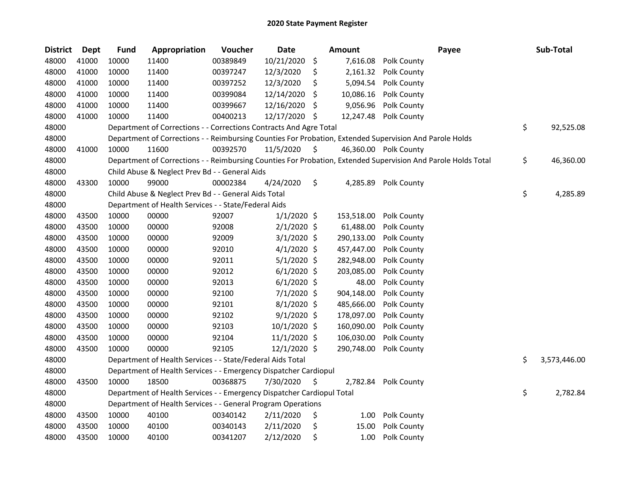| <b>District</b> | <b>Dept</b> | <b>Fund</b> | Appropriation                                                          | Voucher  | <b>Date</b>   |     | <b>Amount</b> | Payee                                                                                                         | Sub-Total          |
|-----------------|-------------|-------------|------------------------------------------------------------------------|----------|---------------|-----|---------------|---------------------------------------------------------------------------------------------------------------|--------------------|
| 48000           | 41000       | 10000       | 11400                                                                  | 00389849 | 10/21/2020    | \$  | 7,616.08      | Polk County                                                                                                   |                    |
| 48000           | 41000       | 10000       | 11400                                                                  | 00397247 | 12/3/2020     | \$  | 2,161.32      | Polk County                                                                                                   |                    |
| 48000           | 41000       | 10000       | 11400                                                                  | 00397252 | 12/3/2020     | \$  | 5,094.54      | Polk County                                                                                                   |                    |
| 48000           | 41000       | 10000       | 11400                                                                  | 00399084 | 12/14/2020    | Ś.  | 10,086.16     | Polk County                                                                                                   |                    |
| 48000           | 41000       | 10000       | 11400                                                                  | 00399667 | 12/16/2020    | \$. | 9,056.96      | Polk County                                                                                                   |                    |
| 48000           | 41000       | 10000       | 11400                                                                  | 00400213 | 12/17/2020    | \$  | 12,247.48     | Polk County                                                                                                   |                    |
| 48000           |             |             | Department of Corrections - - Corrections Contracts And Agre Total     |          |               |     |               |                                                                                                               | \$<br>92,525.08    |
| 48000           |             |             |                                                                        |          |               |     |               | Department of Corrections - - Reimbursing Counties For Probation, Extended Supervision And Parole Holds       |                    |
| 48000           | 41000       | 10000       | 11600                                                                  | 00392570 | 11/5/2020     | \$  |               | 46,360.00 Polk County                                                                                         |                    |
| 48000           |             |             |                                                                        |          |               |     |               | Department of Corrections - - Reimbursing Counties For Probation, Extended Supervision And Parole Holds Total | \$<br>46,360.00    |
| 48000           |             |             | Child Abuse & Neglect Prev Bd - - General Aids                         |          |               |     |               |                                                                                                               |                    |
| 48000           | 43300       | 10000       | 99000                                                                  | 00002384 | 4/24/2020     | \$  | 4,285.89      | <b>Polk County</b>                                                                                            |                    |
| 48000           |             |             | Child Abuse & Neglect Prev Bd - - General Aids Total                   |          |               |     |               |                                                                                                               | \$<br>4,285.89     |
| 48000           |             |             | Department of Health Services - - State/Federal Aids                   |          |               |     |               |                                                                                                               |                    |
| 48000           | 43500       | 10000       | 00000                                                                  | 92007    | $1/1/2020$ \$ |     | 153,518.00    | Polk County                                                                                                   |                    |
| 48000           | 43500       | 10000       | 00000                                                                  | 92008    | $2/1/2020$ \$ |     | 61,488.00     | Polk County                                                                                                   |                    |
| 48000           | 43500       | 10000       | 00000                                                                  | 92009    | $3/1/2020$ \$ |     | 290,133.00    | Polk County                                                                                                   |                    |
| 48000           | 43500       | 10000       | 00000                                                                  | 92010    | $4/1/2020$ \$ |     | 457,447.00    | Polk County                                                                                                   |                    |
| 48000           | 43500       | 10000       | 00000                                                                  | 92011    | $5/1/2020$ \$ |     | 282,948.00    | Polk County                                                                                                   |                    |
| 48000           | 43500       | 10000       | 00000                                                                  | 92012    | $6/1/2020$ \$ |     | 203,085.00    | Polk County                                                                                                   |                    |
| 48000           | 43500       | 10000       | 00000                                                                  | 92013    | $6/1/2020$ \$ |     | 48.00         | Polk County                                                                                                   |                    |
| 48000           | 43500       | 10000       | 00000                                                                  | 92100    | 7/1/2020 \$   |     | 904,148.00    | Polk County                                                                                                   |                    |
| 48000           | 43500       | 10000       | 00000                                                                  | 92101    | 8/1/2020 \$   |     | 485,666.00    | Polk County                                                                                                   |                    |
| 48000           | 43500       | 10000       | 00000                                                                  | 92102    | $9/1/2020$ \$ |     | 178,097.00    | Polk County                                                                                                   |                    |
| 48000           | 43500       | 10000       | 00000                                                                  | 92103    | 10/1/2020 \$  |     | 160,090.00    | Polk County                                                                                                   |                    |
| 48000           | 43500       | 10000       | 00000                                                                  | 92104    | 11/1/2020 \$  |     | 106,030.00    | Polk County                                                                                                   |                    |
| 48000           | 43500       | 10000       | 00000                                                                  | 92105    | 12/1/2020 \$  |     | 290,748.00    | Polk County                                                                                                   |                    |
| 48000           |             |             | Department of Health Services - - State/Federal Aids Total             |          |               |     |               |                                                                                                               | \$<br>3,573,446.00 |
| 48000           |             |             | Department of Health Services - - Emergency Dispatcher Cardiopul       |          |               |     |               |                                                                                                               |                    |
| 48000           | 43500       | 10000       | 18500                                                                  | 00368875 | 7/30/2020     | S   | 2,782.84      | Polk County                                                                                                   |                    |
| 48000           |             |             | Department of Health Services - - Emergency Dispatcher Cardiopul Total |          |               |     |               |                                                                                                               | \$<br>2,782.84     |
| 48000           |             |             | Department of Health Services - - General Program Operations           |          |               |     |               |                                                                                                               |                    |
| 48000           | 43500       | 10000       | 40100                                                                  | 00340142 | 2/11/2020     | \$  | 1.00          | Polk County                                                                                                   |                    |
| 48000           | 43500       | 10000       | 40100                                                                  | 00340143 | 2/11/2020     | \$  | 15.00         | Polk County                                                                                                   |                    |
| 48000           | 43500       | 10000       | 40100                                                                  | 00341207 | 2/12/2020     | \$  | 1.00          | Polk County                                                                                                   |                    |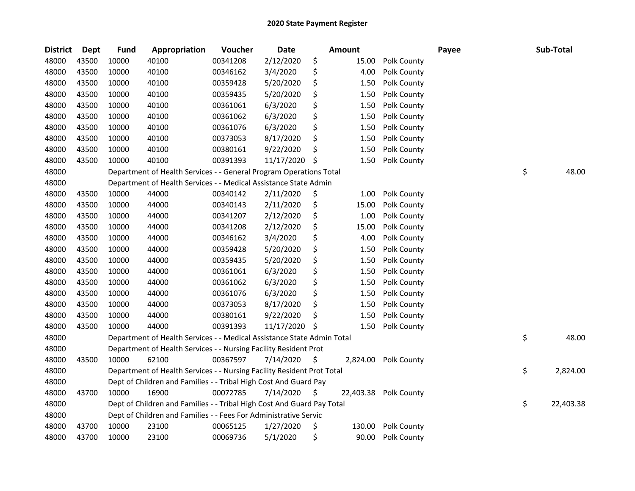| <b>District</b> | <b>Dept</b> | <b>Fund</b> | Appropriation                                                          | Voucher  | Date       |     | <b>Amount</b> |             | Payee | Sub-Total       |
|-----------------|-------------|-------------|------------------------------------------------------------------------|----------|------------|-----|---------------|-------------|-------|-----------------|
| 48000           | 43500       | 10000       | 40100                                                                  | 00341208 | 2/12/2020  | \$  | 15.00         | Polk County |       |                 |
| 48000           | 43500       | 10000       | 40100                                                                  | 00346162 | 3/4/2020   | \$  | 4.00          | Polk County |       |                 |
| 48000           | 43500       | 10000       | 40100                                                                  | 00359428 | 5/20/2020  | \$  | 1.50          | Polk County |       |                 |
| 48000           | 43500       | 10000       | 40100                                                                  | 00359435 | 5/20/2020  | \$  | 1.50          | Polk County |       |                 |
| 48000           | 43500       | 10000       | 40100                                                                  | 00361061 | 6/3/2020   | \$  | 1.50          | Polk County |       |                 |
| 48000           | 43500       | 10000       | 40100                                                                  | 00361062 | 6/3/2020   | \$  | 1.50          | Polk County |       |                 |
| 48000           | 43500       | 10000       | 40100                                                                  | 00361076 | 6/3/2020   | \$  | 1.50          | Polk County |       |                 |
| 48000           | 43500       | 10000       | 40100                                                                  | 00373053 | 8/17/2020  | \$  | 1.50          | Polk County |       |                 |
| 48000           | 43500       | 10000       | 40100                                                                  | 00380161 | 9/22/2020  | \$  | 1.50          | Polk County |       |                 |
| 48000           | 43500       | 10000       | 40100                                                                  | 00391393 | 11/17/2020 | \$  | 1.50          | Polk County |       |                 |
| 48000           |             |             | Department of Health Services - - General Program Operations Total     |          |            |     |               |             |       | \$<br>48.00     |
| 48000           |             |             | Department of Health Services - - Medical Assistance State Admin       |          |            |     |               |             |       |                 |
| 48000           | 43500       | 10000       | 44000                                                                  | 00340142 | 2/11/2020  | \$  | 1.00          | Polk County |       |                 |
| 48000           | 43500       | 10000       | 44000                                                                  | 00340143 | 2/11/2020  | \$  | 15.00         | Polk County |       |                 |
| 48000           | 43500       | 10000       | 44000                                                                  | 00341207 | 2/12/2020  | \$  | 1.00          | Polk County |       |                 |
| 48000           | 43500       | 10000       | 44000                                                                  | 00341208 | 2/12/2020  | \$  | 15.00         | Polk County |       |                 |
| 48000           | 43500       | 10000       | 44000                                                                  | 00346162 | 3/4/2020   | \$  | 4.00          | Polk County |       |                 |
| 48000           | 43500       | 10000       | 44000                                                                  | 00359428 | 5/20/2020  | \$  | 1.50          | Polk County |       |                 |
| 48000           | 43500       | 10000       | 44000                                                                  | 00359435 | 5/20/2020  | \$  | 1.50          | Polk County |       |                 |
| 48000           | 43500       | 10000       | 44000                                                                  | 00361061 | 6/3/2020   | \$  | 1.50          | Polk County |       |                 |
| 48000           | 43500       | 10000       | 44000                                                                  | 00361062 | 6/3/2020   | \$  | 1.50          | Polk County |       |                 |
| 48000           | 43500       | 10000       | 44000                                                                  | 00361076 | 6/3/2020   | \$  | 1.50          | Polk County |       |                 |
| 48000           | 43500       | 10000       | 44000                                                                  | 00373053 | 8/17/2020  | \$  | 1.50          | Polk County |       |                 |
| 48000           | 43500       | 10000       | 44000                                                                  | 00380161 | 9/22/2020  | \$  | 1.50          | Polk County |       |                 |
| 48000           | 43500       | 10000       | 44000                                                                  | 00391393 | 11/17/2020 | \$  | 1.50          | Polk County |       |                 |
| 48000           |             |             | Department of Health Services - - Medical Assistance State Admin Total |          |            |     |               |             |       | \$<br>48.00     |
| 48000           |             |             | Department of Health Services - - Nursing Facility Resident Prot       |          |            |     |               |             |       |                 |
| 48000           | 43500       | 10000       | 62100                                                                  | 00367597 | 7/14/2020  | \$  | 2,824.00      | Polk County |       |                 |
| 48000           |             |             | Department of Health Services - - Nursing Facility Resident Prot Total |          |            |     |               |             |       | \$<br>2,824.00  |
| 48000           |             |             | Dept of Children and Families - - Tribal High Cost And Guard Pay       |          |            |     |               |             |       |                 |
| 48000           | 43700       | 10000       | 16900                                                                  | 00072785 | 7/14/2020  | \$, | 22,403.38     | Polk County |       |                 |
| 48000           |             |             | Dept of Children and Families - - Tribal High Cost And Guard Pay Total |          |            |     |               |             |       | \$<br>22,403.38 |
| 48000           |             |             | Dept of Children and Families - - Fees For Administrative Servic       |          |            |     |               |             |       |                 |
| 48000           | 43700       | 10000       | 23100                                                                  | 00065125 | 1/27/2020  | \$  | 130.00        | Polk County |       |                 |
| 48000           | 43700       | 10000       | 23100                                                                  | 00069736 | 5/1/2020   | \$  | 90.00         | Polk County |       |                 |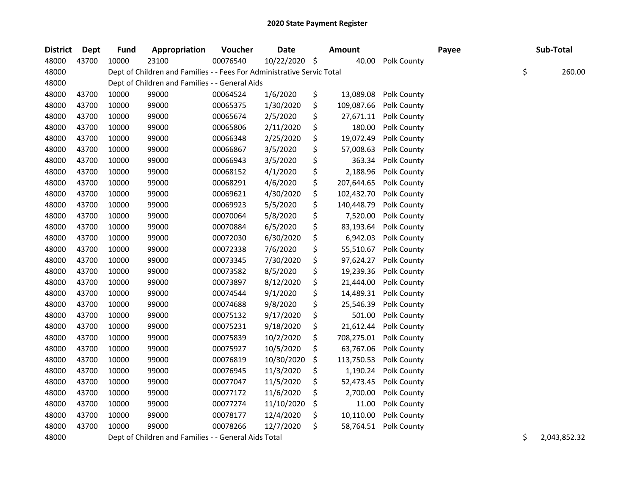| <b>District</b> | Dept  | <b>Fund</b> | Appropriation                                                          | Voucher  | Date       |                     | <b>Amount</b> |             | Payee | Sub-Total    |
|-----------------|-------|-------------|------------------------------------------------------------------------|----------|------------|---------------------|---------------|-------------|-------|--------------|
| 48000           | 43700 | 10000       | 23100                                                                  | 00076540 | 10/22/2020 | $\ddot{\mathsf{S}}$ | 40.00         | Polk County |       |              |
| 48000           |       |             | Dept of Children and Families - - Fees For Administrative Servic Total |          |            |                     |               |             |       | \$<br>260.00 |
| 48000           |       |             | Dept of Children and Families - - General Aids                         |          |            |                     |               |             |       |              |
| 48000           | 43700 | 10000       | 99000                                                                  | 00064524 | 1/6/2020   | \$                  | 13,089.08     | Polk County |       |              |
| 48000           | 43700 | 10000       | 99000                                                                  | 00065375 | 1/30/2020  | \$                  | 109,087.66    | Polk County |       |              |
| 48000           | 43700 | 10000       | 99000                                                                  | 00065674 | 2/5/2020   | \$                  | 27,671.11     | Polk County |       |              |
| 48000           | 43700 | 10000       | 99000                                                                  | 00065806 | 2/11/2020  | \$                  | 180.00        | Polk County |       |              |
| 48000           | 43700 | 10000       | 99000                                                                  | 00066348 | 2/25/2020  | \$                  | 19,072.49     | Polk County |       |              |
| 48000           | 43700 | 10000       | 99000                                                                  | 00066867 | 3/5/2020   | \$                  | 57,008.63     | Polk County |       |              |
| 48000           | 43700 | 10000       | 99000                                                                  | 00066943 | 3/5/2020   | \$                  | 363.34        | Polk County |       |              |
| 48000           | 43700 | 10000       | 99000                                                                  | 00068152 | 4/1/2020   | \$                  | 2,188.96      | Polk County |       |              |
| 48000           | 43700 | 10000       | 99000                                                                  | 00068291 | 4/6/2020   | \$                  | 207,644.65    | Polk County |       |              |
| 48000           | 43700 | 10000       | 99000                                                                  | 00069621 | 4/30/2020  | \$                  | 102,432.70    | Polk County |       |              |
| 48000           | 43700 | 10000       | 99000                                                                  | 00069923 | 5/5/2020   | \$                  | 140,448.79    | Polk County |       |              |
| 48000           | 43700 | 10000       | 99000                                                                  | 00070064 | 5/8/2020   | \$                  | 7,520.00      | Polk County |       |              |
| 48000           | 43700 | 10000       | 99000                                                                  | 00070884 | 6/5/2020   | \$                  | 83,193.64     | Polk County |       |              |
| 48000           | 43700 | 10000       | 99000                                                                  | 00072030 | 6/30/2020  | \$                  | 6,942.03      | Polk County |       |              |
| 48000           | 43700 | 10000       | 99000                                                                  | 00072338 | 7/6/2020   | \$                  | 55,510.67     | Polk County |       |              |
| 48000           | 43700 | 10000       | 99000                                                                  | 00073345 | 7/30/2020  | \$                  | 97,624.27     | Polk County |       |              |
| 48000           | 43700 | 10000       | 99000                                                                  | 00073582 | 8/5/2020   | \$                  | 19,239.36     | Polk County |       |              |
| 48000           | 43700 | 10000       | 99000                                                                  | 00073897 | 8/12/2020  | \$                  | 21,444.00     | Polk County |       |              |
| 48000           | 43700 | 10000       | 99000                                                                  | 00074544 | 9/1/2020   | \$                  | 14,489.31     | Polk County |       |              |
| 48000           | 43700 | 10000       | 99000                                                                  | 00074688 | 9/8/2020   | \$                  | 25,546.39     | Polk County |       |              |
| 48000           | 43700 | 10000       | 99000                                                                  | 00075132 | 9/17/2020  | \$                  | 501.00        | Polk County |       |              |
| 48000           | 43700 | 10000       | 99000                                                                  | 00075231 | 9/18/2020  | \$                  | 21,612.44     | Polk County |       |              |
| 48000           | 43700 | 10000       | 99000                                                                  | 00075839 | 10/2/2020  | \$                  | 708,275.01    | Polk County |       |              |
| 48000           | 43700 | 10000       | 99000                                                                  | 00075927 | 10/5/2020  | \$                  | 63,767.06     | Polk County |       |              |
| 48000           | 43700 | 10000       | 99000                                                                  | 00076819 | 10/30/2020 | \$                  | 113,750.53    | Polk County |       |              |
| 48000           | 43700 | 10000       | 99000                                                                  | 00076945 | 11/3/2020  | \$                  | 1,190.24      | Polk County |       |              |
| 48000           | 43700 | 10000       | 99000                                                                  | 00077047 | 11/5/2020  | \$                  | 52,473.45     | Polk County |       |              |
| 48000           | 43700 | 10000       | 99000                                                                  | 00077172 | 11/6/2020  | \$                  | 2,700.00      | Polk County |       |              |
| 48000           | 43700 | 10000       | 99000                                                                  | 00077274 | 11/10/2020 | \$                  | 11.00         | Polk County |       |              |
| 48000           | 43700 | 10000       | 99000                                                                  | 00078177 | 12/4/2020  | \$                  | 10,110.00     | Polk County |       |              |
| 48000           | 43700 | 10000       | 99000                                                                  | 00078266 | 12/7/2020  | \$                  | 58,764.51     | Polk County |       |              |

48000 Dept of Children and Families - - General Aids Total 2,043,852.32 \$ 2,043,852.32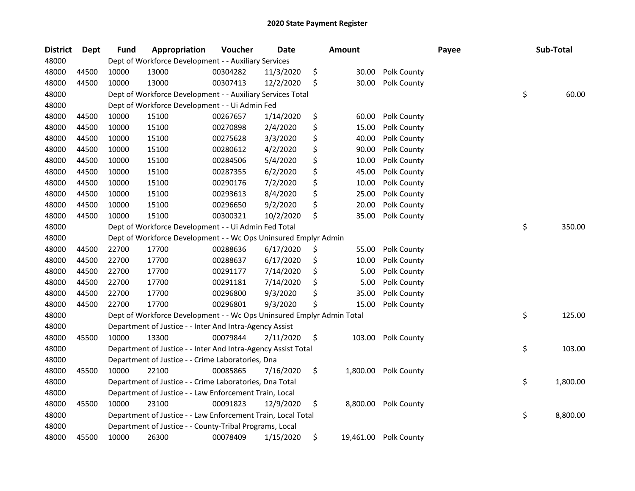| <b>District</b> | Dept  | <b>Fund</b> | Appropriation                                                         | Voucher  | <b>Date</b> | <b>Amount</b>  |                       | Payee | Sub-Total      |
|-----------------|-------|-------------|-----------------------------------------------------------------------|----------|-------------|----------------|-----------------------|-------|----------------|
| 48000           |       |             | Dept of Workforce Development - - Auxiliary Services                  |          |             |                |                       |       |                |
| 48000           | 44500 | 10000       | 13000                                                                 | 00304282 | 11/3/2020   | \$<br>30.00    | Polk County           |       |                |
| 48000           | 44500 | 10000       | 13000                                                                 | 00307413 | 12/2/2020   | \$<br>30.00    | Polk County           |       |                |
| 48000           |       |             | Dept of Workforce Development - - Auxiliary Services Total            |          |             |                |                       |       | \$<br>60.00    |
| 48000           |       |             | Dept of Workforce Development - - Ui Admin Fed                        |          |             |                |                       |       |                |
| 48000           | 44500 | 10000       | 15100                                                                 | 00267657 | 1/14/2020   | \$<br>60.00    | Polk County           |       |                |
| 48000           | 44500 | 10000       | 15100                                                                 | 00270898 | 2/4/2020    | \$<br>15.00    | Polk County           |       |                |
| 48000           | 44500 | 10000       | 15100                                                                 | 00275628 | 3/3/2020    | \$<br>40.00    | Polk County           |       |                |
| 48000           | 44500 | 10000       | 15100                                                                 | 00280612 | 4/2/2020    | \$<br>90.00    | Polk County           |       |                |
| 48000           | 44500 | 10000       | 15100                                                                 | 00284506 | 5/4/2020    | \$<br>10.00    | Polk County           |       |                |
| 48000           | 44500 | 10000       | 15100                                                                 | 00287355 | 6/2/2020    | \$<br>45.00    | Polk County           |       |                |
| 48000           | 44500 | 10000       | 15100                                                                 | 00290176 | 7/2/2020    | \$<br>10.00    | Polk County           |       |                |
| 48000           | 44500 | 10000       | 15100                                                                 | 00293613 | 8/4/2020    | \$<br>25.00    | Polk County           |       |                |
| 48000           | 44500 | 10000       | 15100                                                                 | 00296650 | 9/2/2020    | \$<br>20.00    | Polk County           |       |                |
| 48000           | 44500 | 10000       | 15100                                                                 | 00300321 | 10/2/2020   | \$<br>35.00    | Polk County           |       |                |
| 48000           |       |             | Dept of Workforce Development - - Ui Admin Fed Total                  |          |             |                |                       |       | \$<br>350.00   |
| 48000           |       |             | Dept of Workforce Development - - Wc Ops Uninsured Emplyr Admin       |          |             |                |                       |       |                |
| 48000           | 44500 | 22700       | 17700                                                                 | 00288636 | 6/17/2020   | \$<br>55.00    | Polk County           |       |                |
| 48000           | 44500 | 22700       | 17700                                                                 | 00288637 | 6/17/2020   | \$<br>10.00    | Polk County           |       |                |
| 48000           | 44500 | 22700       | 17700                                                                 | 00291177 | 7/14/2020   | \$<br>5.00     | Polk County           |       |                |
| 48000           | 44500 | 22700       | 17700                                                                 | 00291181 | 7/14/2020   | \$<br>5.00     | Polk County           |       |                |
| 48000           | 44500 | 22700       | 17700                                                                 | 00296800 | 9/3/2020    | \$<br>35.00    | Polk County           |       |                |
| 48000           | 44500 | 22700       | 17700                                                                 | 00296801 | 9/3/2020    | \$<br>15.00    | Polk County           |       |                |
| 48000           |       |             | Dept of Workforce Development - - Wc Ops Uninsured Emplyr Admin Total |          |             |                |                       |       | \$<br>125.00   |
| 48000           |       |             | Department of Justice - - Inter And Intra-Agency Assist               |          |             |                |                       |       |                |
| 48000           | 45500 | 10000       | 13300                                                                 | 00079844 | 2/11/2020   | \$<br>103.00   | Polk County           |       |                |
| 48000           |       |             | Department of Justice - - Inter And Intra-Agency Assist Total         |          |             |                |                       |       | \$<br>103.00   |
| 48000           |       |             | Department of Justice - - Crime Laboratories, Dna                     |          |             |                |                       |       |                |
| 48000           | 45500 | 10000       | 22100                                                                 | 00085865 | 7/16/2020   | \$<br>1,800.00 | Polk County           |       |                |
| 48000           |       |             | Department of Justice - - Crime Laboratories, Dna Total               |          |             |                |                       |       | \$<br>1,800.00 |
| 48000           |       |             | Department of Justice - - Law Enforcement Train, Local                |          |             |                |                       |       |                |
| 48000           | 45500 | 10000       | 23100                                                                 | 00091823 | 12/9/2020   | \$             | 8,800.00 Polk County  |       |                |
| 48000           |       |             | Department of Justice - - Law Enforcement Train, Local Total          |          |             |                |                       |       | \$<br>8,800.00 |
| 48000           |       |             | Department of Justice - - County-Tribal Programs, Local               |          |             |                |                       |       |                |
| 48000           | 45500 | 10000       | 26300                                                                 | 00078409 | 1/15/2020   | \$             | 19,461.00 Polk County |       |                |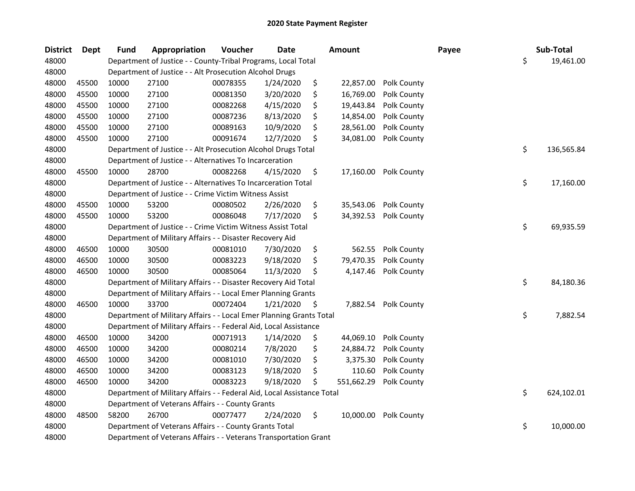| <b>District</b> | Dept  | <b>Fund</b> | <b>Appropriation</b>                                                   | Voucher  | Date      | <b>Amount</b>    |             | Payee | Sub-Total        |
|-----------------|-------|-------------|------------------------------------------------------------------------|----------|-----------|------------------|-------------|-------|------------------|
| 48000           |       |             | Department of Justice - - County-Tribal Programs, Local Total          |          |           |                  |             |       | \$<br>19,461.00  |
| 48000           |       |             | Department of Justice - - Alt Prosecution Alcohol Drugs                |          |           |                  |             |       |                  |
| 48000           | 45500 | 10000       | 27100                                                                  | 00078355 | 1/24/2020 | \$<br>22,857.00  | Polk County |       |                  |
| 48000           | 45500 | 10000       | 27100                                                                  | 00081350 | 3/20/2020 | \$<br>16,769.00  | Polk County |       |                  |
| 48000           | 45500 | 10000       | 27100                                                                  | 00082268 | 4/15/2020 | \$<br>19,443.84  | Polk County |       |                  |
| 48000           | 45500 | 10000       | 27100                                                                  | 00087236 | 8/13/2020 | \$<br>14,854.00  | Polk County |       |                  |
| 48000           | 45500 | 10000       | 27100                                                                  | 00089163 | 10/9/2020 | \$<br>28,561.00  | Polk County |       |                  |
| 48000           | 45500 | 10000       | 27100                                                                  | 00091674 | 12/7/2020 | \$<br>34,081.00  | Polk County |       |                  |
| 48000           |       |             | Department of Justice - - Alt Prosecution Alcohol Drugs Total          |          |           |                  |             |       | \$<br>136,565.84 |
| 48000           |       |             | Department of Justice - - Alternatives To Incarceration                |          |           |                  |             |       |                  |
| 48000           | 45500 | 10000       | 28700                                                                  | 00082268 | 4/15/2020 | \$<br>17,160.00  | Polk County |       |                  |
| 48000           |       |             | Department of Justice - - Alternatives To Incarceration Total          |          |           |                  |             |       | \$<br>17,160.00  |
| 48000           |       |             | Department of Justice - - Crime Victim Witness Assist                  |          |           |                  |             |       |                  |
| 48000           | 45500 | 10000       | 53200                                                                  | 00080502 | 2/26/2020 | \$<br>35,543.06  | Polk County |       |                  |
| 48000           | 45500 | 10000       | 53200                                                                  | 00086048 | 7/17/2020 | \$<br>34,392.53  | Polk County |       |                  |
| 48000           |       |             | Department of Justice - - Crime Victim Witness Assist Total            |          |           |                  |             |       | \$<br>69,935.59  |
| 48000           |       |             | Department of Military Affairs - - Disaster Recovery Aid               |          |           |                  |             |       |                  |
| 48000           | 46500 | 10000       | 30500                                                                  | 00081010 | 7/30/2020 | \$<br>562.55     | Polk County |       |                  |
| 48000           | 46500 | 10000       | 30500                                                                  | 00083223 | 9/18/2020 | \$<br>79,470.35  | Polk County |       |                  |
| 48000           | 46500 | 10000       | 30500                                                                  | 00085064 | 11/3/2020 | \$<br>4,147.46   | Polk County |       |                  |
| 48000           |       |             | Department of Military Affairs - - Disaster Recovery Aid Total         |          |           |                  |             |       | \$<br>84,180.36  |
| 48000           |       |             | Department of Military Affairs - - Local Emer Planning Grants          |          |           |                  |             |       |                  |
| 48000           | 46500 | 10000       | 33700                                                                  | 00072404 | 1/21/2020 | \$<br>7,882.54   | Polk County |       |                  |
| 48000           |       |             | Department of Military Affairs - - Local Emer Planning Grants Total    |          |           |                  |             |       | \$<br>7,882.54   |
| 48000           |       |             | Department of Military Affairs - - Federal Aid, Local Assistance       |          |           |                  |             |       |                  |
| 48000           | 46500 | 10000       | 34200                                                                  | 00071913 | 1/14/2020 | \$<br>44,069.10  | Polk County |       |                  |
| 48000           | 46500 | 10000       | 34200                                                                  | 00080214 | 7/8/2020  | \$<br>24,884.72  | Polk County |       |                  |
| 48000           | 46500 | 10000       | 34200                                                                  | 00081010 | 7/30/2020 | \$<br>3,375.30   | Polk County |       |                  |
| 48000           | 46500 | 10000       | 34200                                                                  | 00083123 | 9/18/2020 | \$<br>110.60     | Polk County |       |                  |
| 48000           | 46500 | 10000       | 34200                                                                  | 00083223 | 9/18/2020 | \$<br>551,662.29 | Polk County |       |                  |
| 48000           |       |             | Department of Military Affairs - - Federal Aid, Local Assistance Total |          |           |                  |             |       | \$<br>624,102.01 |
| 48000           |       |             | Department of Veterans Affairs - - County Grants                       |          |           |                  |             |       |                  |
| 48000           | 48500 | 58200       | 26700                                                                  | 00077477 | 2/24/2020 | \$<br>10,000.00  | Polk County |       |                  |
| 48000           |       |             | Department of Veterans Affairs - - County Grants Total                 |          |           |                  |             |       | \$<br>10,000.00  |
| 48000           |       |             | Department of Veterans Affairs - - Veterans Transportation Grant       |          |           |                  |             |       |                  |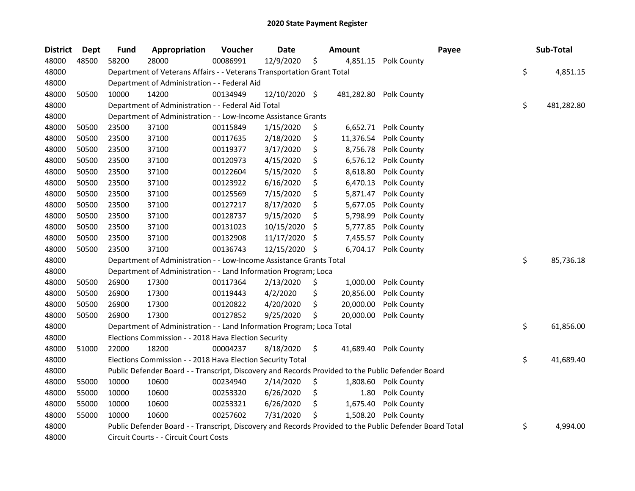| <b>District</b> | Dept  | <b>Fund</b> | Appropriation                                                                                     | Voucher  | <b>Date</b>   |     | <b>Amount</b> |                                                                                                         | Payee | Sub-Total        |
|-----------------|-------|-------------|---------------------------------------------------------------------------------------------------|----------|---------------|-----|---------------|---------------------------------------------------------------------------------------------------------|-------|------------------|
| 48000           | 48500 | 58200       | 28000                                                                                             | 00086991 | 12/9/2020     | \$  | 4,851.15      | Polk County                                                                                             |       |                  |
| 48000           |       |             | Department of Veterans Affairs - - Veterans Transportation Grant Total                            |          |               |     |               |                                                                                                         | \$    | 4,851.15         |
| 48000           |       |             | Department of Administration - - Federal Aid                                                      |          |               |     |               |                                                                                                         |       |                  |
| 48000           | 50500 | 10000       | 14200                                                                                             | 00134949 | 12/10/2020 \$ |     | 481,282.80    | Polk County                                                                                             |       |                  |
| 48000           |       |             | Department of Administration - - Federal Aid Total                                                |          |               |     |               |                                                                                                         |       | \$<br>481,282.80 |
| 48000           |       |             | Department of Administration - - Low-Income Assistance Grants                                     |          |               |     |               |                                                                                                         |       |                  |
| 48000           | 50500 | 23500       | 37100                                                                                             | 00115849 | 1/15/2020     | \$  | 6,652.71      | Polk County                                                                                             |       |                  |
| 48000           | 50500 | 23500       | 37100                                                                                             | 00117635 | 2/18/2020     | \$  | 11,376.54     | Polk County                                                                                             |       |                  |
| 48000           | 50500 | 23500       | 37100                                                                                             | 00119377 | 3/17/2020     | \$  | 8,756.78      | Polk County                                                                                             |       |                  |
| 48000           | 50500 | 23500       | 37100                                                                                             | 00120973 | 4/15/2020     | \$  | 6,576.12      | Polk County                                                                                             |       |                  |
| 48000           | 50500 | 23500       | 37100                                                                                             | 00122604 | 5/15/2020     | \$  | 8,618.80      | Polk County                                                                                             |       |                  |
| 48000           | 50500 | 23500       | 37100                                                                                             | 00123922 | 6/16/2020     | \$  | 6,470.13      | Polk County                                                                                             |       |                  |
| 48000           | 50500 | 23500       | 37100                                                                                             | 00125569 | 7/15/2020     | \$  | 5,871.47      | Polk County                                                                                             |       |                  |
| 48000           | 50500 | 23500       | 37100                                                                                             | 00127217 | 8/17/2020     | \$  | 5,677.05      | Polk County                                                                                             |       |                  |
| 48000           | 50500 | 23500       | 37100                                                                                             | 00128737 | 9/15/2020     | \$  | 5,798.99      | Polk County                                                                                             |       |                  |
| 48000           | 50500 | 23500       | 37100                                                                                             | 00131023 | 10/15/2020    | \$  | 5,777.85      | Polk County                                                                                             |       |                  |
| 48000           | 50500 | 23500       | 37100                                                                                             | 00132908 | 11/17/2020    | S   | 7,455.57      | Polk County                                                                                             |       |                  |
| 48000           | 50500 | 23500       | 37100                                                                                             | 00136743 | 12/15/2020    | \$. | 6,704.17      | Polk County                                                                                             |       |                  |
| 48000           |       |             | Department of Administration - - Low-Income Assistance Grants Total                               |          |               |     |               |                                                                                                         |       | \$<br>85,736.18  |
| 48000           |       |             | Department of Administration - - Land Information Program; Loca                                   |          |               |     |               |                                                                                                         |       |                  |
| 48000           | 50500 | 26900       | 17300                                                                                             | 00117364 | 2/13/2020     | \$  | 1,000.00      | Polk County                                                                                             |       |                  |
| 48000           | 50500 | 26900       | 17300                                                                                             | 00119443 | 4/2/2020      | \$  | 20,856.00     | Polk County                                                                                             |       |                  |
| 48000           | 50500 | 26900       | 17300                                                                                             | 00120822 | 4/20/2020     | \$  | 20,000.00     | Polk County                                                                                             |       |                  |
| 48000           | 50500 | 26900       | 17300                                                                                             | 00127852 | 9/25/2020     | \$  | 20,000.00     | Polk County                                                                                             |       |                  |
| 48000           |       |             | Department of Administration - - Land Information Program; Loca Total                             |          |               |     |               |                                                                                                         |       | \$<br>61,856.00  |
| 48000           |       |             | Elections Commission - - 2018 Hava Election Security                                              |          |               |     |               |                                                                                                         |       |                  |
| 48000           | 51000 | 22000       | 18200                                                                                             | 00004237 | 8/18/2020     | \$  |               | 41,689.40 Polk County                                                                                   |       |                  |
| 48000           |       |             | Elections Commission - - 2018 Hava Election Security Total                                        |          |               |     |               |                                                                                                         |       | \$<br>41,689.40  |
| 48000           |       |             | Public Defender Board - - Transcript, Discovery and Records Provided to the Public Defender Board |          |               |     |               |                                                                                                         |       |                  |
| 48000           | 55000 | 10000       | 10600                                                                                             | 00234940 | 2/14/2020     | \$  | 1,808.60      | Polk County                                                                                             |       |                  |
| 48000           | 55000 | 10000       | 10600                                                                                             | 00253320 | 6/26/2020     | \$  | 1.80          | Polk County                                                                                             |       |                  |
| 48000           | 55000 | 10000       | 10600                                                                                             | 00253321 | 6/26/2020     | \$  | 1,675.40      | Polk County                                                                                             |       |                  |
| 48000           | 55000 | 10000       | 10600                                                                                             | 00257602 | 7/31/2020     | \$  | 1,508.20      | Polk County                                                                                             |       |                  |
| 48000           |       |             |                                                                                                   |          |               |     |               | Public Defender Board - - Transcript, Discovery and Records Provided to the Public Defender Board Total | \$    | 4,994.00         |
| 48000           |       |             | Circuit Courts - - Circuit Court Costs                                                            |          |               |     |               |                                                                                                         |       |                  |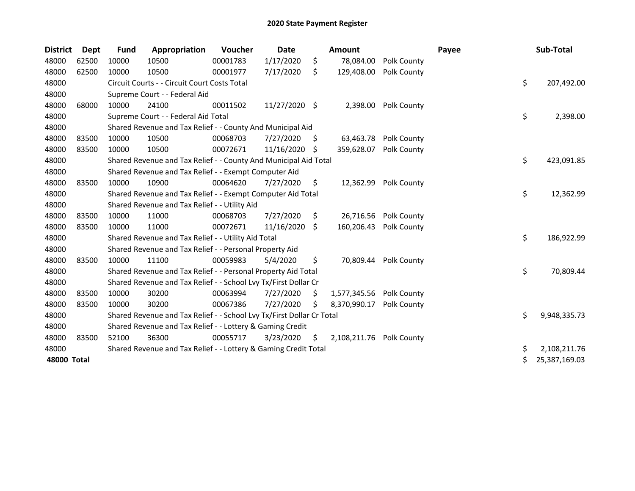| <b>District</b> | Dept  | <b>Fund</b> | Appropriation                                                         | Voucher  | <b>Date</b>   |     | Amount       |                    | Payee | Sub-Total           |
|-----------------|-------|-------------|-----------------------------------------------------------------------|----------|---------------|-----|--------------|--------------------|-------|---------------------|
| 48000           | 62500 | 10000       | 10500                                                                 | 00001783 | 1/17/2020     | \$  | 78,084.00    | Polk County        |       |                     |
| 48000           | 62500 | 10000       | 10500                                                                 | 00001977 | 7/17/2020     | \$  | 129,408.00   | Polk County        |       |                     |
| 48000           |       |             | Circuit Courts - - Circuit Court Costs Total                          |          |               |     |              |                    |       | \$<br>207,492.00    |
| 48000           |       |             | Supreme Court - - Federal Aid                                         |          |               |     |              |                    |       |                     |
| 48000           | 68000 | 10000       | 24100                                                                 | 00011502 | 11/27/2020 \$ |     | 2,398.00     | Polk County        |       |                     |
| 48000           |       |             | Supreme Court - - Federal Aid Total                                   |          |               |     |              |                    |       | \$<br>2,398.00      |
| 48000           |       |             | Shared Revenue and Tax Relief - - County And Municipal Aid            |          |               |     |              |                    |       |                     |
| 48000           | 83500 | 10000       | 10500                                                                 | 00068703 | 7/27/2020     | \$. | 63,463.78    | <b>Polk County</b> |       |                     |
| 48000           | 83500 | 10000       | 10500                                                                 | 00072671 | 11/16/2020    | -S  | 359,628.07   | Polk County        |       |                     |
| 48000           |       |             | Shared Revenue and Tax Relief - - County And Municipal Aid Total      |          |               |     |              |                    |       | \$<br>423,091.85    |
| 48000           |       |             | Shared Revenue and Tax Relief - - Exempt Computer Aid                 |          |               |     |              |                    |       |                     |
| 48000           | 83500 | 10000       | 10900                                                                 | 00064620 | 7/27/2020     | \$. | 12,362.99    | Polk County        |       |                     |
| 48000           |       |             | Shared Revenue and Tax Relief - - Exempt Computer Aid Total           |          |               |     |              |                    |       | \$<br>12,362.99     |
| 48000           |       |             | Shared Revenue and Tax Relief - - Utility Aid                         |          |               |     |              |                    |       |                     |
| 48000           | 83500 | 10000       | 11000                                                                 | 00068703 | 7/27/2020     | \$  | 26,716.56    | Polk County        |       |                     |
| 48000           | 83500 | 10000       | 11000                                                                 | 00072671 | 11/16/2020    | S.  | 160,206.43   | Polk County        |       |                     |
| 48000           |       |             | Shared Revenue and Tax Relief - - Utility Aid Total                   |          |               |     |              |                    |       | \$<br>186,922.99    |
| 48000           |       |             | Shared Revenue and Tax Relief - - Personal Property Aid               |          |               |     |              |                    |       |                     |
| 48000           | 83500 | 10000       | 11100                                                                 | 00059983 | 5/4/2020      | \$  | 70.809.44    | Polk County        |       |                     |
| 48000           |       |             | Shared Revenue and Tax Relief - - Personal Property Aid Total         |          |               |     |              |                    |       | \$<br>70,809.44     |
| 48000           |       |             | Shared Revenue and Tax Relief - - School Lvy Tx/First Dollar Cr       |          |               |     |              |                    |       |                     |
| 48000           | 83500 | 10000       | 30200                                                                 | 00063994 | 7/27/2020     | S   | 1,577,345.56 | Polk County        |       |                     |
| 48000           | 83500 | 10000       | 30200                                                                 | 00067386 | 7/27/2020     | S   | 8,370,990.17 | Polk County        |       |                     |
| 48000           |       |             | Shared Revenue and Tax Relief - - School Lvy Tx/First Dollar Cr Total |          |               |     |              |                    |       | \$<br>9,948,335.73  |
| 48000           |       |             | Shared Revenue and Tax Relief - - Lottery & Gaming Credit             |          |               |     |              |                    |       |                     |
| 48000           | 83500 | 52100       | 36300                                                                 | 00055717 | 3/23/2020     | S.  | 2,108,211.76 | Polk County        |       |                     |
| 48000           |       |             | Shared Revenue and Tax Relief - - Lottery & Gaming Credit Total       |          |               |     |              |                    |       | \$<br>2,108,211.76  |
| 48000 Total     |       |             |                                                                       |          |               |     |              |                    |       | \$<br>25,387,169.03 |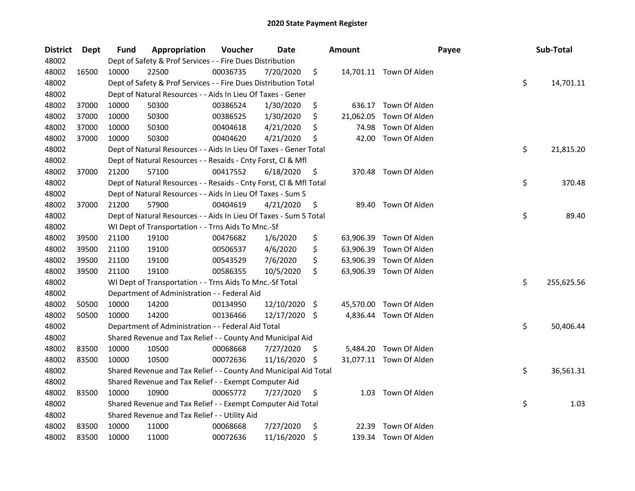| <b>District</b> | Dept  | Fund  | Appropriation                                                      | Voucher  | Date          |     | <b>Amount</b> | Payee                   | Sub-Total        |
|-----------------|-------|-------|--------------------------------------------------------------------|----------|---------------|-----|---------------|-------------------------|------------------|
| 48002           |       |       | Dept of Safety & Prof Services - - Fire Dues Distribution          |          |               |     |               |                         |                  |
| 48002           | 16500 | 10000 | 22500                                                              | 00036735 | 7/20/2020     | \$  |               | 14,701.11 Town Of Alden |                  |
| 48002           |       |       | Dept of Safety & Prof Services - - Fire Dues Distribution Total    |          |               |     |               |                         | \$<br>14,701.11  |
| 48002           |       |       | Dept of Natural Resources - - Aids In Lieu Of Taxes - Gener        |          |               |     |               |                         |                  |
| 48002           | 37000 | 10000 | 50300                                                              | 00386524 | 1/30/2020     | \$  | 636.17        | Town Of Alden           |                  |
| 48002           | 37000 | 10000 | 50300                                                              | 00386525 | 1/30/2020     | \$  | 21,062.05     | Town Of Alden           |                  |
| 48002           | 37000 | 10000 | 50300                                                              | 00404618 | 4/21/2020     | \$  | 74.98         | Town Of Alden           |                  |
| 48002           | 37000 | 10000 | 50300                                                              | 00404620 | 4/21/2020     | \$  | 42.00         | Town Of Alden           |                  |
| 48002           |       |       | Dept of Natural Resources - - Aids In Lieu Of Taxes - Gener Total  |          |               |     |               |                         | \$<br>21,815.20  |
| 48002           |       |       | Dept of Natural Resources - - Resaids - Cnty Forst, Cl & Mfl       |          |               |     |               |                         |                  |
| 48002           | 37000 | 21200 | 57100                                                              | 00417552 | 6/18/2020     | \$  |               | 370.48 Town Of Alden    |                  |
| 48002           |       |       | Dept of Natural Resources - - Resaids - Cnty Forst, Cl & Mfl Total |          |               |     |               |                         | \$<br>370.48     |
| 48002           |       |       | Dept of Natural Resources - - Aids In Lieu Of Taxes - Sum S        |          |               |     |               |                         |                  |
| 48002           | 37000 | 21200 | 57900                                                              | 00404619 | 4/21/2020     | \$  |               | 89.40 Town Of Alden     |                  |
| 48002           |       |       | Dept of Natural Resources - - Aids In Lieu Of Taxes - Sum S Total  |          |               |     |               |                         | \$<br>89.40      |
| 48002           |       |       | WI Dept of Transportation - - Trns Aids To Mnc.-Sf                 |          |               |     |               |                         |                  |
| 48002           | 39500 | 21100 | 19100                                                              | 00476682 | 1/6/2020      | \$  | 63,906.39     | Town Of Alden           |                  |
| 48002           | 39500 | 21100 | 19100                                                              | 00506537 | 4/6/2020      | \$  | 63,906.39     | Town Of Alden           |                  |
| 48002           | 39500 | 21100 | 19100                                                              | 00543529 | 7/6/2020      | \$  | 63,906.39     | Town Of Alden           |                  |
| 48002           | 39500 | 21100 | 19100                                                              | 00586355 | 10/5/2020     | \$  |               | 63,906.39 Town Of Alden |                  |
| 48002           |       |       | WI Dept of Transportation - - Trns Aids To Mnc.-Sf Total           |          |               |     |               |                         | \$<br>255,625.56 |
| 48002           |       |       | Department of Administration - - Federal Aid                       |          |               |     |               |                         |                  |
| 48002           | 50500 | 10000 | 14200                                                              | 00134950 | 12/10/2020    | -\$ |               | 45,570.00 Town Of Alden |                  |
| 48002           | 50500 | 10000 | 14200                                                              | 00136466 | 12/17/2020 \$ |     |               | 4,836.44 Town Of Alden  |                  |
| 48002           |       |       | Department of Administration - - Federal Aid Total                 |          |               |     |               |                         | \$<br>50,406.44  |
| 48002           |       |       | Shared Revenue and Tax Relief - - County And Municipal Aid         |          |               |     |               |                         |                  |
| 48002           | 83500 | 10000 | 10500                                                              | 00068668 | 7/27/2020     | \$. |               | 5,484.20 Town Of Alden  |                  |
| 48002           | 83500 | 10000 | 10500                                                              | 00072636 | 11/16/2020    | \$  |               | 31,077.11 Town Of Alden |                  |
| 48002           |       |       | Shared Revenue and Tax Relief - - County And Municipal Aid Total   |          |               |     |               |                         | \$<br>36,561.31  |
| 48002           |       |       | Shared Revenue and Tax Relief - - Exempt Computer Aid              |          |               |     |               |                         |                  |
| 48002           | 83500 | 10000 | 10900                                                              | 00065772 | 7/27/2020     | \$  |               | 1.03 Town Of Alden      |                  |
| 48002           |       |       | Shared Revenue and Tax Relief - - Exempt Computer Aid Total        |          |               |     |               |                         | \$<br>1.03       |
| 48002           |       |       | Shared Revenue and Tax Relief - - Utility Aid                      |          |               |     |               |                         |                  |
| 48002           | 83500 | 10000 | 11000                                                              | 00068668 | 7/27/2020     | \$  | 22.39         | Town Of Alden           |                  |
| 48002           | 83500 | 10000 | 11000                                                              | 00072636 | 11/16/2020    | \$  |               | 139.34 Town Of Alden    |                  |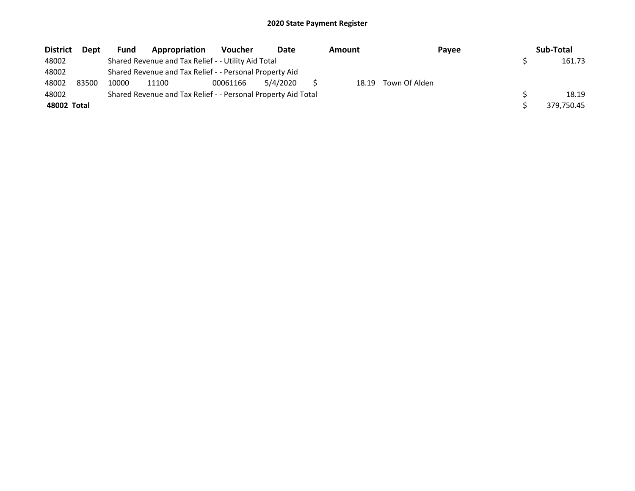| <b>District</b> | Dept  | <b>Fund</b> | Appropriation                                                 | <b>Voucher</b> | Date     | Amount | Payee         | Sub-Total  |
|-----------------|-------|-------------|---------------------------------------------------------------|----------------|----------|--------|---------------|------------|
| 48002           |       |             | Shared Revenue and Tax Relief - - Utility Aid Total           |                |          |        |               | 161.73     |
| 48002           |       |             | Shared Revenue and Tax Relief - - Personal Property Aid       |                |          |        |               |            |
| 48002           | 83500 | 10000       | 11100                                                         | 00061166       | 5/4/2020 | 18.19  | Town Of Alden |            |
| 48002           |       |             | Shared Revenue and Tax Relief - - Personal Property Aid Total |                |          |        |               | 18.19      |
| 48002 Total     |       |             |                                                               |                |          |        |               | 379.750.45 |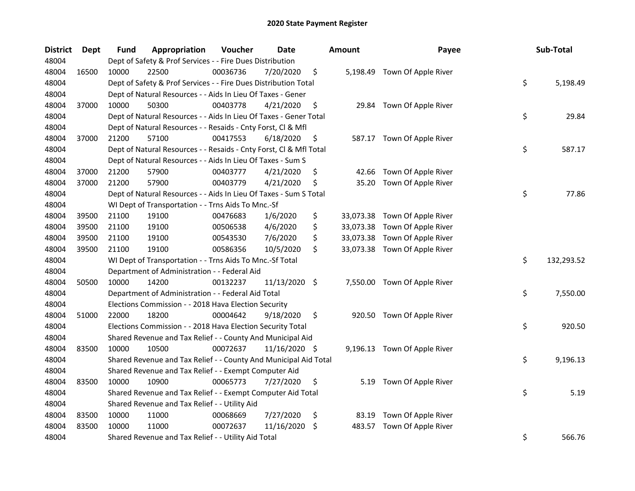| <b>District</b> | Dept  | Fund  | Appropriation                                                      | Voucher  | <b>Date</b>   | <b>Amount</b> | Payee                         | Sub-Total        |
|-----------------|-------|-------|--------------------------------------------------------------------|----------|---------------|---------------|-------------------------------|------------------|
| 48004           |       |       | Dept of Safety & Prof Services - - Fire Dues Distribution          |          |               |               |                               |                  |
| 48004           | 16500 | 10000 | 22500                                                              | 00036736 | 7/20/2020     | \$            | 5,198.49 Town Of Apple River  |                  |
| 48004           |       |       | Dept of Safety & Prof Services - - Fire Dues Distribution Total    |          |               |               |                               | \$<br>5,198.49   |
| 48004           |       |       | Dept of Natural Resources - - Aids In Lieu Of Taxes - Gener        |          |               |               |                               |                  |
| 48004           | 37000 | 10000 | 50300                                                              | 00403778 | 4/21/2020     | \$            | 29.84 Town Of Apple River     |                  |
| 48004           |       |       | Dept of Natural Resources - - Aids In Lieu Of Taxes - Gener Total  |          |               |               |                               | \$<br>29.84      |
| 48004           |       |       | Dept of Natural Resources - - Resaids - Cnty Forst, Cl & Mfl       |          |               |               |                               |                  |
| 48004           | 37000 | 21200 | 57100                                                              | 00417553 | 6/18/2020     | \$            | 587.17 Town Of Apple River    |                  |
| 48004           |       |       | Dept of Natural Resources - - Resaids - Cnty Forst, Cl & Mfl Total |          |               |               |                               | \$<br>587.17     |
| 48004           |       |       | Dept of Natural Resources - - Aids In Lieu Of Taxes - Sum S        |          |               |               |                               |                  |
| 48004           | 37000 | 21200 | 57900                                                              | 00403777 | 4/21/2020     | \$<br>42.66   | Town Of Apple River           |                  |
| 48004           | 37000 | 21200 | 57900                                                              | 00403779 | 4/21/2020     | \$<br>35.20   | Town Of Apple River           |                  |
| 48004           |       |       | Dept of Natural Resources - - Aids In Lieu Of Taxes - Sum S Total  |          |               |               |                               | \$<br>77.86      |
| 48004           |       |       | WI Dept of Transportation - - Trns Aids To Mnc.-Sf                 |          |               |               |                               |                  |
| 48004           | 39500 | 21100 | 19100                                                              | 00476683 | 1/6/2020      | \$            | 33,073.38 Town Of Apple River |                  |
| 48004           | 39500 | 21100 | 19100                                                              | 00506538 | 4/6/2020      | \$            | 33,073.38 Town Of Apple River |                  |
| 48004           | 39500 | 21100 | 19100                                                              | 00543530 | 7/6/2020      | \$            | 33,073.38 Town Of Apple River |                  |
| 48004           | 39500 | 21100 | 19100                                                              | 00586356 | 10/5/2020     | \$            | 33,073.38 Town Of Apple River |                  |
| 48004           |       |       | WI Dept of Transportation - - Trns Aids To Mnc.-Sf Total           |          |               |               |                               | \$<br>132,293.52 |
| 48004           |       |       | Department of Administration - - Federal Aid                       |          |               |               |                               |                  |
| 48004           | 50500 | 10000 | 14200                                                              | 00132237 | 11/13/2020 \$ |               | 7,550.00 Town Of Apple River  |                  |
| 48004           |       |       | Department of Administration - - Federal Aid Total                 |          |               |               |                               | \$<br>7,550.00   |
| 48004           |       |       | Elections Commission - - 2018 Hava Election Security               |          |               |               |                               |                  |
| 48004           | 51000 | 22000 | 18200                                                              | 00004642 | 9/18/2020     | \$            | 920.50 Town Of Apple River    |                  |
| 48004           |       |       | Elections Commission - - 2018 Hava Election Security Total         |          |               |               |                               | \$<br>920.50     |
| 48004           |       |       | Shared Revenue and Tax Relief - - County And Municipal Aid         |          |               |               |                               |                  |
| 48004           | 83500 | 10000 | 10500                                                              | 00072637 | 11/16/2020 \$ |               | 9,196.13 Town Of Apple River  |                  |
| 48004           |       |       | Shared Revenue and Tax Relief - - County And Municipal Aid Total   |          |               |               |                               | \$<br>9,196.13   |
| 48004           |       |       | Shared Revenue and Tax Relief - - Exempt Computer Aid              |          |               |               |                               |                  |
| 48004           | 83500 | 10000 | 10900                                                              | 00065773 | 7/27/2020     | \$            | 5.19 Town Of Apple River      |                  |
| 48004           |       |       | Shared Revenue and Tax Relief - - Exempt Computer Aid Total        |          |               |               |                               | \$<br>5.19       |
| 48004           |       |       | Shared Revenue and Tax Relief - - Utility Aid                      |          |               |               |                               |                  |
| 48004           | 83500 | 10000 | 11000                                                              | 00068669 | 7/27/2020     | \$<br>83.19   | Town Of Apple River           |                  |
| 48004           | 83500 | 10000 | 11000                                                              | 00072637 | 11/16/2020    | \$<br>483.57  | Town Of Apple River           |                  |
| 48004           |       |       | Shared Revenue and Tax Relief - - Utility Aid Total                |          |               |               |                               | \$<br>566.76     |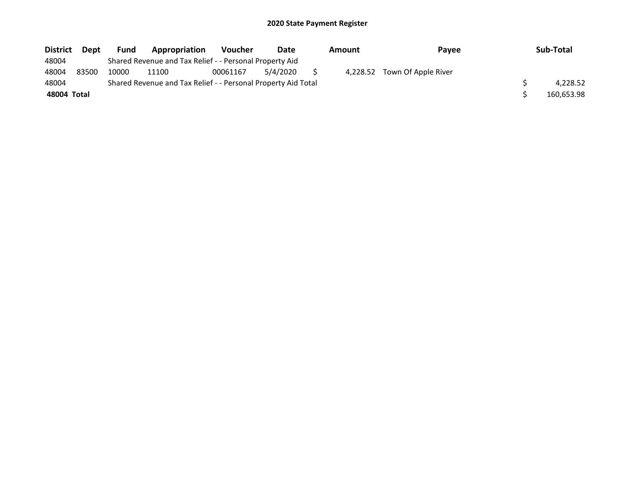| <b>District</b> | <b>Dept</b> | <b>Fund</b> | Appropriation                                                 | <b>Voucher</b> | Date     | Amount | <b>Pavee</b>                 | Sub-Total  |
|-----------------|-------------|-------------|---------------------------------------------------------------|----------------|----------|--------|------------------------------|------------|
| 48004           |             |             | Shared Revenue and Tax Relief - - Personal Property Aid       |                |          |        |                              |            |
| 48004           | 83500       | 10000       | 11100                                                         | 00061167       | 5/4/2020 |        | 4,228.52 Town Of Apple River |            |
| 48004           |             |             | Shared Revenue and Tax Relief - - Personal Property Aid Total |                |          |        |                              | 4.228.52   |
| 48004 Total     |             |             |                                                               |                |          |        |                              | 160.653.98 |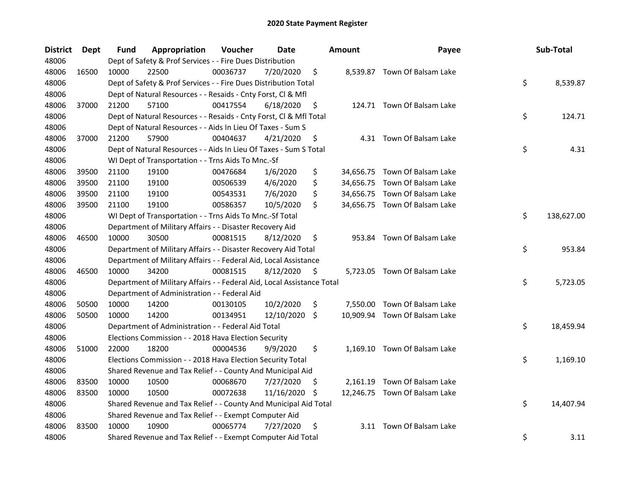| <b>District</b> | <b>Dept</b> | Fund  | Appropriation                                                          | Voucher  | <b>Date</b> |     | <b>Amount</b> | Payee                         | Sub-Total        |
|-----------------|-------------|-------|------------------------------------------------------------------------|----------|-------------|-----|---------------|-------------------------------|------------------|
| 48006           |             |       | Dept of Safety & Prof Services - - Fire Dues Distribution              |          |             |     |               |                               |                  |
| 48006           | 16500       | 10000 | 22500                                                                  | 00036737 | 7/20/2020   | \$  |               | 8,539.87 Town Of Balsam Lake  |                  |
| 48006           |             |       | Dept of Safety & Prof Services - - Fire Dues Distribution Total        |          |             |     |               |                               | \$<br>8,539.87   |
| 48006           |             |       | Dept of Natural Resources - - Resaids - Cnty Forst, Cl & Mfl           |          |             |     |               |                               |                  |
| 48006           | 37000       | 21200 | 57100                                                                  | 00417554 | 6/18/2020   | \$  |               | 124.71 Town Of Balsam Lake    |                  |
| 48006           |             |       | Dept of Natural Resources - - Resaids - Cnty Forst, Cl & Mfl Total     |          |             |     |               |                               | \$<br>124.71     |
| 48006           |             |       | Dept of Natural Resources - - Aids In Lieu Of Taxes - Sum S            |          |             |     |               |                               |                  |
| 48006           | 37000       | 21200 | 57900                                                                  | 00404637 | 4/21/2020   | \$  |               | 4.31 Town Of Balsam Lake      |                  |
| 48006           |             |       | Dept of Natural Resources - - Aids In Lieu Of Taxes - Sum S Total      |          |             |     |               |                               | \$<br>4.31       |
| 48006           |             |       | WI Dept of Transportation - - Trns Aids To Mnc.-Sf                     |          |             |     |               |                               |                  |
| 48006           | 39500       | 21100 | 19100                                                                  | 00476684 | 1/6/2020    | \$  |               | 34,656.75 Town Of Balsam Lake |                  |
| 48006           | 39500       | 21100 | 19100                                                                  | 00506539 | 4/6/2020    | \$  |               | 34,656.75 Town Of Balsam Lake |                  |
| 48006           | 39500       | 21100 | 19100                                                                  | 00543531 | 7/6/2020    | \$  |               | 34,656.75 Town Of Balsam Lake |                  |
| 48006           | 39500       | 21100 | 19100                                                                  | 00586357 | 10/5/2020   | \$  |               | 34,656.75 Town Of Balsam Lake |                  |
| 48006           |             |       | WI Dept of Transportation - - Trns Aids To Mnc.-Sf Total               |          |             |     |               |                               | \$<br>138,627.00 |
| 48006           |             |       | Department of Military Affairs - - Disaster Recovery Aid               |          |             |     |               |                               |                  |
| 48006           | 46500       | 10000 | 30500                                                                  | 00081515 | 8/12/2020   | \$  | 953.84        | Town Of Balsam Lake           |                  |
| 48006           |             |       | Department of Military Affairs - - Disaster Recovery Aid Total         |          |             |     |               |                               | \$<br>953.84     |
| 48006           |             |       | Department of Military Affairs - - Federal Aid, Local Assistance       |          |             |     |               |                               |                  |
| 48006           | 46500       | 10000 | 34200                                                                  | 00081515 | 8/12/2020   | \$  |               | 5,723.05 Town Of Balsam Lake  |                  |
| 48006           |             |       | Department of Military Affairs - - Federal Aid, Local Assistance Total |          |             |     |               |                               | \$<br>5,723.05   |
| 48006           |             |       | Department of Administration - - Federal Aid                           |          |             |     |               |                               |                  |
| 48006           | 50500       | 10000 | 14200                                                                  | 00130105 | 10/2/2020   | \$  |               | 7,550.00 Town Of Balsam Lake  |                  |
| 48006           | 50500       | 10000 | 14200                                                                  | 00134951 | 12/10/2020  | \$  |               | 10,909.94 Town Of Balsam Lake |                  |
| 48006           |             |       | Department of Administration - - Federal Aid Total                     |          |             |     |               |                               | \$<br>18,459.94  |
| 48006           |             |       | Elections Commission - - 2018 Hava Election Security                   |          |             |     |               |                               |                  |
| 48006           | 51000       | 22000 | 18200                                                                  | 00004536 | 9/9/2020    | \$  |               | 1,169.10 Town Of Balsam Lake  |                  |
| 48006           |             |       | Elections Commission - - 2018 Hava Election Security Total             |          |             |     |               |                               | \$<br>1,169.10   |
| 48006           |             |       | Shared Revenue and Tax Relief - - County And Municipal Aid             |          |             |     |               |                               |                  |
| 48006           | 83500       | 10000 | 10500                                                                  | 00068670 | 7/27/2020   | \$  |               | 2,161.19 Town Of Balsam Lake  |                  |
| 48006           | 83500       | 10000 | 10500                                                                  | 00072638 | 11/16/2020  | \$. |               | 12,246.75 Town Of Balsam Lake |                  |
| 48006           |             |       | Shared Revenue and Tax Relief - - County And Municipal Aid Total       |          |             |     |               |                               | \$<br>14,407.94  |
| 48006           |             |       | Shared Revenue and Tax Relief - - Exempt Computer Aid                  |          |             |     |               |                               |                  |
| 48006           | 83500       | 10000 | 10900                                                                  | 00065774 | 7/27/2020   | \$  |               | 3.11 Town Of Balsam Lake      |                  |
| 48006           |             |       | Shared Revenue and Tax Relief - - Exempt Computer Aid Total            |          |             |     |               |                               | \$<br>3.11       |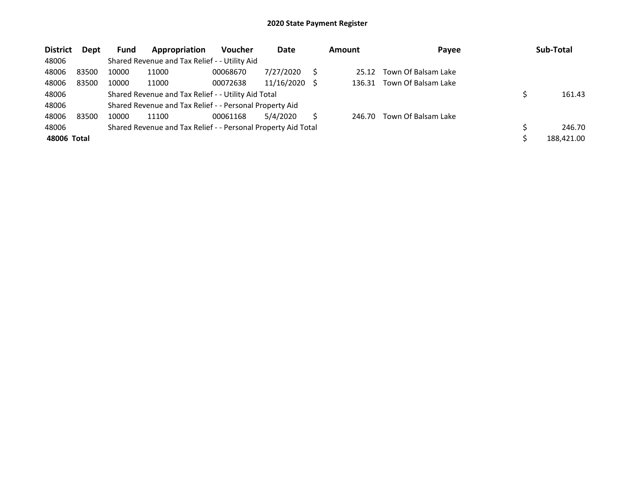| <b>District</b> | <b>Dept</b> | <b>Fund</b> | Appropriation                                                 | <b>Voucher</b> | Date       |     | <b>Amount</b> | Payee               | Sub-Total  |
|-----------------|-------------|-------------|---------------------------------------------------------------|----------------|------------|-----|---------------|---------------------|------------|
| 48006           |             |             | Shared Revenue and Tax Relief - - Utility Aid                 |                |            |     |               |                     |            |
| 48006           | 83500       | 10000       | 11000                                                         | 00068670       | 7/27/2020  |     | 25.12         | Town Of Balsam Lake |            |
| 48006           | 83500       | 10000       | 11000                                                         | 00072638       | 11/16/2020 | - S | 136.31        | Town Of Balsam Lake |            |
| 48006           |             |             | Shared Revenue and Tax Relief - - Utility Aid Total           |                |            |     |               |                     | 161.43     |
| 48006           |             |             | Shared Revenue and Tax Relief - - Personal Property Aid       |                |            |     |               |                     |            |
| 48006           | 83500       | 10000       | 11100                                                         | 00061168       | 5/4/2020   | Ś   | 246.70        | Town Of Balsam Lake |            |
| 48006           |             |             | Shared Revenue and Tax Relief - - Personal Property Aid Total |                |            |     |               |                     | 246.70     |
| 48006 Total     |             |             |                                                               |                |            |     |               |                     | 188,421.00 |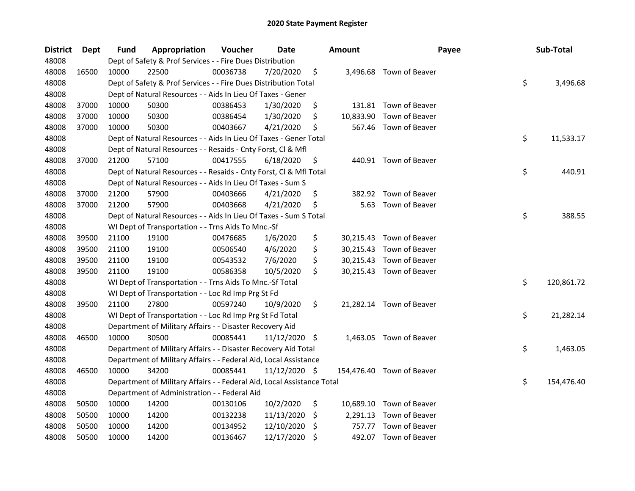| <b>District</b> | <b>Dept</b> | <b>Fund</b> | Appropriation                                                          | Voucher  | Date          |     | <b>Amount</b> | Payee                     | Sub-Total        |
|-----------------|-------------|-------------|------------------------------------------------------------------------|----------|---------------|-----|---------------|---------------------------|------------------|
| 48008           |             |             | Dept of Safety & Prof Services - - Fire Dues Distribution              |          |               |     |               |                           |                  |
| 48008           | 16500       | 10000       | 22500                                                                  | 00036738 | 7/20/2020     | \$  |               | 3,496.68 Town of Beaver   |                  |
| 48008           |             |             | Dept of Safety & Prof Services - - Fire Dues Distribution Total        |          |               |     |               |                           | \$<br>3,496.68   |
| 48008           |             |             | Dept of Natural Resources - - Aids In Lieu Of Taxes - Gener            |          |               |     |               |                           |                  |
| 48008           | 37000       | 10000       | 50300                                                                  | 00386453 | 1/30/2020     | \$  |               | 131.81 Town of Beaver     |                  |
| 48008           | 37000       | 10000       | 50300                                                                  | 00386454 | 1/30/2020     | \$  | 10,833.90     | Town of Beaver            |                  |
| 48008           | 37000       | 10000       | 50300                                                                  | 00403667 | 4/21/2020     | \$  |               | 567.46 Town of Beaver     |                  |
| 48008           |             |             | Dept of Natural Resources - - Aids In Lieu Of Taxes - Gener Total      |          |               |     |               |                           | \$<br>11,533.17  |
| 48008           |             |             | Dept of Natural Resources - - Resaids - Cnty Forst, Cl & Mfl           |          |               |     |               |                           |                  |
| 48008           | 37000       | 21200       | 57100                                                                  | 00417555 | 6/18/2020     | \$  |               | 440.91 Town of Beaver     |                  |
| 48008           |             |             | Dept of Natural Resources - - Resaids - Cnty Forst, Cl & Mfl Total     |          |               |     |               |                           | \$<br>440.91     |
| 48008           |             |             | Dept of Natural Resources - - Aids In Lieu Of Taxes - Sum S            |          |               |     |               |                           |                  |
| 48008           | 37000       | 21200       | 57900                                                                  | 00403666 | 4/21/2020     | \$  | 382.92        | Town of Beaver            |                  |
| 48008           | 37000       | 21200       | 57900                                                                  | 00403668 | 4/21/2020     | \$  | 5.63          | Town of Beaver            |                  |
| 48008           |             |             | Dept of Natural Resources - - Aids In Lieu Of Taxes - Sum S Total      |          |               |     |               |                           | \$<br>388.55     |
| 48008           |             |             | WI Dept of Transportation - - Trns Aids To Mnc.-Sf                     |          |               |     |               |                           |                  |
| 48008           | 39500       | 21100       | 19100                                                                  | 00476685 | 1/6/2020      | \$  |               | 30,215.43 Town of Beaver  |                  |
| 48008           | 39500       | 21100       | 19100                                                                  | 00506540 | 4/6/2020      | \$  |               | 30,215.43 Town of Beaver  |                  |
| 48008           | 39500       | 21100       | 19100                                                                  | 00543532 | 7/6/2020      | \$  |               | 30,215.43 Town of Beaver  |                  |
| 48008           | 39500       | 21100       | 19100                                                                  | 00586358 | 10/5/2020     | \$  |               | 30,215.43 Town of Beaver  |                  |
| 48008           |             |             | WI Dept of Transportation - - Trns Aids To Mnc.-Sf Total               |          |               |     |               |                           | \$<br>120,861.72 |
| 48008           |             |             | WI Dept of Transportation - - Loc Rd Imp Prg St Fd                     |          |               |     |               |                           |                  |
| 48008           | 39500       | 21100       | 27800                                                                  | 00597240 | 10/9/2020     | \$  |               | 21,282.14 Town of Beaver  |                  |
| 48008           |             |             | WI Dept of Transportation - - Loc Rd Imp Prg St Fd Total               |          |               |     |               |                           | \$<br>21,282.14  |
| 48008           |             |             | Department of Military Affairs - - Disaster Recovery Aid               |          |               |     |               |                           |                  |
| 48008           | 46500       | 10000       | 30500                                                                  | 00085441 | 11/12/2020 \$ |     |               | 1,463.05 Town of Beaver   |                  |
| 48008           |             |             | Department of Military Affairs - - Disaster Recovery Aid Total         |          |               |     |               |                           | \$<br>1,463.05   |
| 48008           |             |             | Department of Military Affairs - - Federal Aid, Local Assistance       |          |               |     |               |                           |                  |
| 48008           | 46500       | 10000       | 34200                                                                  | 00085441 | 11/12/2020 \$ |     |               | 154,476.40 Town of Beaver |                  |
| 48008           |             |             | Department of Military Affairs - - Federal Aid, Local Assistance Total |          |               |     |               |                           | \$<br>154,476.40 |
| 48008           |             |             | Department of Administration - - Federal Aid                           |          |               |     |               |                           |                  |
| 48008           | 50500       | 10000       | 14200                                                                  | 00130106 | 10/2/2020     | \$  |               | 10,689.10 Town of Beaver  |                  |
| 48008           | 50500       | 10000       | 14200                                                                  | 00132238 | 11/13/2020    | -\$ | 2,291.13      | Town of Beaver            |                  |
| 48008           | 50500       | 10000       | 14200                                                                  | 00134952 | 12/10/2020    | \$  | 757.77        | Town of Beaver            |                  |
| 48008           | 50500       | 10000       | 14200                                                                  | 00136467 | 12/17/2020    | \$  |               | 492.07 Town of Beaver     |                  |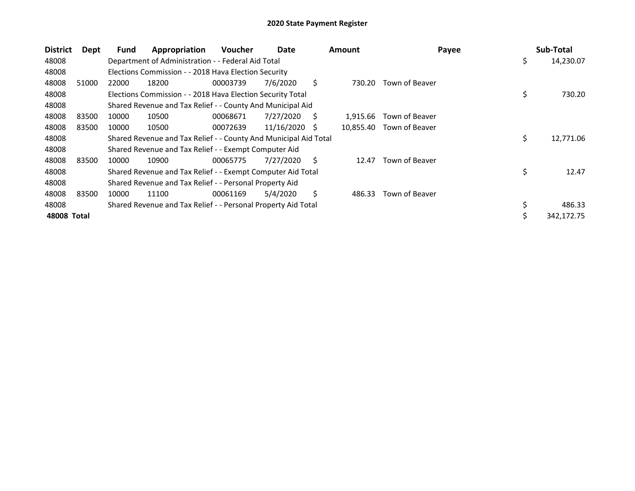| <b>District</b> | Dept  | <b>Fund</b> | Appropriation                                                    | <b>Voucher</b> | Date       |              | <b>Amount</b> | Payee          | Sub-Total        |
|-----------------|-------|-------------|------------------------------------------------------------------|----------------|------------|--------------|---------------|----------------|------------------|
| 48008           |       |             | Department of Administration - - Federal Aid Total               |                |            |              |               |                | \$<br>14,230.07  |
| 48008           |       |             | Elections Commission - - 2018 Hava Election Security             |                |            |              |               |                |                  |
| 48008           | 51000 | 22000       | 18200                                                            | 00003739       | 7/6/2020   | S            | 730.20        | Town of Beaver |                  |
| 48008           |       |             | Elections Commission - - 2018 Hava Election Security Total       |                |            |              |               |                | \$<br>730.20     |
| 48008           |       |             | Shared Revenue and Tax Relief - - County And Municipal Aid       |                |            |              |               |                |                  |
| 48008           | 83500 | 10000       | 10500                                                            | 00068671       | 7/27/2020  | S            | 1,915.66      | Town of Beaver |                  |
| 48008           | 83500 | 10000       | 10500                                                            | 00072639       | 11/16/2020 | <sub>S</sub> | 10,855.40     | Town of Beaver |                  |
| 48008           |       |             | Shared Revenue and Tax Relief - - County And Municipal Aid Total |                |            |              |               |                | \$<br>12,771.06  |
| 48008           |       |             | Shared Revenue and Tax Relief - - Exempt Computer Aid            |                |            |              |               |                |                  |
| 48008           | 83500 | 10000       | 10900                                                            | 00065775       | 7/27/2020  | Ś.           | 12.47         | Town of Beaver |                  |
| 48008           |       |             | Shared Revenue and Tax Relief - - Exempt Computer Aid Total      |                |            |              |               |                | \$<br>12.47      |
| 48008           |       |             | Shared Revenue and Tax Relief - - Personal Property Aid          |                |            |              |               |                |                  |
| 48008           | 83500 | 10000       | 11100                                                            | 00061169       | 5/4/2020   | Ś.           | 486.33        | Town of Beaver |                  |
| 48008           |       |             | Shared Revenue and Tax Relief - - Personal Property Aid Total    |                |            |              |               |                | 486.33           |
| 48008 Total     |       |             |                                                                  |                |            |              |               |                | \$<br>342,172.75 |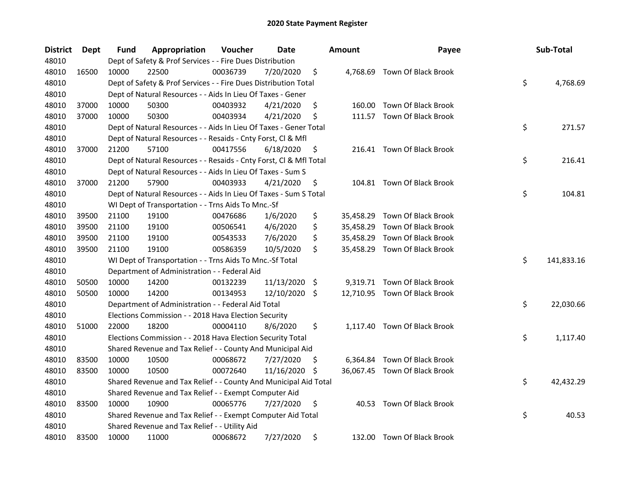| <b>District</b> | <b>Dept</b> | Fund  | Appropriation                                                      | Voucher  | <b>Date</b>   |      | <b>Amount</b> | Payee                         | Sub-Total        |
|-----------------|-------------|-------|--------------------------------------------------------------------|----------|---------------|------|---------------|-------------------------------|------------------|
| 48010           |             |       | Dept of Safety & Prof Services - - Fire Dues Distribution          |          |               |      |               |                               |                  |
| 48010           | 16500       | 10000 | 22500                                                              | 00036739 | 7/20/2020     | \$   |               | 4,768.69 Town Of Black Brook  |                  |
| 48010           |             |       | Dept of Safety & Prof Services - - Fire Dues Distribution Total    |          |               |      |               |                               | \$<br>4,768.69   |
| 48010           |             |       | Dept of Natural Resources - - Aids In Lieu Of Taxes - Gener        |          |               |      |               |                               |                  |
| 48010           | 37000       | 10000 | 50300                                                              | 00403932 | 4/21/2020     | \$   |               | 160.00 Town Of Black Brook    |                  |
| 48010           | 37000       | 10000 | 50300                                                              | 00403934 | 4/21/2020     | \$   |               | 111.57 Town Of Black Brook    |                  |
| 48010           |             |       | Dept of Natural Resources - - Aids In Lieu Of Taxes - Gener Total  |          |               |      |               |                               | \$<br>271.57     |
| 48010           |             |       | Dept of Natural Resources - - Resaids - Cnty Forst, Cl & Mfl       |          |               |      |               |                               |                  |
| 48010           | 37000       | 21200 | 57100                                                              | 00417556 | 6/18/2020     | \$   |               | 216.41 Town Of Black Brook    |                  |
| 48010           |             |       | Dept of Natural Resources - - Resaids - Cnty Forst, Cl & Mfl Total |          |               |      |               |                               | \$<br>216.41     |
| 48010           |             |       | Dept of Natural Resources - - Aids In Lieu Of Taxes - Sum S        |          |               |      |               |                               |                  |
| 48010           | 37000       | 21200 | 57900                                                              | 00403933 | 4/21/2020     | \$   |               | 104.81 Town Of Black Brook    |                  |
| 48010           |             |       | Dept of Natural Resources - - Aids In Lieu Of Taxes - Sum S Total  |          |               |      |               |                               | \$<br>104.81     |
| 48010           |             |       | WI Dept of Transportation - - Trns Aids To Mnc.-Sf                 |          |               |      |               |                               |                  |
| 48010           | 39500       | 21100 | 19100                                                              | 00476686 | 1/6/2020      | \$   | 35,458.29     | Town Of Black Brook           |                  |
| 48010           | 39500       | 21100 | 19100                                                              | 00506541 | 4/6/2020      | \$   | 35,458.29     | Town Of Black Brook           |                  |
| 48010           | 39500       | 21100 | 19100                                                              | 00543533 | 7/6/2020      | \$   | 35,458.29     | Town Of Black Brook           |                  |
| 48010           | 39500       | 21100 | 19100                                                              | 00586359 | 10/5/2020     | \$   |               | 35,458.29 Town Of Black Brook |                  |
| 48010           |             |       | WI Dept of Transportation - - Trns Aids To Mnc.-Sf Total           |          |               |      |               |                               | \$<br>141,833.16 |
| 48010           |             |       | Department of Administration - - Federal Aid                       |          |               |      |               |                               |                  |
| 48010           | 50500       | 10000 | 14200                                                              | 00132239 | 11/13/2020    | - \$ |               | 9,319.71 Town Of Black Brook  |                  |
| 48010           | 50500       | 10000 | 14200                                                              | 00134953 | 12/10/2020 \$ |      |               | 12,710.95 Town Of Black Brook |                  |
| 48010           |             |       | Department of Administration - - Federal Aid Total                 |          |               |      |               |                               | \$<br>22,030.66  |
| 48010           |             |       | Elections Commission - - 2018 Hava Election Security               |          |               |      |               |                               |                  |
| 48010           | 51000       | 22000 | 18200                                                              | 00004110 | 8/6/2020      | \$   |               | 1,117.40 Town Of Black Brook  |                  |
| 48010           |             |       | Elections Commission - - 2018 Hava Election Security Total         |          |               |      |               |                               | \$<br>1,117.40   |
| 48010           |             |       | Shared Revenue and Tax Relief - - County And Municipal Aid         |          |               |      |               |                               |                  |
| 48010           | 83500       | 10000 | 10500                                                              | 00068672 | 7/27/2020     | \$.  |               | 6,364.84 Town Of Black Brook  |                  |
| 48010           | 83500       | 10000 | 10500                                                              | 00072640 | 11/16/2020    | \$.  |               | 36,067.45 Town Of Black Brook |                  |
| 48010           |             |       | Shared Revenue and Tax Relief - - County And Municipal Aid Total   |          |               |      |               |                               | \$<br>42,432.29  |
| 48010           |             |       | Shared Revenue and Tax Relief - - Exempt Computer Aid              |          |               |      |               |                               |                  |
| 48010           | 83500       | 10000 | 10900                                                              | 00065776 | 7/27/2020     | \$   |               | 40.53 Town Of Black Brook     |                  |
| 48010           |             |       | Shared Revenue and Tax Relief - - Exempt Computer Aid Total        |          |               |      |               |                               | \$<br>40.53      |
| 48010           |             |       | Shared Revenue and Tax Relief - - Utility Aid                      |          |               |      |               |                               |                  |
| 48010           | 83500       | 10000 | 11000                                                              | 00068672 | 7/27/2020     | \$   |               | 132.00 Town Of Black Brook    |                  |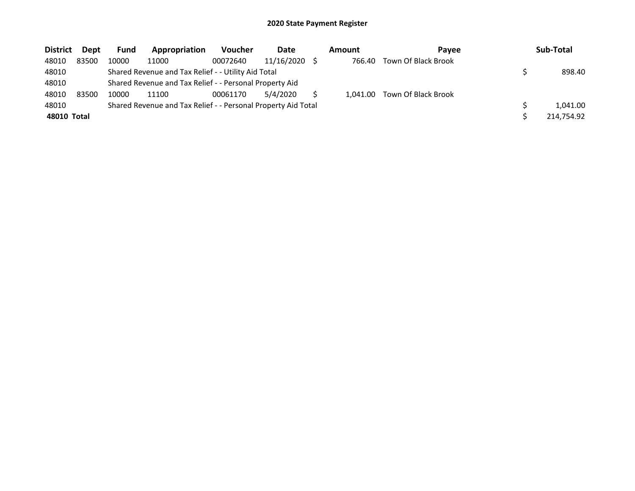| <b>District</b> | Dept  | <b>Fund</b> | Appropriation                                                 | <b>Voucher</b> | Date       | Amount   | <b>Pavee</b>        | Sub-Total  |
|-----------------|-------|-------------|---------------------------------------------------------------|----------------|------------|----------|---------------------|------------|
| 48010           | 83500 | 10000       | 11000                                                         | 00072640       | 11/16/2020 | 766.40   | Town Of Black Brook |            |
| 48010           |       |             | Shared Revenue and Tax Relief - - Utility Aid Total           |                |            |          |                     | 898.40     |
| 48010           |       |             | Shared Revenue and Tax Relief - - Personal Property Aid       |                |            |          |                     |            |
| 48010           | 83500 | 10000       | 11100                                                         | 00061170       | 5/4/2020   | 1.041.00 | Town Of Black Brook |            |
| 48010           |       |             | Shared Revenue and Tax Relief - - Personal Property Aid Total |                |            |          |                     | 1,041.00   |
| 48010 Total     |       |             |                                                               |                |            |          |                     | 214,754.92 |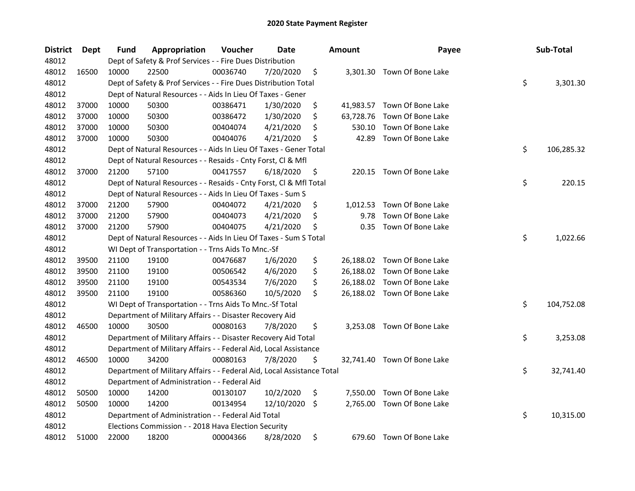| <b>District</b> | <b>Dept</b> | Fund  | Appropriation                                                          | Voucher  | <b>Date</b> |     | <b>Amount</b> | Payee                       | Sub-Total        |
|-----------------|-------------|-------|------------------------------------------------------------------------|----------|-------------|-----|---------------|-----------------------------|------------------|
| 48012           |             |       | Dept of Safety & Prof Services - - Fire Dues Distribution              |          |             |     |               |                             |                  |
| 48012           | 16500       | 10000 | 22500                                                                  | 00036740 | 7/20/2020   | \$  |               | 3,301.30 Town Of Bone Lake  |                  |
| 48012           |             |       | Dept of Safety & Prof Services - - Fire Dues Distribution Total        |          |             |     |               |                             | \$<br>3,301.30   |
| 48012           |             |       | Dept of Natural Resources - - Aids In Lieu Of Taxes - Gener            |          |             |     |               |                             |                  |
| 48012           | 37000       | 10000 | 50300                                                                  | 00386471 | 1/30/2020   | \$  |               | 41,983.57 Town Of Bone Lake |                  |
| 48012           | 37000       | 10000 | 50300                                                                  | 00386472 | 1/30/2020   | \$  | 63,728.76     | Town Of Bone Lake           |                  |
| 48012           | 37000       | 10000 | 50300                                                                  | 00404074 | 4/21/2020   | \$  | 530.10        | Town Of Bone Lake           |                  |
| 48012           | 37000       | 10000 | 50300                                                                  | 00404076 | 4/21/2020   | \$  | 42.89         | Town Of Bone Lake           |                  |
| 48012           |             |       | Dept of Natural Resources - - Aids In Lieu Of Taxes - Gener Total      |          |             |     |               |                             | \$<br>106,285.32 |
| 48012           |             |       | Dept of Natural Resources - - Resaids - Cnty Forst, Cl & Mfl           |          |             |     |               |                             |                  |
| 48012           | 37000       | 21200 | 57100                                                                  | 00417557 | 6/18/2020   | \$. |               | 220.15 Town Of Bone Lake    |                  |
| 48012           |             |       | Dept of Natural Resources - - Resaids - Cnty Forst, Cl & Mfl Total     |          |             |     |               |                             | \$<br>220.15     |
| 48012           |             |       | Dept of Natural Resources - - Aids In Lieu Of Taxes - Sum S            |          |             |     |               |                             |                  |
| 48012           | 37000       | 21200 | 57900                                                                  | 00404072 | 4/21/2020   | \$  | 1,012.53      | Town Of Bone Lake           |                  |
| 48012           | 37000       | 21200 | 57900                                                                  | 00404073 | 4/21/2020   | \$  | 9.78          | Town Of Bone Lake           |                  |
| 48012           | 37000       | 21200 | 57900                                                                  | 00404075 | 4/21/2020   | \$  | 0.35          | Town Of Bone Lake           |                  |
| 48012           |             |       | Dept of Natural Resources - - Aids In Lieu Of Taxes - Sum S Total      |          |             |     |               |                             | \$<br>1,022.66   |
| 48012           |             |       | WI Dept of Transportation - - Trns Aids To Mnc.-Sf                     |          |             |     |               |                             |                  |
| 48012           | 39500       | 21100 | 19100                                                                  | 00476687 | 1/6/2020    | \$  |               | 26,188.02 Town Of Bone Lake |                  |
| 48012           | 39500       | 21100 | 19100                                                                  | 00506542 | 4/6/2020    | \$  |               | 26,188.02 Town Of Bone Lake |                  |
| 48012           | 39500       | 21100 | 19100                                                                  | 00543534 | 7/6/2020    | \$  |               | 26,188.02 Town Of Bone Lake |                  |
| 48012           | 39500       | 21100 | 19100                                                                  | 00586360 | 10/5/2020   | \$  |               | 26,188.02 Town Of Bone Lake |                  |
| 48012           |             |       | WI Dept of Transportation - - Trns Aids To Mnc.-Sf Total               |          |             |     |               |                             | \$<br>104,752.08 |
| 48012           |             |       | Department of Military Affairs - - Disaster Recovery Aid               |          |             |     |               |                             |                  |
| 48012           | 46500       | 10000 | 30500                                                                  | 00080163 | 7/8/2020    | \$  | 3,253.08      | Town Of Bone Lake           |                  |
| 48012           |             |       | Department of Military Affairs - - Disaster Recovery Aid Total         |          |             |     |               |                             | \$<br>3,253.08   |
| 48012           |             |       | Department of Military Affairs - - Federal Aid, Local Assistance       |          |             |     |               |                             |                  |
| 48012           | 46500       | 10000 | 34200                                                                  | 00080163 | 7/8/2020    | \$  |               | 32,741.40 Town Of Bone Lake |                  |
| 48012           |             |       | Department of Military Affairs - - Federal Aid, Local Assistance Total |          |             |     |               |                             | \$<br>32,741.40  |
| 48012           |             |       | Department of Administration - - Federal Aid                           |          |             |     |               |                             |                  |
| 48012           | 50500       | 10000 | 14200                                                                  | 00130107 | 10/2/2020   | \$  | 7,550.00      | Town Of Bone Lake           |                  |
| 48012           | 50500       | 10000 | 14200                                                                  | 00134954 | 12/10/2020  | \$  | 2,765.00      | Town Of Bone Lake           |                  |
| 48012           |             |       | Department of Administration - - Federal Aid Total                     |          |             |     |               |                             | \$<br>10,315.00  |
| 48012           |             |       | Elections Commission - - 2018 Hava Election Security                   |          |             |     |               |                             |                  |
| 48012           | 51000       | 22000 | 18200                                                                  | 00004366 | 8/28/2020   | \$  |               | 679.60 Town Of Bone Lake    |                  |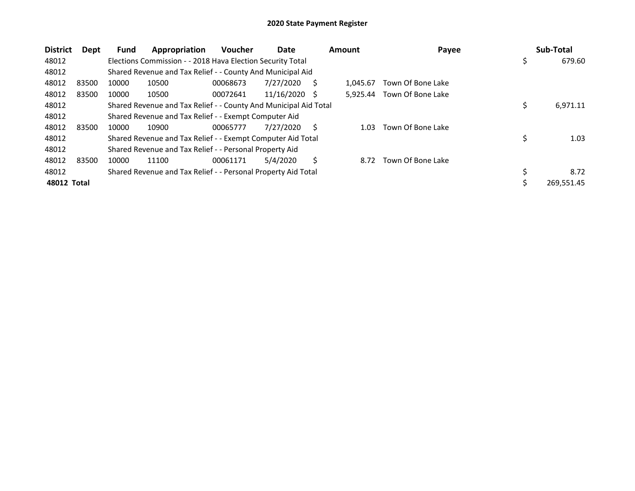| <b>District</b> | Dept  | <b>Fund</b> | Appropriation                                                    | <b>Voucher</b> | Date            |   | <b>Amount</b> | Payee             | Sub-Total      |
|-----------------|-------|-------------|------------------------------------------------------------------|----------------|-----------------|---|---------------|-------------------|----------------|
| 48012           |       |             | Elections Commission - - 2018 Hava Election Security Total       |                |                 |   |               |                   | \$<br>679.60   |
| 48012           |       |             | Shared Revenue and Tax Relief - - County And Municipal Aid       |                |                 |   |               |                   |                |
| 48012           | 83500 | 10000       | 10500                                                            | 00068673       | 7/27/2020       | S | 1.045.67      | Town Of Bone Lake |                |
| 48012           | 83500 | 10000       | 10500                                                            | 00072641       | $11/16/2020$ \$ |   | 5.925.44      | Town Of Bone Lake |                |
| 48012           |       |             | Shared Revenue and Tax Relief - - County And Municipal Aid Total |                |                 |   |               |                   | \$<br>6,971.11 |
| 48012           |       |             | Shared Revenue and Tax Relief - - Exempt Computer Aid            |                |                 |   |               |                   |                |
| 48012           | 83500 | 10000       | 10900                                                            | 00065777       | 7/27/2020       | S | 1.03          | Town Of Bone Lake |                |
| 48012           |       |             | Shared Revenue and Tax Relief - - Exempt Computer Aid Total      |                |                 |   |               |                   | 1.03           |
| 48012           |       |             | Shared Revenue and Tax Relief - - Personal Property Aid          |                |                 |   |               |                   |                |
| 48012           | 83500 | 10000       | 11100                                                            | 00061171       | 5/4/2020        | Ś | 8.72          | Town Of Bone Lake |                |
| 48012           |       |             | Shared Revenue and Tax Relief - - Personal Property Aid Total    |                |                 |   |               |                   | \$<br>8.72     |
| 48012 Total     |       |             |                                                                  |                |                 |   |               |                   | 269,551.45     |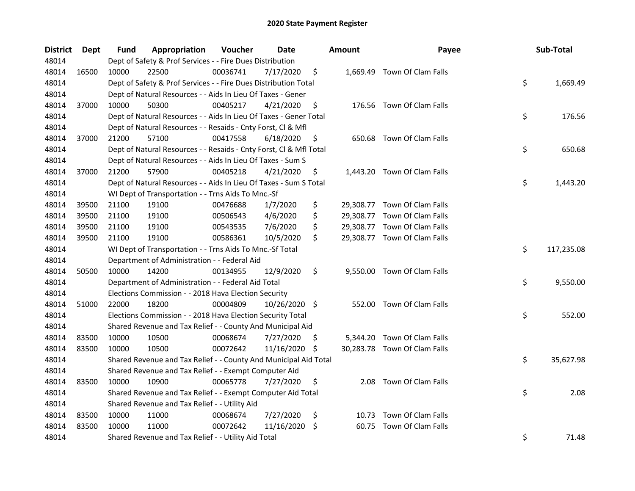| <b>District</b> | Dept  | <b>Fund</b> | Appropriation                                                      | Voucher  | Date          |    | <b>Amount</b> | Payee                        | Sub-Total        |
|-----------------|-------|-------------|--------------------------------------------------------------------|----------|---------------|----|---------------|------------------------------|------------------|
| 48014           |       |             | Dept of Safety & Prof Services - - Fire Dues Distribution          |          |               |    |               |                              |                  |
| 48014           | 16500 | 10000       | 22500                                                              | 00036741 | 7/17/2020     | \$ |               | 1,669.49 Town Of Clam Falls  |                  |
| 48014           |       |             | Dept of Safety & Prof Services - - Fire Dues Distribution Total    |          |               |    |               |                              | \$<br>1,669.49   |
| 48014           |       |             | Dept of Natural Resources - - Aids In Lieu Of Taxes - Gener        |          |               |    |               |                              |                  |
| 48014           | 37000 | 10000       | 50300                                                              | 00405217 | 4/21/2020     | \$ |               | 176.56 Town Of Clam Falls    |                  |
| 48014           |       |             | Dept of Natural Resources - - Aids In Lieu Of Taxes - Gener Total  |          |               |    |               |                              | \$<br>176.56     |
| 48014           |       |             | Dept of Natural Resources - - Resaids - Cnty Forst, Cl & Mfl       |          |               |    |               |                              |                  |
| 48014           | 37000 | 21200       | 57100                                                              | 00417558 | 6/18/2020     | \$ |               | 650.68 Town Of Clam Falls    |                  |
| 48014           |       |             | Dept of Natural Resources - - Resaids - Cnty Forst, Cl & Mfl Total |          |               |    |               |                              | \$<br>650.68     |
| 48014           |       |             | Dept of Natural Resources - - Aids In Lieu Of Taxes - Sum S        |          |               |    |               |                              |                  |
| 48014           | 37000 | 21200       | 57900                                                              | 00405218 | 4/21/2020     | \$ |               | 1,443.20 Town Of Clam Falls  |                  |
| 48014           |       |             | Dept of Natural Resources - - Aids In Lieu Of Taxes - Sum S Total  |          |               |    |               |                              | \$<br>1,443.20   |
| 48014           |       |             | WI Dept of Transportation - - Trns Aids To Mnc.-Sf                 |          |               |    |               |                              |                  |
| 48014           | 39500 | 21100       | 19100                                                              | 00476688 | 1/7/2020      | \$ |               | 29,308.77 Town Of Clam Falls |                  |
| 48014           | 39500 | 21100       | 19100                                                              | 00506543 | 4/6/2020      | \$ |               | 29,308.77 Town Of Clam Falls |                  |
| 48014           | 39500 | 21100       | 19100                                                              | 00543535 | 7/6/2020      | \$ |               | 29,308.77 Town Of Clam Falls |                  |
| 48014           | 39500 | 21100       | 19100                                                              | 00586361 | 10/5/2020     | \$ |               | 29,308.77 Town Of Clam Falls |                  |
| 48014           |       |             | WI Dept of Transportation - - Trns Aids To Mnc.-Sf Total           |          |               |    |               |                              | \$<br>117,235.08 |
| 48014           |       |             | Department of Administration - - Federal Aid                       |          |               |    |               |                              |                  |
| 48014           | 50500 | 10000       | 14200                                                              | 00134955 | 12/9/2020     | \$ |               | 9,550.00 Town Of Clam Falls  |                  |
| 48014           |       |             | Department of Administration - - Federal Aid Total                 |          |               |    |               |                              | \$<br>9,550.00   |
| 48014           |       |             | Elections Commission - - 2018 Hava Election Security               |          |               |    |               |                              |                  |
| 48014           | 51000 | 22000       | 18200                                                              | 00004809 | 10/26/2020 \$ |    |               | 552.00 Town Of Clam Falls    |                  |
| 48014           |       |             | Elections Commission - - 2018 Hava Election Security Total         |          |               |    |               |                              | \$<br>552.00     |
| 48014           |       |             | Shared Revenue and Tax Relief - - County And Municipal Aid         |          |               |    |               |                              |                  |
| 48014           | 83500 | 10000       | 10500                                                              | 00068674 | 7/27/2020     | S. |               | 5,344.20 Town Of Clam Falls  |                  |
| 48014           | 83500 | 10000       | 10500                                                              | 00072642 | 11/16/2020 \$ |    |               | 30,283.78 Town Of Clam Falls |                  |
| 48014           |       |             | Shared Revenue and Tax Relief - - County And Municipal Aid Total   |          |               |    |               |                              | \$<br>35,627.98  |
| 48014           |       |             | Shared Revenue and Tax Relief - - Exempt Computer Aid              |          |               |    |               |                              |                  |
| 48014           | 83500 | 10000       | 10900                                                              | 00065778 | 7/27/2020     | \$ | 2.08          | Town Of Clam Falls           |                  |
| 48014           |       |             | Shared Revenue and Tax Relief - - Exempt Computer Aid Total        |          |               |    |               |                              | \$<br>2.08       |
| 48014           |       |             | Shared Revenue and Tax Relief - - Utility Aid                      |          |               |    |               |                              |                  |
| 48014           | 83500 | 10000       | 11000                                                              | 00068674 | 7/27/2020     | \$ |               | 10.73 Town Of Clam Falls     |                  |
| 48014           | 83500 | 10000       | 11000                                                              | 00072642 | 11/16/2020    | \$ | 60.75         | Town Of Clam Falls           |                  |
| 48014           |       |             | Shared Revenue and Tax Relief - - Utility Aid Total                |          |               |    |               |                              | \$<br>71.48      |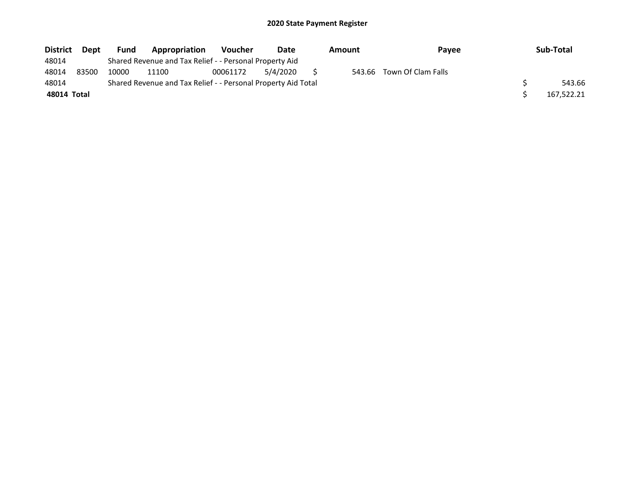| <b>District</b> | <b>Dept</b> | <b>Fund</b> | Appropriation                                                 | <b>Voucher</b> | Date     | Amount |  | <b>Pavee</b>              |  | Sub-Total  |
|-----------------|-------------|-------------|---------------------------------------------------------------|----------------|----------|--------|--|---------------------------|--|------------|
| 48014           |             |             | Shared Revenue and Tax Relief - - Personal Property Aid       |                |          |        |  |                           |  |            |
| 48014           | 83500       | 10000       | 11100                                                         | 00061172       | 5/4/2020 |        |  | 543.66 Town Of Clam Falls |  |            |
| 48014           |             |             | Shared Revenue and Tax Relief - - Personal Property Aid Total |                |          |        |  |                           |  | 543.66     |
| 48014 Total     |             |             |                                                               |                |          |        |  |                           |  | 167,522.21 |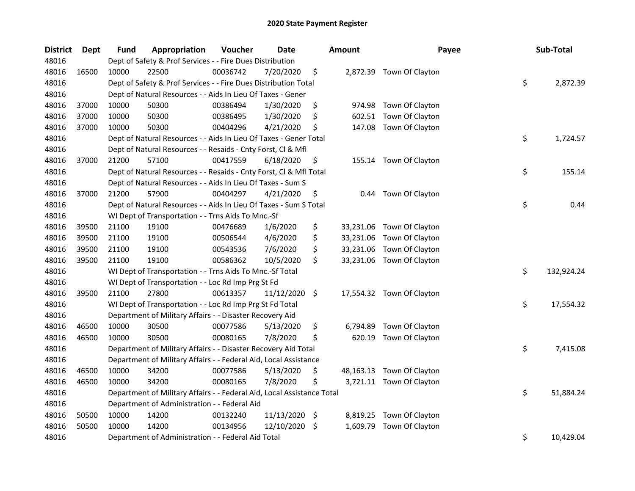| <b>District</b> | <b>Dept</b> | Fund  | Appropriation                                                          | Voucher  | <b>Date</b>   |      | <b>Amount</b> | Payee                     | Sub-Total        |
|-----------------|-------------|-------|------------------------------------------------------------------------|----------|---------------|------|---------------|---------------------------|------------------|
| 48016           |             |       | Dept of Safety & Prof Services - - Fire Dues Distribution              |          |               |      |               |                           |                  |
| 48016           | 16500       | 10000 | 22500                                                                  | 00036742 | 7/20/2020     | \$   |               | 2,872.39 Town Of Clayton  |                  |
| 48016           |             |       | Dept of Safety & Prof Services - - Fire Dues Distribution Total        |          |               |      |               |                           | \$<br>2,872.39   |
| 48016           |             |       | Dept of Natural Resources - - Aids In Lieu Of Taxes - Gener            |          |               |      |               |                           |                  |
| 48016           | 37000       | 10000 | 50300                                                                  | 00386494 | 1/30/2020     | \$   | 974.98        | Town Of Clayton           |                  |
| 48016           | 37000       | 10000 | 50300                                                                  | 00386495 | 1/30/2020     | \$   | 602.51        | Town Of Clayton           |                  |
| 48016           | 37000       | 10000 | 50300                                                                  | 00404296 | 4/21/2020     | \$   | 147.08        | Town Of Clayton           |                  |
| 48016           |             |       | Dept of Natural Resources - - Aids In Lieu Of Taxes - Gener Total      |          |               |      |               |                           | \$<br>1,724.57   |
| 48016           |             |       | Dept of Natural Resources - - Resaids - Cnty Forst, Cl & Mfl           |          |               |      |               |                           |                  |
| 48016           | 37000       | 21200 | 57100                                                                  | 00417559 | 6/18/2020     | \$   |               | 155.14 Town Of Clayton    |                  |
| 48016           |             |       | Dept of Natural Resources - - Resaids - Cnty Forst, Cl & Mfl Total     |          |               |      |               |                           | \$<br>155.14     |
| 48016           |             |       | Dept of Natural Resources - - Aids In Lieu Of Taxes - Sum S            |          |               |      |               |                           |                  |
| 48016           | 37000       | 21200 | 57900                                                                  | 00404297 | 4/21/2020     | \$   | 0.44          | Town Of Clayton           |                  |
| 48016           |             |       | Dept of Natural Resources - - Aids In Lieu Of Taxes - Sum S Total      |          |               |      |               |                           | \$<br>0.44       |
| 48016           |             |       | WI Dept of Transportation - - Trns Aids To Mnc.-Sf                     |          |               |      |               |                           |                  |
| 48016           | 39500       | 21100 | 19100                                                                  | 00476689 | 1/6/2020      | \$   | 33,231.06     | Town Of Clayton           |                  |
| 48016           | 39500       | 21100 | 19100                                                                  | 00506544 | 4/6/2020      | \$   | 33,231.06     | Town Of Clayton           |                  |
| 48016           | 39500       | 21100 | 19100                                                                  | 00543536 | 7/6/2020      | \$   | 33,231.06     | Town Of Clayton           |                  |
| 48016           | 39500       | 21100 | 19100                                                                  | 00586362 | 10/5/2020     | \$   | 33,231.06     | Town Of Clayton           |                  |
| 48016           |             |       | WI Dept of Transportation - - Trns Aids To Mnc.-Sf Total               |          |               |      |               |                           | \$<br>132,924.24 |
| 48016           |             |       | WI Dept of Transportation - - Loc Rd Imp Prg St Fd                     |          |               |      |               |                           |                  |
| 48016           | 39500       | 21100 | 27800                                                                  | 00613357 | 11/12/2020 \$ |      |               | 17,554.32 Town Of Clayton |                  |
| 48016           |             |       | WI Dept of Transportation - - Loc Rd Imp Prg St Fd Total               |          |               |      |               |                           | \$<br>17,554.32  |
| 48016           |             |       | Department of Military Affairs - - Disaster Recovery Aid               |          |               |      |               |                           |                  |
| 48016           | 46500       | 10000 | 30500                                                                  | 00077586 | 5/13/2020     | \$   | 6,794.89      | Town Of Clayton           |                  |
| 48016           | 46500       | 10000 | 30500                                                                  | 00080165 | 7/8/2020      | \$   | 620.19        | Town Of Clayton           |                  |
| 48016           |             |       | Department of Military Affairs - - Disaster Recovery Aid Total         |          |               |      |               |                           | \$<br>7,415.08   |
| 48016           |             |       | Department of Military Affairs - - Federal Aid, Local Assistance       |          |               |      |               |                           |                  |
| 48016           | 46500       | 10000 | 34200                                                                  | 00077586 | 5/13/2020     | \$   |               | 48,163.13 Town Of Clayton |                  |
| 48016           | 46500       | 10000 | 34200                                                                  | 00080165 | 7/8/2020      | \$   |               | 3,721.11 Town Of Clayton  |                  |
| 48016           |             |       | Department of Military Affairs - - Federal Aid, Local Assistance Total |          |               |      |               |                           | \$<br>51,884.24  |
| 48016           |             |       | Department of Administration - - Federal Aid                           |          |               |      |               |                           |                  |
| 48016           | 50500       | 10000 | 14200                                                                  | 00132240 | 11/13/2020    | - \$ | 8,819.25      | Town Of Clayton           |                  |
| 48016           | 50500       | 10000 | 14200                                                                  | 00134956 | 12/10/2020    | \$   | 1,609.79      | Town Of Clayton           |                  |
| 48016           |             |       | Department of Administration - - Federal Aid Total                     |          |               |      |               |                           | \$<br>10,429.04  |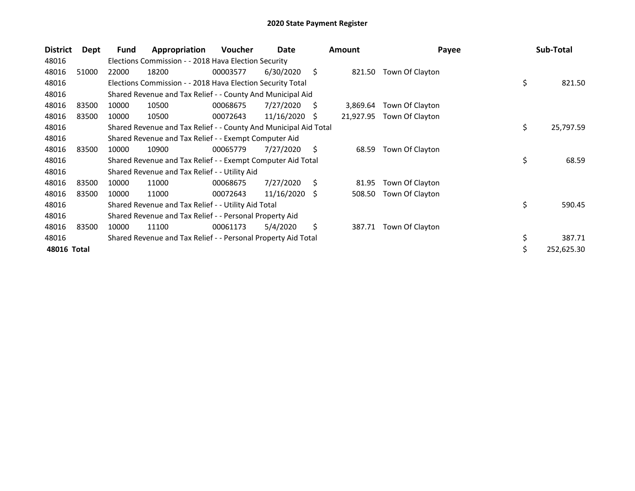| <b>District</b> | Dept  | Fund  | Appropriation                                                    | Voucher  | Date            |     | <b>Amount</b> | Payee           | Sub-Total        |
|-----------------|-------|-------|------------------------------------------------------------------|----------|-----------------|-----|---------------|-----------------|------------------|
| 48016           |       |       | Elections Commission - - 2018 Hava Election Security             |          |                 |     |               |                 |                  |
| 48016           | 51000 | 22000 | 18200                                                            | 00003577 | 6/30/2020       | \$  | 821.50        | Town Of Clayton |                  |
| 48016           |       |       | Elections Commission - - 2018 Hava Election Security Total       |          |                 |     |               |                 | \$<br>821.50     |
| 48016           |       |       | Shared Revenue and Tax Relief - - County And Municipal Aid       |          |                 |     |               |                 |                  |
| 48016           | 83500 | 10000 | 10500                                                            | 00068675 | 7/27/2020       | S   | 3,869.64      | Town Of Clayton |                  |
| 48016           | 83500 | 10000 | 10500                                                            | 00072643 | $11/16/2020$ \$ |     | 21,927.95     | Town Of Clayton |                  |
| 48016           |       |       | Shared Revenue and Tax Relief - - County And Municipal Aid Total |          |                 |     |               |                 | \$<br>25,797.59  |
| 48016           |       |       | Shared Revenue and Tax Relief - - Exempt Computer Aid            |          |                 |     |               |                 |                  |
| 48016           | 83500 | 10000 | 10900                                                            | 00065779 | 7/27/2020       | S.  | 68.59         | Town Of Clayton |                  |
| 48016           |       |       | Shared Revenue and Tax Relief - - Exempt Computer Aid Total      |          |                 |     |               |                 | \$<br>68.59      |
| 48016           |       |       | Shared Revenue and Tax Relief - - Utility Aid                    |          |                 |     |               |                 |                  |
| 48016           | 83500 | 10000 | 11000                                                            | 00068675 | 7/27/2020       | \$  | 81.95         | Town Of Clayton |                  |
| 48016           | 83500 | 10000 | 11000                                                            | 00072643 | 11/16/2020      | - S | 508.50        | Town Of Clayton |                  |
| 48016           |       |       | Shared Revenue and Tax Relief - - Utility Aid Total              |          |                 |     |               |                 | \$<br>590.45     |
| 48016           |       |       | Shared Revenue and Tax Relief - - Personal Property Aid          |          |                 |     |               |                 |                  |
| 48016           | 83500 | 10000 | 11100                                                            | 00061173 | 5/4/2020        | \$  | 387.71        | Town Of Clayton |                  |
| 48016           |       |       | Shared Revenue and Tax Relief - - Personal Property Aid Total    |          |                 |     |               |                 | \$<br>387.71     |
| 48016 Total     |       |       |                                                                  |          |                 |     |               |                 | \$<br>252,625.30 |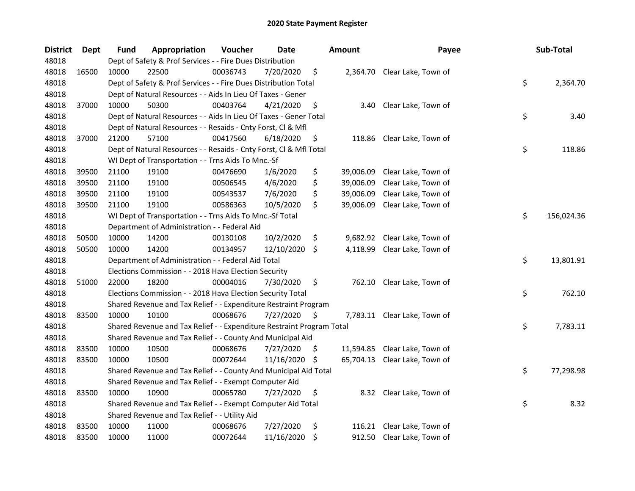| <b>District</b> | Dept  | Fund  | Appropriation                                                         | Voucher  | <b>Date</b> |     | <b>Amount</b> | Payee                         | Sub-Total        |
|-----------------|-------|-------|-----------------------------------------------------------------------|----------|-------------|-----|---------------|-------------------------------|------------------|
| 48018           |       |       | Dept of Safety & Prof Services - - Fire Dues Distribution             |          |             |     |               |                               |                  |
| 48018           | 16500 | 10000 | 22500                                                                 | 00036743 | 7/20/2020   | \$  |               | 2,364.70 Clear Lake, Town of  |                  |
| 48018           |       |       | Dept of Safety & Prof Services - - Fire Dues Distribution Total       |          |             |     |               |                               | \$<br>2,364.70   |
| 48018           |       |       | Dept of Natural Resources - - Aids In Lieu Of Taxes - Gener           |          |             |     |               |                               |                  |
| 48018           | 37000 | 10000 | 50300                                                                 | 00403764 | 4/21/2020   | \$  | 3.40          | Clear Lake, Town of           |                  |
| 48018           |       |       | Dept of Natural Resources - - Aids In Lieu Of Taxes - Gener Total     |          |             |     |               |                               | \$<br>3.40       |
| 48018           |       |       | Dept of Natural Resources - - Resaids - Cnty Forst, Cl & Mfl          |          |             |     |               |                               |                  |
| 48018           | 37000 | 21200 | 57100                                                                 | 00417560 | 6/18/2020   | \$  | 118.86        | Clear Lake, Town of           |                  |
| 48018           |       |       | Dept of Natural Resources - - Resaids - Cnty Forst, Cl & Mfl Total    |          |             |     |               |                               | \$<br>118.86     |
| 48018           |       |       | WI Dept of Transportation - - Trns Aids To Mnc.-Sf                    |          |             |     |               |                               |                  |
| 48018           | 39500 | 21100 | 19100                                                                 | 00476690 | 1/6/2020    | \$  | 39,006.09     | Clear Lake, Town of           |                  |
| 48018           | 39500 | 21100 | 19100                                                                 | 00506545 | 4/6/2020    | \$  | 39,006.09     | Clear Lake, Town of           |                  |
| 48018           | 39500 | 21100 | 19100                                                                 | 00543537 | 7/6/2020    | \$  | 39,006.09     | Clear Lake, Town of           |                  |
| 48018           | 39500 | 21100 | 19100                                                                 | 00586363 | 10/5/2020   | \$  | 39,006.09     | Clear Lake, Town of           |                  |
| 48018           |       |       | WI Dept of Transportation - - Trns Aids To Mnc.-Sf Total              |          |             |     |               |                               | \$<br>156,024.36 |
| 48018           |       |       | Department of Administration - - Federal Aid                          |          |             |     |               |                               |                  |
| 48018           | 50500 | 10000 | 14200                                                                 | 00130108 | 10/2/2020   | \$  | 9,682.92      | Clear Lake, Town of           |                  |
| 48018           | 50500 | 10000 | 14200                                                                 | 00134957 | 12/10/2020  | \$  | 4,118.99      | Clear Lake, Town of           |                  |
| 48018           |       |       | Department of Administration - - Federal Aid Total                    |          |             |     |               |                               | \$<br>13,801.91  |
| 48018           |       |       | Elections Commission - - 2018 Hava Election Security                  |          |             |     |               |                               |                  |
| 48018           | 51000 | 22000 | 18200                                                                 | 00004016 | 7/30/2020   | \$  | 762.10        | Clear Lake, Town of           |                  |
| 48018           |       |       | Elections Commission - - 2018 Hava Election Security Total            |          |             |     |               |                               | \$<br>762.10     |
| 48018           |       |       | Shared Revenue and Tax Relief - - Expenditure Restraint Program       |          |             |     |               |                               |                  |
| 48018           | 83500 | 10000 | 10100                                                                 | 00068676 | 7/27/2020   | \$  |               | 7,783.11 Clear Lake, Town of  |                  |
| 48018           |       |       | Shared Revenue and Tax Relief - - Expenditure Restraint Program Total |          |             |     |               |                               | \$<br>7,783.11   |
| 48018           |       |       | Shared Revenue and Tax Relief - - County And Municipal Aid            |          |             |     |               |                               |                  |
| 48018           | 83500 | 10000 | 10500                                                                 | 00068676 | 7/27/2020   | \$. | 11,594.85     | Clear Lake, Town of           |                  |
| 48018           | 83500 | 10000 | 10500                                                                 | 00072644 | 11/16/2020  | \$, |               | 65,704.13 Clear Lake, Town of |                  |
| 48018           |       |       | Shared Revenue and Tax Relief - - County And Municipal Aid Total      |          |             |     |               |                               | \$<br>77,298.98  |
| 48018           |       |       | Shared Revenue and Tax Relief - - Exempt Computer Aid                 |          |             |     |               |                               |                  |
| 48018           | 83500 | 10000 | 10900                                                                 | 00065780 | 7/27/2020   | \$  |               | 8.32 Clear Lake, Town of      |                  |
| 48018           |       |       | Shared Revenue and Tax Relief - - Exempt Computer Aid Total           |          |             |     |               |                               | \$<br>8.32       |
| 48018           |       |       | Shared Revenue and Tax Relief - - Utility Aid                         |          |             |     |               |                               |                  |
| 48018           | 83500 | 10000 | 11000                                                                 | 00068676 | 7/27/2020   | \$  | 116.21        | Clear Lake, Town of           |                  |
| 48018           | 83500 | 10000 | 11000                                                                 | 00072644 | 11/16/2020  | \$  |               | 912.50 Clear Lake, Town of    |                  |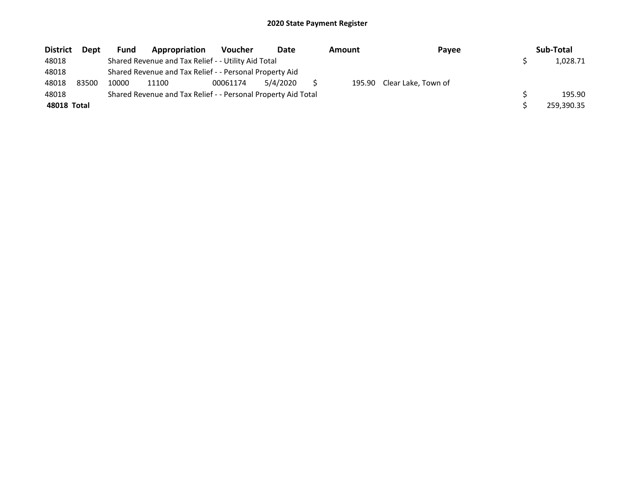| <b>District</b> | <b>Dept</b> | <b>Fund</b> | Appropriation                                                 | <b>Voucher</b> | Date     | Amount | Payee                      | Sub-Total  |
|-----------------|-------------|-------------|---------------------------------------------------------------|----------------|----------|--------|----------------------------|------------|
| 48018           |             |             | Shared Revenue and Tax Relief - - Utility Aid Total           |                |          |        |                            | 1,028.71   |
| 48018           |             |             | Shared Revenue and Tax Relief - - Personal Property Aid       |                |          |        |                            |            |
| 48018           | 83500       | 10000       | 11100                                                         | 00061174       | 5/4/2020 |        | 195.90 Clear Lake, Town of |            |
| 48018           |             |             | Shared Revenue and Tax Relief - - Personal Property Aid Total |                |          |        |                            | 195.90     |
| 48018 Total     |             |             |                                                               |                |          |        |                            | 259,390.35 |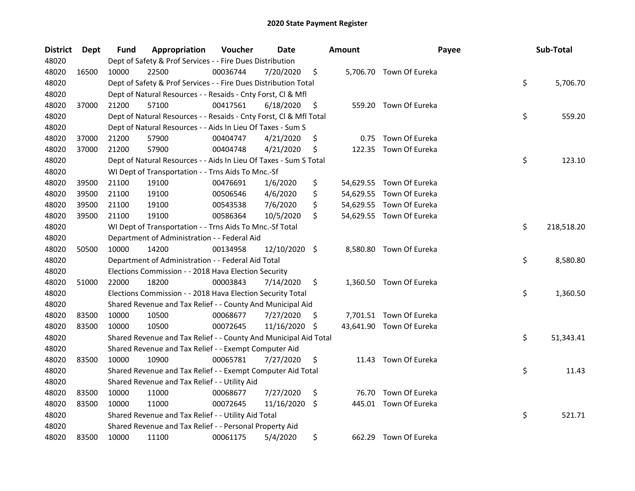| <b>District</b> | Dept  | Fund  | Appropriation                                                      | Voucher  | Date       |      | <b>Amount</b> | Payee                    | Sub-Total        |
|-----------------|-------|-------|--------------------------------------------------------------------|----------|------------|------|---------------|--------------------------|------------------|
| 48020           |       |       | Dept of Safety & Prof Services - - Fire Dues Distribution          |          |            |      |               |                          |                  |
| 48020           | 16500 | 10000 | 22500                                                              | 00036744 | 7/20/2020  | \$   |               | 5,706.70 Town Of Eureka  |                  |
| 48020           |       |       | Dept of Safety & Prof Services - - Fire Dues Distribution Total    |          |            |      |               |                          | \$<br>5,706.70   |
| 48020           |       |       | Dept of Natural Resources - - Resaids - Cnty Forst, Cl & Mfl       |          |            |      |               |                          |                  |
| 48020           | 37000 | 21200 | 57100                                                              | 00417561 | 6/18/2020  | \$   |               | 559.20 Town Of Eureka    |                  |
| 48020           |       |       | Dept of Natural Resources - - Resaids - Cnty Forst, Cl & Mfl Total |          |            |      |               |                          | \$<br>559.20     |
| 48020           |       |       | Dept of Natural Resources - - Aids In Lieu Of Taxes - Sum S        |          |            |      |               |                          |                  |
| 48020           | 37000 | 21200 | 57900                                                              | 00404747 | 4/21/2020  | \$   | 0.75          | Town Of Eureka           |                  |
| 48020           | 37000 | 21200 | 57900                                                              | 00404748 | 4/21/2020  | \$   | 122.35        | Town Of Eureka           |                  |
| 48020           |       |       | Dept of Natural Resources - - Aids In Lieu Of Taxes - Sum S Total  |          |            |      |               |                          | \$<br>123.10     |
| 48020           |       |       | WI Dept of Transportation - - Trns Aids To Mnc.-Sf                 |          |            |      |               |                          |                  |
| 48020           | 39500 | 21100 | 19100                                                              | 00476691 | 1/6/2020   | \$   |               | 54,629.55 Town Of Eureka |                  |
| 48020           | 39500 | 21100 | 19100                                                              | 00506546 | 4/6/2020   | \$   |               | 54,629.55 Town Of Eureka |                  |
| 48020           | 39500 | 21100 | 19100                                                              | 00543538 | 7/6/2020   | \$   |               | 54,629.55 Town Of Eureka |                  |
| 48020           | 39500 | 21100 | 19100                                                              | 00586364 | 10/5/2020  | \$   |               | 54,629.55 Town Of Eureka |                  |
| 48020           |       |       | WI Dept of Transportation - - Trns Aids To Mnc.-Sf Total           |          |            |      |               |                          | \$<br>218,518.20 |
| 48020           |       |       | Department of Administration - - Federal Aid                       |          |            |      |               |                          |                  |
| 48020           | 50500 | 10000 | 14200                                                              | 00134958 | 12/10/2020 | - \$ |               | 8,580.80 Town Of Eureka  |                  |
| 48020           |       |       | Department of Administration - - Federal Aid Total                 |          |            |      |               |                          | \$<br>8,580.80   |
| 48020           |       |       | Elections Commission - - 2018 Hava Election Security               |          |            |      |               |                          |                  |
| 48020           | 51000 | 22000 | 18200                                                              | 00003843 | 7/14/2020  | \$   |               | 1,360.50 Town Of Eureka  |                  |
| 48020           |       |       | Elections Commission - - 2018 Hava Election Security Total         |          |            |      |               |                          | \$<br>1,360.50   |
| 48020           |       |       | Shared Revenue and Tax Relief - - County And Municipal Aid         |          |            |      |               |                          |                  |
| 48020           | 83500 | 10000 | 10500                                                              | 00068677 | 7/27/2020  | \$.  |               | 7,701.51 Town Of Eureka  |                  |
| 48020           | 83500 | 10000 | 10500                                                              | 00072645 | 11/16/2020 | -\$  |               | 43,641.90 Town Of Eureka |                  |
| 48020           |       |       | Shared Revenue and Tax Relief - - County And Municipal Aid Total   |          |            |      |               |                          | \$<br>51,343.41  |
| 48020           |       |       | Shared Revenue and Tax Relief - - Exempt Computer Aid              |          |            |      |               |                          |                  |
| 48020           | 83500 | 10000 | 10900                                                              | 00065781 | 7/27/2020  | \$   |               | 11.43 Town Of Eureka     |                  |
| 48020           |       |       | Shared Revenue and Tax Relief - - Exempt Computer Aid Total        |          |            |      |               |                          | \$<br>11.43      |
| 48020           |       |       | Shared Revenue and Tax Relief - - Utility Aid                      |          |            |      |               |                          |                  |
| 48020           | 83500 | 10000 | 11000                                                              | 00068677 | 7/27/2020  | \$   |               | 76.70 Town Of Eureka     |                  |
| 48020           | 83500 | 10000 | 11000                                                              | 00072645 | 11/16/2020 | \$   |               | 445.01 Town Of Eureka    |                  |
| 48020           |       |       | Shared Revenue and Tax Relief - - Utility Aid Total                |          |            |      |               |                          | \$<br>521.71     |
| 48020           |       |       | Shared Revenue and Tax Relief - - Personal Property Aid            |          |            |      |               |                          |                  |
| 48020           | 83500 | 10000 | 11100                                                              | 00061175 | 5/4/2020   | \$   |               | 662.29 Town Of Eureka    |                  |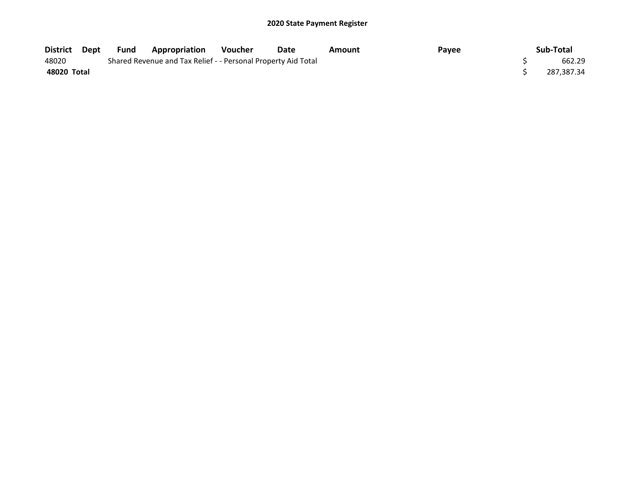| District Dept | Fund | <b>Appropriation</b>                                          | <b>Voucher</b> | Date | Amount | Payee | Sub-Total  |
|---------------|------|---------------------------------------------------------------|----------------|------|--------|-------|------------|
| 48020         |      | Shared Revenue and Tax Relief - - Personal Property Aid Total |                |      |        |       | 662.29     |
| 48020 Total   |      |                                                               |                |      |        |       | 287,387.34 |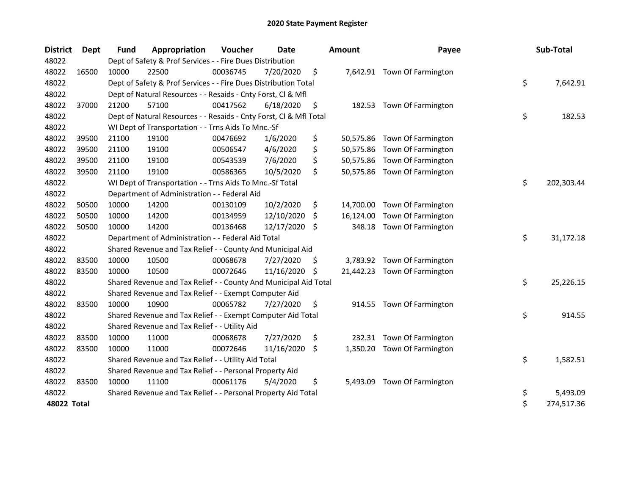| <b>District</b> | Dept  | <b>Fund</b> | Appropriation                                                      | Voucher  | <b>Date</b> |     | Amount    | Payee                        | Sub-Total        |
|-----------------|-------|-------------|--------------------------------------------------------------------|----------|-------------|-----|-----------|------------------------------|------------------|
| 48022           |       |             | Dept of Safety & Prof Services - - Fire Dues Distribution          |          |             |     |           |                              |                  |
| 48022           | 16500 | 10000       | 22500                                                              | 00036745 | 7/20/2020   | \$  |           | 7,642.91 Town Of Farmington  |                  |
| 48022           |       |             | Dept of Safety & Prof Services - - Fire Dues Distribution Total    |          |             |     |           |                              | \$<br>7,642.91   |
| 48022           |       |             | Dept of Natural Resources - - Resaids - Cnty Forst, Cl & Mfl       |          |             |     |           |                              |                  |
| 48022           | 37000 | 21200       | 57100                                                              | 00417562 | 6/18/2020   | \$  | 182.53    | Town Of Farmington           |                  |
| 48022           |       |             | Dept of Natural Resources - - Resaids - Cnty Forst, Cl & Mfl Total |          |             |     |           |                              | \$<br>182.53     |
| 48022           |       |             | WI Dept of Transportation - - Trns Aids To Mnc.-Sf                 |          |             |     |           |                              |                  |
| 48022           | 39500 | 21100       | 19100                                                              | 00476692 | 1/6/2020    | \$  |           | 50,575.86 Town Of Farmington |                  |
| 48022           | 39500 | 21100       | 19100                                                              | 00506547 | 4/6/2020    | \$  |           | 50,575.86 Town Of Farmington |                  |
| 48022           | 39500 | 21100       | 19100                                                              | 00543539 | 7/6/2020    | \$  |           | 50,575.86 Town Of Farmington |                  |
| 48022           | 39500 | 21100       | 19100                                                              | 00586365 | 10/5/2020   | \$  |           | 50,575.86 Town Of Farmington |                  |
| 48022           |       |             | WI Dept of Transportation - - Trns Aids To Mnc.-Sf Total           |          |             |     |           |                              | \$<br>202,303.44 |
| 48022           |       |             | Department of Administration - - Federal Aid                       |          |             |     |           |                              |                  |
| 48022           | 50500 | 10000       | 14200                                                              | 00130109 | 10/2/2020   | \$  | 14,700.00 | Town Of Farmington           |                  |
| 48022           | 50500 | 10000       | 14200                                                              | 00134959 | 12/10/2020  | \$  | 16,124.00 | Town Of Farmington           |                  |
| 48022           | 50500 | 10000       | 14200                                                              | 00136468 | 12/17/2020  | \$  | 348.18    | Town Of Farmington           |                  |
| 48022           |       |             | Department of Administration - - Federal Aid Total                 |          |             |     |           |                              | \$<br>31,172.18  |
| 48022           |       |             | Shared Revenue and Tax Relief - - County And Municipal Aid         |          |             |     |           |                              |                  |
| 48022           | 83500 | 10000       | 10500                                                              | 00068678 | 7/27/2020   | S   |           | 3,783.92 Town Of Farmington  |                  |
| 48022           | 83500 | 10000       | 10500                                                              | 00072646 | 11/16/2020  | \$. |           | 21,442.23 Town Of Farmington |                  |
| 48022           |       |             | Shared Revenue and Tax Relief - - County And Municipal Aid Total   |          |             |     |           |                              | \$<br>25,226.15  |
| 48022           |       |             | Shared Revenue and Tax Relief - - Exempt Computer Aid              |          |             |     |           |                              |                  |
| 48022           | 83500 | 10000       | 10900                                                              | 00065782 | 7/27/2020   | \$  |           | 914.55 Town Of Farmington    |                  |
| 48022           |       |             | Shared Revenue and Tax Relief - - Exempt Computer Aid Total        |          |             |     |           |                              | \$<br>914.55     |
| 48022           |       |             | Shared Revenue and Tax Relief - - Utility Aid                      |          |             |     |           |                              |                  |
| 48022           | 83500 | 10000       | 11000                                                              | 00068678 | 7/27/2020   | \$  | 232.31    | Town Of Farmington           |                  |
| 48022           | 83500 | 10000       | 11000                                                              | 00072646 | 11/16/2020  | \$  | 1,350.20  | Town Of Farmington           |                  |
| 48022           |       |             | Shared Revenue and Tax Relief - - Utility Aid Total                |          |             |     |           |                              | \$<br>1,582.51   |
| 48022           |       |             | Shared Revenue and Tax Relief - - Personal Property Aid            |          |             |     |           |                              |                  |
| 48022           | 83500 | 10000       | 11100                                                              | 00061176 | 5/4/2020    | \$  | 5,493.09  | Town Of Farmington           |                  |
| 48022           |       |             | Shared Revenue and Tax Relief - - Personal Property Aid Total      |          |             |     |           |                              | \$<br>5,493.09   |
| 48022 Total     |       |             |                                                                    |          |             |     |           |                              | \$<br>274,517.36 |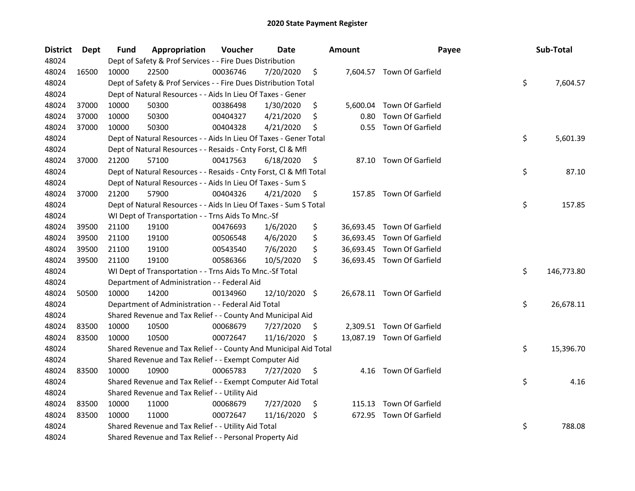| <b>District</b> | Dept  | Fund  | Appropriation                                                      | Voucher  | Date          |     | <b>Amount</b> | Payee                      | Sub-Total        |
|-----------------|-------|-------|--------------------------------------------------------------------|----------|---------------|-----|---------------|----------------------------|------------------|
| 48024           |       |       | Dept of Safety & Prof Services - - Fire Dues Distribution          |          |               |     |               |                            |                  |
| 48024           | 16500 | 10000 | 22500                                                              | 00036746 | 7/20/2020     | \$  |               | 7,604.57 Town Of Garfield  |                  |
| 48024           |       |       | Dept of Safety & Prof Services - - Fire Dues Distribution Total    |          |               |     |               |                            | \$<br>7,604.57   |
| 48024           |       |       | Dept of Natural Resources - - Aids In Lieu Of Taxes - Gener        |          |               |     |               |                            |                  |
| 48024           | 37000 | 10000 | 50300                                                              | 00386498 | 1/30/2020     | \$  |               | 5,600.04 Town Of Garfield  |                  |
| 48024           | 37000 | 10000 | 50300                                                              | 00404327 | 4/21/2020     | \$  | 0.80          | Town Of Garfield           |                  |
| 48024           | 37000 | 10000 | 50300                                                              | 00404328 | 4/21/2020     | \$  | 0.55          | Town Of Garfield           |                  |
| 48024           |       |       | Dept of Natural Resources - - Aids In Lieu Of Taxes - Gener Total  |          |               |     |               |                            | \$<br>5,601.39   |
| 48024           |       |       | Dept of Natural Resources - - Resaids - Cnty Forst, Cl & Mfl       |          |               |     |               |                            |                  |
| 48024           | 37000 | 21200 | 57100                                                              | 00417563 | 6/18/2020     | \$, |               | 87.10 Town Of Garfield     |                  |
| 48024           |       |       | Dept of Natural Resources - - Resaids - Cnty Forst, Cl & Mfl Total |          |               |     |               |                            | \$<br>87.10      |
| 48024           |       |       | Dept of Natural Resources - - Aids In Lieu Of Taxes - Sum S        |          |               |     |               |                            |                  |
| 48024           | 37000 | 21200 | 57900                                                              | 00404326 | 4/21/2020     | \$  |               | 157.85 Town Of Garfield    |                  |
| 48024           |       |       | Dept of Natural Resources - - Aids In Lieu Of Taxes - Sum S Total  |          |               |     |               |                            | \$<br>157.85     |
| 48024           |       |       | WI Dept of Transportation - - Trns Aids To Mnc.-Sf                 |          |               |     |               |                            |                  |
| 48024           | 39500 | 21100 | 19100                                                              | 00476693 | 1/6/2020      | \$  |               | 36,693.45 Town Of Garfield |                  |
| 48024           | 39500 | 21100 | 19100                                                              | 00506548 | 4/6/2020      | \$  |               | 36,693.45 Town Of Garfield |                  |
| 48024           | 39500 | 21100 | 19100                                                              | 00543540 | 7/6/2020      | \$  |               | 36,693.45 Town Of Garfield |                  |
| 48024           | 39500 | 21100 | 19100                                                              | 00586366 | 10/5/2020     | \$  |               | 36,693.45 Town Of Garfield |                  |
| 48024           |       |       | WI Dept of Transportation - - Trns Aids To Mnc.-Sf Total           |          |               |     |               |                            | \$<br>146,773.80 |
| 48024           |       |       | Department of Administration - - Federal Aid                       |          |               |     |               |                            |                  |
| 48024           | 50500 | 10000 | 14200                                                              | 00134960 | 12/10/2020 \$ |     |               | 26,678.11 Town Of Garfield |                  |
| 48024           |       |       | Department of Administration - - Federal Aid Total                 |          |               |     |               |                            | \$<br>26,678.11  |
| 48024           |       |       | Shared Revenue and Tax Relief - - County And Municipal Aid         |          |               |     |               |                            |                  |
| 48024           | 83500 | 10000 | 10500                                                              | 00068679 | 7/27/2020     | \$. |               | 2,309.51 Town Of Garfield  |                  |
| 48024           | 83500 | 10000 | 10500                                                              | 00072647 | 11/16/2020    | -\$ |               | 13,087.19 Town Of Garfield |                  |
| 48024           |       |       | Shared Revenue and Tax Relief - - County And Municipal Aid Total   |          |               |     |               |                            | \$<br>15,396.70  |
| 48024           |       |       | Shared Revenue and Tax Relief - - Exempt Computer Aid              |          |               |     |               |                            |                  |
| 48024           | 83500 | 10000 | 10900                                                              | 00065783 | 7/27/2020     | \$  |               | 4.16 Town Of Garfield      |                  |
| 48024           |       |       | Shared Revenue and Tax Relief - - Exempt Computer Aid Total        |          |               |     |               |                            | \$<br>4.16       |
| 48024           |       |       | Shared Revenue and Tax Relief - - Utility Aid                      |          |               |     |               |                            |                  |
| 48024           | 83500 | 10000 | 11000                                                              | 00068679 | 7/27/2020     | \$  | 115.13        | Town Of Garfield           |                  |
| 48024           | 83500 | 10000 | 11000                                                              | 00072647 | 11/16/2020    | -\$ | 672.95        | Town Of Garfield           |                  |
| 48024           |       |       | Shared Revenue and Tax Relief - - Utility Aid Total                |          |               |     |               |                            | \$<br>788.08     |
| 48024           |       |       | Shared Revenue and Tax Relief - - Personal Property Aid            |          |               |     |               |                            |                  |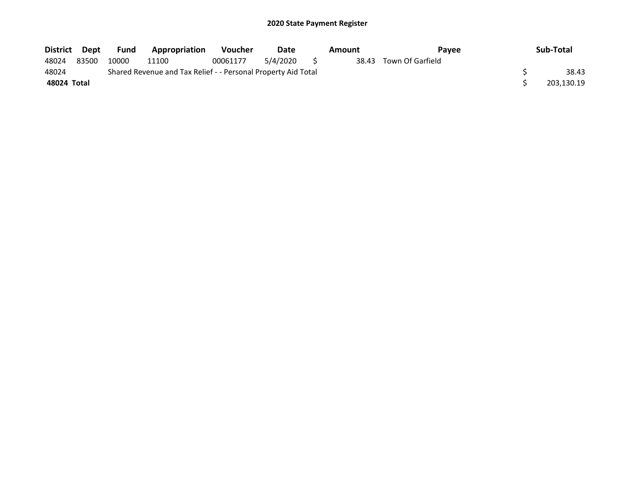| District Dept |       | Fund  | Appropriation                                                 | <b>Voucher</b> | Date     |     | Amount | Payee                  | Sub-Total  |
|---------------|-------|-------|---------------------------------------------------------------|----------------|----------|-----|--------|------------------------|------------|
| 48024         | 83500 | 10000 | 11100                                                         | 00061177       | 5/4/2020 | - 5 |        | 38.43 Town Of Garfield |            |
| 48024         |       |       | Shared Revenue and Tax Relief - - Personal Property Aid Total |                |          |     |        |                        | 38.43      |
| 48024 Total   |       |       |                                                               |                |          |     |        |                        | 203,130.19 |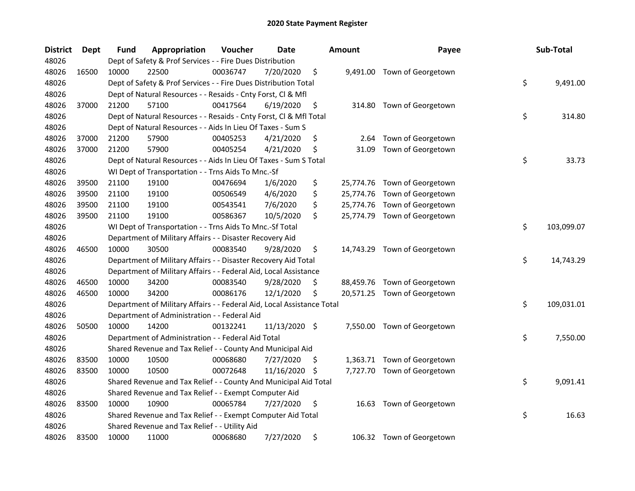| <b>District</b> | Dept  | Fund  | Appropriation                                                          | Voucher  | <b>Date</b>   |     | <b>Amount</b> | Payee                        | Sub-Total        |
|-----------------|-------|-------|------------------------------------------------------------------------|----------|---------------|-----|---------------|------------------------------|------------------|
| 48026           |       |       | Dept of Safety & Prof Services - - Fire Dues Distribution              |          |               |     |               |                              |                  |
| 48026           | 16500 | 10000 | 22500                                                                  | 00036747 | 7/20/2020     | \$  |               | 9,491.00 Town of Georgetown  |                  |
| 48026           |       |       | Dept of Safety & Prof Services - - Fire Dues Distribution Total        |          |               |     |               |                              | \$<br>9,491.00   |
| 48026           |       |       | Dept of Natural Resources - - Resaids - Cnty Forst, Cl & Mfl           |          |               |     |               |                              |                  |
| 48026           | 37000 | 21200 | 57100                                                                  | 00417564 | 6/19/2020     | \$  |               | 314.80 Town of Georgetown    |                  |
| 48026           |       |       | Dept of Natural Resources - - Resaids - Cnty Forst, Cl & Mfl Total     |          |               |     |               |                              | \$<br>314.80     |
| 48026           |       |       | Dept of Natural Resources - - Aids In Lieu Of Taxes - Sum S            |          |               |     |               |                              |                  |
| 48026           | 37000 | 21200 | 57900                                                                  | 00405253 | 4/21/2020     | \$  | 2.64          | Town of Georgetown           |                  |
| 48026           | 37000 | 21200 | 57900                                                                  | 00405254 | 4/21/2020     | \$  | 31.09         | Town of Georgetown           |                  |
| 48026           |       |       | Dept of Natural Resources - - Aids In Lieu Of Taxes - Sum S Total      |          |               |     |               |                              | \$<br>33.73      |
| 48026           |       |       | WI Dept of Transportation - - Trns Aids To Mnc.-Sf                     |          |               |     |               |                              |                  |
| 48026           | 39500 | 21100 | 19100                                                                  | 00476694 | 1/6/2020      | \$  |               | 25,774.76 Town of Georgetown |                  |
| 48026           | 39500 | 21100 | 19100                                                                  | 00506549 | 4/6/2020      | \$  |               | 25,774.76 Town of Georgetown |                  |
| 48026           | 39500 | 21100 | 19100                                                                  | 00543541 | 7/6/2020      | \$  | 25,774.76     | Town of Georgetown           |                  |
| 48026           | 39500 | 21100 | 19100                                                                  | 00586367 | 10/5/2020     | \$  |               | 25,774.79 Town of Georgetown |                  |
| 48026           |       |       | WI Dept of Transportation - - Trns Aids To Mnc.-Sf Total               |          |               |     |               |                              | \$<br>103,099.07 |
| 48026           |       |       | Department of Military Affairs - - Disaster Recovery Aid               |          |               |     |               |                              |                  |
| 48026           | 46500 | 10000 | 30500                                                                  | 00083540 | 9/28/2020     | \$  |               | 14,743.29 Town of Georgetown |                  |
| 48026           |       |       | Department of Military Affairs - - Disaster Recovery Aid Total         |          |               |     |               |                              | \$<br>14,743.29  |
| 48026           |       |       | Department of Military Affairs - - Federal Aid, Local Assistance       |          |               |     |               |                              |                  |
| 48026           | 46500 | 10000 | 34200                                                                  | 00083540 | 9/28/2020     | \$  |               | 88,459.76 Town of Georgetown |                  |
| 48026           | 46500 | 10000 | 34200                                                                  | 00086176 | 12/1/2020     | \$  |               | 20,571.25 Town of Georgetown |                  |
| 48026           |       |       | Department of Military Affairs - - Federal Aid, Local Assistance Total |          |               |     |               |                              | \$<br>109,031.01 |
| 48026           |       |       | Department of Administration - - Federal Aid                           |          |               |     |               |                              |                  |
| 48026           | 50500 | 10000 | 14200                                                                  | 00132241 | 11/13/2020 \$ |     |               | 7,550.00 Town of Georgetown  |                  |
| 48026           |       |       | Department of Administration - - Federal Aid Total                     |          |               |     |               |                              | \$<br>7,550.00   |
| 48026           |       |       | Shared Revenue and Tax Relief - - County And Municipal Aid             |          |               |     |               |                              |                  |
| 48026           | 83500 | 10000 | 10500                                                                  | 00068680 | 7/27/2020     | \$, |               | 1,363.71 Town of Georgetown  |                  |
| 48026           | 83500 | 10000 | 10500                                                                  | 00072648 | 11/16/2020    | \$, |               | 7,727.70 Town of Georgetown  |                  |
| 48026           |       |       | Shared Revenue and Tax Relief - - County And Municipal Aid Total       |          |               |     |               |                              | \$<br>9,091.41   |
| 48026           |       |       | Shared Revenue and Tax Relief - - Exempt Computer Aid                  |          |               |     |               |                              |                  |
| 48026           | 83500 | 10000 | 10900                                                                  | 00065784 | 7/27/2020     | \$  | 16.63         | Town of Georgetown           |                  |
| 48026           |       |       | Shared Revenue and Tax Relief - - Exempt Computer Aid Total            |          |               |     |               |                              | \$<br>16.63      |
| 48026           |       |       | Shared Revenue and Tax Relief - - Utility Aid                          |          |               |     |               |                              |                  |
| 48026           | 83500 | 10000 | 11000                                                                  | 00068680 | 7/27/2020     | \$  |               | 106.32 Town of Georgetown    |                  |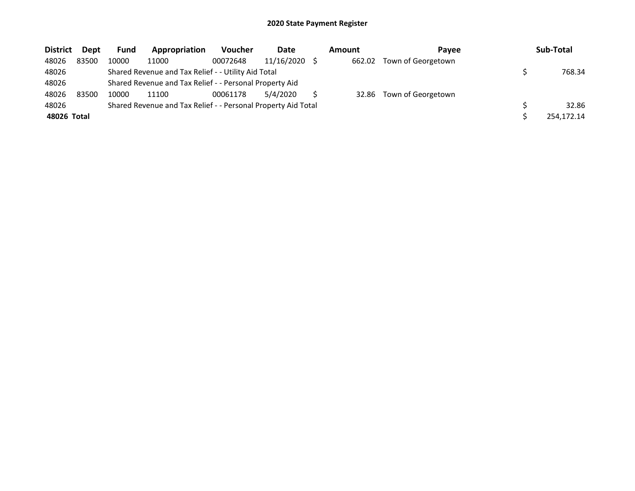| <b>District</b> | Dept  | <b>Fund</b> | Appropriation                                                 | <b>Voucher</b> | Date       | Amount | <b>Pavee</b>       | Sub-Total  |
|-----------------|-------|-------------|---------------------------------------------------------------|----------------|------------|--------|--------------------|------------|
| 48026           | 83500 | 10000       | 11000                                                         | 00072648       | 11/16/2020 | 662.02 | Town of Georgetown |            |
| 48026           |       |             | Shared Revenue and Tax Relief - - Utility Aid Total           |                |            |        |                    | 768.34     |
| 48026           |       |             | Shared Revenue and Tax Relief - - Personal Property Aid       |                |            |        |                    |            |
| 48026           | 83500 | 10000       | 11100                                                         | 00061178       | 5/4/2020   | 32.86  | Town of Georgetown |            |
| 48026           |       |             | Shared Revenue and Tax Relief - - Personal Property Aid Total |                |            |        |                    | 32.86      |
| 48026 Total     |       |             |                                                               |                |            |        |                    | 254.172.14 |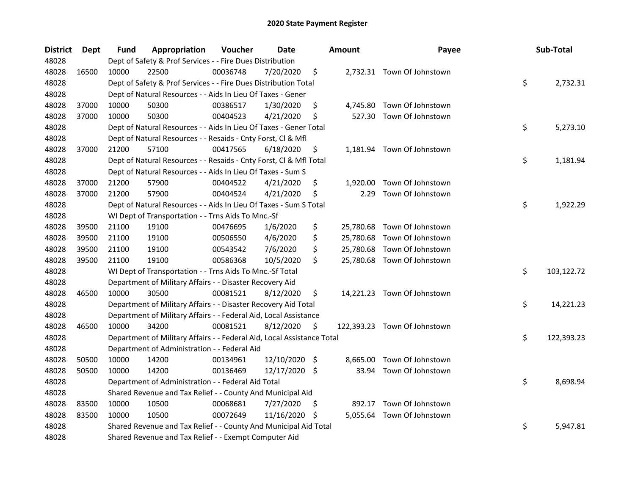| <b>District</b> | <b>Dept</b> | Fund  | Appropriation                                                          | Voucher  | <b>Date</b>   |      | <b>Amount</b> | Payee                        | Sub-Total        |
|-----------------|-------------|-------|------------------------------------------------------------------------|----------|---------------|------|---------------|------------------------------|------------------|
| 48028           |             |       | Dept of Safety & Prof Services - - Fire Dues Distribution              |          |               |      |               |                              |                  |
| 48028           | 16500       | 10000 | 22500                                                                  | 00036748 | 7/20/2020     | \$   |               | 2,732.31 Town Of Johnstown   |                  |
| 48028           |             |       | Dept of Safety & Prof Services - - Fire Dues Distribution Total        |          |               |      |               |                              | \$<br>2,732.31   |
| 48028           |             |       | Dept of Natural Resources - - Aids In Lieu Of Taxes - Gener            |          |               |      |               |                              |                  |
| 48028           | 37000       | 10000 | 50300                                                                  | 00386517 | 1/30/2020     | \$   | 4,745.80      | Town Of Johnstown            |                  |
| 48028           | 37000       | 10000 | 50300                                                                  | 00404523 | 4/21/2020     | \$   | 527.30        | Town Of Johnstown            |                  |
| 48028           |             |       | Dept of Natural Resources - - Aids In Lieu Of Taxes - Gener Total      |          |               |      |               |                              | \$<br>5,273.10   |
| 48028           |             |       | Dept of Natural Resources - - Resaids - Cnty Forst, Cl & Mfl           |          |               |      |               |                              |                  |
| 48028           | 37000       | 21200 | 57100                                                                  | 00417565 | 6/18/2020     | \$   |               | 1,181.94 Town Of Johnstown   |                  |
| 48028           |             |       | Dept of Natural Resources - - Resaids - Cnty Forst, Cl & Mfl Total     |          |               |      |               |                              | \$<br>1,181.94   |
| 48028           |             |       | Dept of Natural Resources - - Aids In Lieu Of Taxes - Sum S            |          |               |      |               |                              |                  |
| 48028           | 37000       | 21200 | 57900                                                                  | 00404522 | 4/21/2020     | \$   | 1,920.00      | Town Of Johnstown            |                  |
| 48028           | 37000       | 21200 | 57900                                                                  | 00404524 | 4/21/2020     | \$   | 2.29          | Town Of Johnstown            |                  |
| 48028           |             |       | Dept of Natural Resources - - Aids In Lieu Of Taxes - Sum S Total      |          |               |      |               |                              | \$<br>1,922.29   |
| 48028           |             |       | WI Dept of Transportation - - Trns Aids To Mnc.-Sf                     |          |               |      |               |                              |                  |
| 48028           | 39500       | 21100 | 19100                                                                  | 00476695 | 1/6/2020      | \$   |               | 25,780.68 Town Of Johnstown  |                  |
| 48028           | 39500       | 21100 | 19100                                                                  | 00506550 | 4/6/2020      | \$   | 25,780.68     | Town Of Johnstown            |                  |
| 48028           | 39500       | 21100 | 19100                                                                  | 00543542 | 7/6/2020      | \$   | 25,780.68     | Town Of Johnstown            |                  |
| 48028           | 39500       | 21100 | 19100                                                                  | 00586368 | 10/5/2020     | \$   |               | 25,780.68 Town Of Johnstown  |                  |
| 48028           |             |       | WI Dept of Transportation - - Trns Aids To Mnc.-Sf Total               |          |               |      |               |                              | \$<br>103,122.72 |
| 48028           |             |       | Department of Military Affairs - - Disaster Recovery Aid               |          |               |      |               |                              |                  |
| 48028           | 46500       | 10000 | 30500                                                                  | 00081521 | 8/12/2020     | \$   |               | 14,221.23 Town Of Johnstown  |                  |
| 48028           |             |       | Department of Military Affairs - - Disaster Recovery Aid Total         |          |               |      |               |                              | \$<br>14,221.23  |
| 48028           |             |       | Department of Military Affairs - - Federal Aid, Local Assistance       |          |               |      |               |                              |                  |
| 48028           | 46500       | 10000 | 34200                                                                  | 00081521 | 8/12/2020     | \$   |               | 122,393.23 Town Of Johnstown |                  |
| 48028           |             |       | Department of Military Affairs - - Federal Aid, Local Assistance Total |          |               |      |               |                              | \$<br>122,393.23 |
| 48028           |             |       | Department of Administration - - Federal Aid                           |          |               |      |               |                              |                  |
| 48028           | 50500       | 10000 | 14200                                                                  | 00134961 | 12/10/2020    | - \$ | 8.665.00      | Town Of Johnstown            |                  |
| 48028           | 50500       | 10000 | 14200                                                                  | 00136469 | 12/17/2020 \$ |      | 33.94         | Town Of Johnstown            |                  |
| 48028           |             |       | Department of Administration - - Federal Aid Total                     |          |               |      |               |                              | \$<br>8,698.94   |
| 48028           |             |       | Shared Revenue and Tax Relief - - County And Municipal Aid             |          |               |      |               |                              |                  |
| 48028           | 83500       | 10000 | 10500                                                                  | 00068681 | 7/27/2020     | \$.  | 892.17        | Town Of Johnstown            |                  |
| 48028           | 83500       | 10000 | 10500                                                                  | 00072649 | 11/16/2020    | \$.  |               | 5,055.64 Town Of Johnstown   |                  |
| 48028           |             |       | Shared Revenue and Tax Relief - - County And Municipal Aid Total       |          |               |      |               |                              | \$<br>5,947.81   |
| 48028           |             |       | Shared Revenue and Tax Relief - - Exempt Computer Aid                  |          |               |      |               |                              |                  |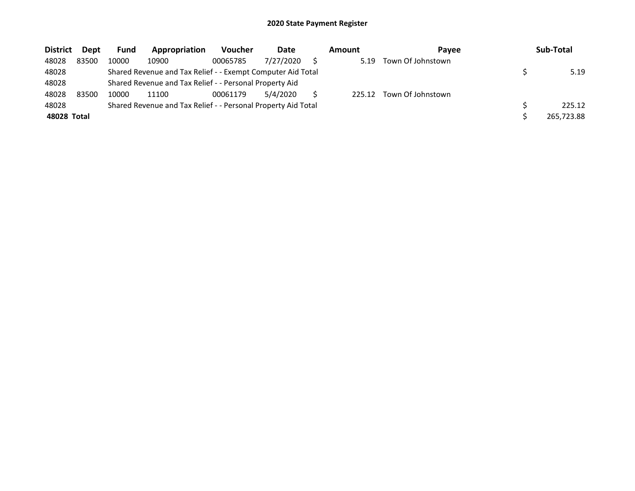| <b>District</b> | Dept  | <b>Fund</b> | Appropriation                                                 | <b>Voucher</b> | Date      | Amount | Pavee             | Sub-Total  |
|-----------------|-------|-------------|---------------------------------------------------------------|----------------|-----------|--------|-------------------|------------|
| 48028           | 83500 | 10000       | 10900                                                         | 00065785       | 7/27/2020 | 5.19   | Town Of Johnstown |            |
| 48028           |       |             | Shared Revenue and Tax Relief - - Exempt Computer Aid Total   |                |           |        |                   | 5.19       |
| 48028           |       |             | Shared Revenue and Tax Relief - - Personal Property Aid       |                |           |        |                   |            |
| 48028           | 83500 | 10000       | 11100                                                         | 00061179       | 5/4/2020  | 225.12 | Town Of Johnstown |            |
| 48028           |       |             | Shared Revenue and Tax Relief - - Personal Property Aid Total |                |           |        |                   | 225.12     |
| 48028 Total     |       |             |                                                               |                |           |        |                   | 265,723.88 |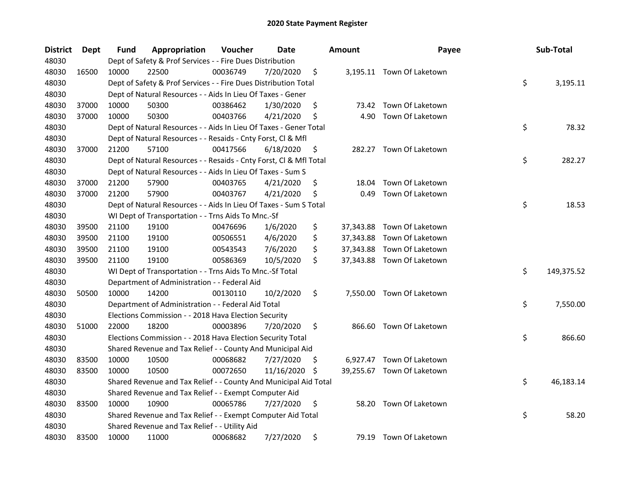| <b>District</b> | Dept  | Fund  | Appropriation                                                      | Voucher  | <b>Date</b> |     | <b>Amount</b> | Payee                      | Sub-Total        |
|-----------------|-------|-------|--------------------------------------------------------------------|----------|-------------|-----|---------------|----------------------------|------------------|
| 48030           |       |       | Dept of Safety & Prof Services - - Fire Dues Distribution          |          |             |     |               |                            |                  |
| 48030           | 16500 | 10000 | 22500                                                              | 00036749 | 7/20/2020   | \$  |               | 3,195.11 Town Of Laketown  |                  |
| 48030           |       |       | Dept of Safety & Prof Services - - Fire Dues Distribution Total    |          |             |     |               |                            | \$<br>3,195.11   |
| 48030           |       |       | Dept of Natural Resources - - Aids In Lieu Of Taxes - Gener        |          |             |     |               |                            |                  |
| 48030           | 37000 | 10000 | 50300                                                              | 00386462 | 1/30/2020   | \$  |               | 73.42 Town Of Laketown     |                  |
| 48030           | 37000 | 10000 | 50300                                                              | 00403766 | 4/21/2020   | \$  | 4.90          | Town Of Laketown           |                  |
| 48030           |       |       | Dept of Natural Resources - - Aids In Lieu Of Taxes - Gener Total  |          |             |     |               |                            | \$<br>78.32      |
| 48030           |       |       | Dept of Natural Resources - - Resaids - Cnty Forst, Cl & Mfl       |          |             |     |               |                            |                  |
| 48030           | 37000 | 21200 | 57100                                                              | 00417566 | 6/18/2020   | \$  |               | 282.27 Town Of Laketown    |                  |
| 48030           |       |       | Dept of Natural Resources - - Resaids - Cnty Forst, Cl & Mfl Total |          |             |     |               |                            | \$<br>282.27     |
| 48030           |       |       | Dept of Natural Resources - - Aids In Lieu Of Taxes - Sum S        |          |             |     |               |                            |                  |
| 48030           | 37000 | 21200 | 57900                                                              | 00403765 | 4/21/2020   | \$  | 18.04         | Town Of Laketown           |                  |
| 48030           | 37000 | 21200 | 57900                                                              | 00403767 | 4/21/2020   | \$  | 0.49          | Town Of Laketown           |                  |
| 48030           |       |       | Dept of Natural Resources - - Aids In Lieu Of Taxes - Sum S Total  |          |             |     |               |                            | \$<br>18.53      |
| 48030           |       |       | WI Dept of Transportation - - Trns Aids To Mnc.-Sf                 |          |             |     |               |                            |                  |
| 48030           | 39500 | 21100 | 19100                                                              | 00476696 | 1/6/2020    | \$  | 37,343.88     | Town Of Laketown           |                  |
| 48030           | 39500 | 21100 | 19100                                                              | 00506551 | 4/6/2020    | \$  | 37,343.88     | Town Of Laketown           |                  |
| 48030           | 39500 | 21100 | 19100                                                              | 00543543 | 7/6/2020    | \$  | 37,343.88     | Town Of Laketown           |                  |
| 48030           | 39500 | 21100 | 19100                                                              | 00586369 | 10/5/2020   | \$  |               | 37,343.88 Town Of Laketown |                  |
| 48030           |       |       | WI Dept of Transportation - - Trns Aids To Mnc.-Sf Total           |          |             |     |               |                            | \$<br>149,375.52 |
| 48030           |       |       | Department of Administration - - Federal Aid                       |          |             |     |               |                            |                  |
| 48030           | 50500 | 10000 | 14200                                                              | 00130110 | 10/2/2020   | \$  |               | 7,550.00 Town Of Laketown  |                  |
| 48030           |       |       | Department of Administration - - Federal Aid Total                 |          |             |     |               |                            | \$<br>7,550.00   |
| 48030           |       |       | Elections Commission - - 2018 Hava Election Security               |          |             |     |               |                            |                  |
| 48030           | 51000 | 22000 | 18200                                                              | 00003896 | 7/20/2020   | \$  |               | 866.60 Town Of Laketown    |                  |
| 48030           |       |       | Elections Commission - - 2018 Hava Election Security Total         |          |             |     |               |                            | \$<br>866.60     |
| 48030           |       |       | Shared Revenue and Tax Relief - - County And Municipal Aid         |          |             |     |               |                            |                  |
| 48030           | 83500 | 10000 | 10500                                                              | 00068682 | 7/27/2020   | \$. |               | 6,927.47 Town Of Laketown  |                  |
| 48030           | 83500 | 10000 | 10500                                                              | 00072650 | 11/16/2020  | \$. |               | 39,255.67 Town Of Laketown |                  |
| 48030           |       |       | Shared Revenue and Tax Relief - - County And Municipal Aid Total   |          |             |     |               |                            | \$<br>46,183.14  |
| 48030           |       |       | Shared Revenue and Tax Relief - - Exempt Computer Aid              |          |             |     |               |                            |                  |
| 48030           | 83500 | 10000 | 10900                                                              | 00065786 | 7/27/2020   | \$  | 58.20         | Town Of Laketown           |                  |
| 48030           |       |       | Shared Revenue and Tax Relief - - Exempt Computer Aid Total        |          |             |     |               |                            | \$<br>58.20      |
| 48030           |       |       | Shared Revenue and Tax Relief - - Utility Aid                      |          |             |     |               |                            |                  |
| 48030           | 83500 | 10000 | 11000                                                              | 00068682 | 7/27/2020   | \$  |               | 79.19 Town Of Laketown     |                  |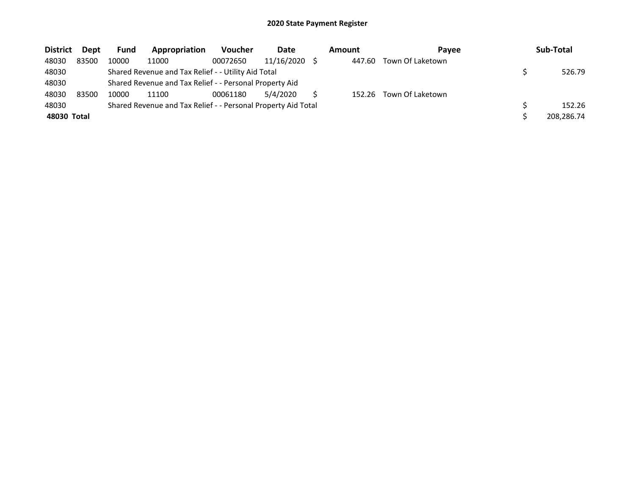| <b>District</b> | Dept  | <b>Fund</b> | Appropriation                                                 | <b>Voucher</b> | Date            | Amount | Pavee            | Sub-Total  |
|-----------------|-------|-------------|---------------------------------------------------------------|----------------|-----------------|--------|------------------|------------|
| 48030           | 83500 | 10000       | 11000                                                         | 00072650       | $11/16/2020$ \$ | 447.60 | Town Of Laketown |            |
| 48030           |       |             | Shared Revenue and Tax Relief - - Utility Aid Total           |                |                 |        |                  | 526.79     |
| 48030           |       |             | Shared Revenue and Tax Relief - - Personal Property Aid       |                |                 |        |                  |            |
| 48030           | 83500 | 10000       | 11100                                                         | 00061180       | 5/4/2020        | 152.26 | Town Of Laketown |            |
| 48030           |       |             | Shared Revenue and Tax Relief - - Personal Property Aid Total |                |                 |        |                  | 152.26     |
| 48030 Total     |       |             |                                                               |                |                 |        |                  | 208,286.74 |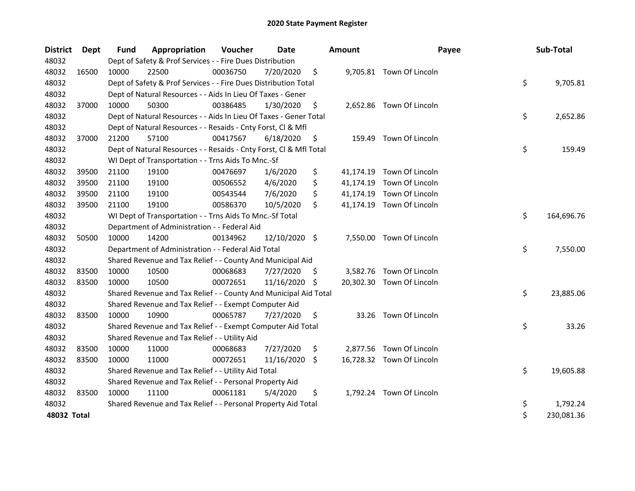| <b>District</b> | Dept  | <b>Fund</b> | Appropriation                                                      | Voucher  | <b>Date</b>   |    | <b>Amount</b> | Payee                     | Sub-Total        |
|-----------------|-------|-------------|--------------------------------------------------------------------|----------|---------------|----|---------------|---------------------------|------------------|
| 48032           |       |             | Dept of Safety & Prof Services - - Fire Dues Distribution          |          |               |    |               |                           |                  |
| 48032           | 16500 | 10000       | 22500                                                              | 00036750 | 7/20/2020     | \$ |               | 9,705.81 Town Of Lincoln  |                  |
| 48032           |       |             | Dept of Safety & Prof Services - - Fire Dues Distribution Total    |          |               |    |               |                           | \$<br>9,705.81   |
| 48032           |       |             | Dept of Natural Resources - - Aids In Lieu Of Taxes - Gener        |          |               |    |               |                           |                  |
| 48032           | 37000 | 10000       | 50300                                                              | 00386485 | 1/30/2020     | \$ |               | 2,652.86 Town Of Lincoln  |                  |
| 48032           |       |             | Dept of Natural Resources - - Aids In Lieu Of Taxes - Gener Total  |          |               |    |               |                           | \$<br>2,652.86   |
| 48032           |       |             | Dept of Natural Resources - - Resaids - Cnty Forst, Cl & Mfl       |          |               |    |               |                           |                  |
| 48032           | 37000 | 21200       | 57100                                                              | 00417567 | 6/18/2020     | \$ | 159.49        | Town Of Lincoln           |                  |
| 48032           |       |             | Dept of Natural Resources - - Resaids - Cnty Forst, Cl & Mfl Total |          |               |    |               |                           | \$<br>159.49     |
| 48032           |       |             | WI Dept of Transportation - - Trns Aids To Mnc.-Sf                 |          |               |    |               |                           |                  |
| 48032           | 39500 | 21100       | 19100                                                              | 00476697 | 1/6/2020      | \$ |               | 41,174.19 Town Of Lincoln |                  |
| 48032           | 39500 | 21100       | 19100                                                              | 00506552 | 4/6/2020      | \$ |               | 41,174.19 Town Of Lincoln |                  |
| 48032           | 39500 | 21100       | 19100                                                              | 00543544 | 7/6/2020      | \$ |               | 41,174.19 Town Of Lincoln |                  |
| 48032           | 39500 | 21100       | 19100                                                              | 00586370 | 10/5/2020     | \$ |               | 41,174.19 Town Of Lincoln |                  |
| 48032           |       |             | WI Dept of Transportation - - Trns Aids To Mnc.-Sf Total           |          |               |    |               |                           | \$<br>164,696.76 |
| 48032           |       |             | Department of Administration - - Federal Aid                       |          |               |    |               |                           |                  |
| 48032           | 50500 | 10000       | 14200                                                              | 00134962 | 12/10/2020 \$ |    | 7,550.00      | Town Of Lincoln           |                  |
| 48032           |       |             | Department of Administration - - Federal Aid Total                 |          |               |    |               |                           | \$<br>7,550.00   |
| 48032           |       |             | Shared Revenue and Tax Relief - - County And Municipal Aid         |          |               |    |               |                           |                  |
| 48032           | 83500 | 10000       | 10500                                                              | 00068683 | 7/27/2020     | S. |               | 3,582.76 Town Of Lincoln  |                  |
| 48032           | 83500 | 10000       | 10500                                                              | 00072651 | 11/16/2020 \$ |    |               | 20,302.30 Town Of Lincoln |                  |
| 48032           |       |             | Shared Revenue and Tax Relief - - County And Municipal Aid Total   |          |               |    |               |                           | \$<br>23,885.06  |
| 48032           |       |             | Shared Revenue and Tax Relief - - Exempt Computer Aid              |          |               |    |               |                           |                  |
| 48032           | 83500 | 10000       | 10900                                                              | 00065787 | 7/27/2020     | \$ | 33.26         | Town Of Lincoln           |                  |
| 48032           |       |             | Shared Revenue and Tax Relief - - Exempt Computer Aid Total        |          |               |    |               |                           | \$<br>33.26      |
| 48032           |       |             | Shared Revenue and Tax Relief - - Utility Aid                      |          |               |    |               |                           |                  |
| 48032           | 83500 | 10000       | 11000                                                              | 00068683 | 7/27/2020     | \$ |               | 2,877.56 Town Of Lincoln  |                  |
| 48032           | 83500 | 10000       | 11000                                                              | 00072651 | 11/16/2020 \$ |    |               | 16,728.32 Town Of Lincoln |                  |
| 48032           |       |             | Shared Revenue and Tax Relief - - Utility Aid Total                |          |               |    |               |                           | \$<br>19,605.88  |
| 48032           |       |             | Shared Revenue and Tax Relief - - Personal Property Aid            |          |               |    |               |                           |                  |
| 48032           | 83500 | 10000       | 11100                                                              | 00061181 | 5/4/2020      | \$ |               | 1,792.24 Town Of Lincoln  |                  |
| 48032           |       |             | Shared Revenue and Tax Relief - - Personal Property Aid Total      |          |               |    |               |                           | \$<br>1,792.24   |
| 48032 Total     |       |             |                                                                    |          |               |    |               |                           | \$<br>230,081.36 |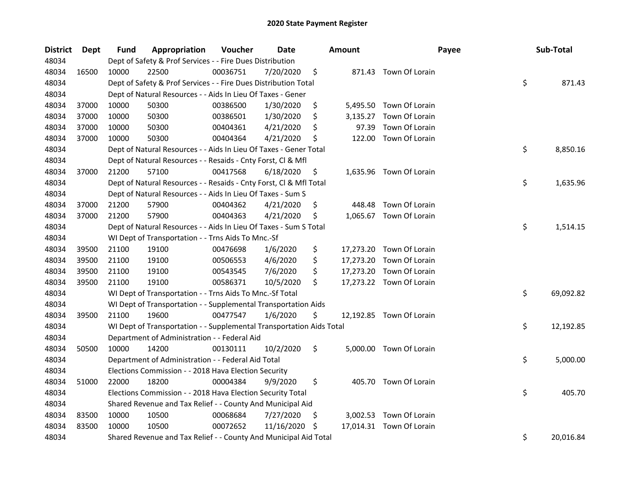| <b>District</b> | <b>Dept</b> | <b>Fund</b> | Appropriation                                                        | Voucher  | <b>Date</b> |     | Amount   | Payee                    | Sub-Total       |
|-----------------|-------------|-------------|----------------------------------------------------------------------|----------|-------------|-----|----------|--------------------------|-----------------|
| 48034           |             |             | Dept of Safety & Prof Services - - Fire Dues Distribution            |          |             |     |          |                          |                 |
| 48034           | 16500       | 10000       | 22500                                                                | 00036751 | 7/20/2020   | \$  |          | 871.43 Town Of Lorain    |                 |
| 48034           |             |             | Dept of Safety & Prof Services - - Fire Dues Distribution Total      |          |             |     |          |                          | \$<br>871.43    |
| 48034           |             |             | Dept of Natural Resources - - Aids In Lieu Of Taxes - Gener          |          |             |     |          |                          |                 |
| 48034           | 37000       | 10000       | 50300                                                                | 00386500 | 1/30/2020   | \$  |          | 5,495.50 Town Of Lorain  |                 |
| 48034           | 37000       | 10000       | 50300                                                                | 00386501 | 1/30/2020   | \$  | 3,135.27 | Town Of Lorain           |                 |
| 48034           | 37000       | 10000       | 50300                                                                | 00404361 | 4/21/2020   | \$  | 97.39    | Town Of Lorain           |                 |
| 48034           | 37000       | 10000       | 50300                                                                | 00404364 | 4/21/2020   | \$  |          | 122.00 Town Of Lorain    |                 |
| 48034           |             |             | Dept of Natural Resources - - Aids In Lieu Of Taxes - Gener Total    |          |             |     |          |                          | \$<br>8,850.16  |
| 48034           |             |             | Dept of Natural Resources - - Resaids - Cnty Forst, Cl & Mfl         |          |             |     |          |                          |                 |
| 48034           | 37000       | 21200       | 57100                                                                | 00417568 | 6/18/2020   | \$  |          | 1,635.96 Town Of Lorain  |                 |
| 48034           |             |             | Dept of Natural Resources - - Resaids - Cnty Forst, Cl & Mfl Total   |          |             |     |          |                          | \$<br>1,635.96  |
| 48034           |             |             | Dept of Natural Resources - - Aids In Lieu Of Taxes - Sum S          |          |             |     |          |                          |                 |
| 48034           | 37000       | 21200       | 57900                                                                | 00404362 | 4/21/2020   | \$  | 448.48   | Town Of Lorain           |                 |
| 48034           | 37000       | 21200       | 57900                                                                | 00404363 | 4/21/2020   | \$  |          | 1,065.67 Town Of Lorain  |                 |
| 48034           |             |             | Dept of Natural Resources - - Aids In Lieu Of Taxes - Sum S Total    |          |             |     |          |                          | \$<br>1,514.15  |
| 48034           |             |             | WI Dept of Transportation - - Trns Aids To Mnc.-Sf                   |          |             |     |          |                          |                 |
| 48034           | 39500       | 21100       | 19100                                                                | 00476698 | 1/6/2020    | \$  |          | 17,273.20 Town Of Lorain |                 |
| 48034           | 39500       | 21100       | 19100                                                                | 00506553 | 4/6/2020    | \$  |          | 17,273.20 Town Of Lorain |                 |
| 48034           | 39500       | 21100       | 19100                                                                | 00543545 | 7/6/2020    | \$  |          | 17,273.20 Town Of Lorain |                 |
| 48034           | 39500       | 21100       | 19100                                                                | 00586371 | 10/5/2020   | \$  |          | 17,273.22 Town Of Lorain |                 |
| 48034           |             |             | WI Dept of Transportation - - Trns Aids To Mnc.-Sf Total             |          |             |     |          |                          | \$<br>69,092.82 |
| 48034           |             |             | WI Dept of Transportation - - Supplemental Transportation Aids       |          |             |     |          |                          |                 |
| 48034           | 39500       | 21100       | 19600                                                                | 00477547 | 1/6/2020    | \$  |          | 12,192.85 Town Of Lorain |                 |
| 48034           |             |             | WI Dept of Transportation - - Supplemental Transportation Aids Total |          |             |     |          |                          | \$<br>12,192.85 |
| 48034           |             |             | Department of Administration - - Federal Aid                         |          |             |     |          |                          |                 |
| 48034           | 50500       | 10000       | 14200                                                                | 00130111 | 10/2/2020   | \$  |          | 5,000.00 Town Of Lorain  |                 |
| 48034           |             |             | Department of Administration - - Federal Aid Total                   |          |             |     |          |                          | \$<br>5,000.00  |
| 48034           |             |             | Elections Commission - - 2018 Hava Election Security                 |          |             |     |          |                          |                 |
| 48034           | 51000       | 22000       | 18200                                                                | 00004384 | 9/9/2020    | \$  |          | 405.70 Town Of Lorain    |                 |
| 48034           |             |             | Elections Commission - - 2018 Hava Election Security Total           |          |             |     |          |                          | \$<br>405.70    |
| 48034           |             |             | Shared Revenue and Tax Relief - - County And Municipal Aid           |          |             |     |          |                          |                 |
| 48034           | 83500       | 10000       | 10500                                                                | 00068684 | 7/27/2020   | \$, |          | 3,002.53 Town Of Lorain  |                 |
| 48034           | 83500       | 10000       | 10500                                                                | 00072652 | 11/16/2020  | \$  |          | 17,014.31 Town Of Lorain |                 |
| 48034           |             |             | Shared Revenue and Tax Relief - - County And Municipal Aid Total     |          |             |     |          |                          | \$<br>20,016.84 |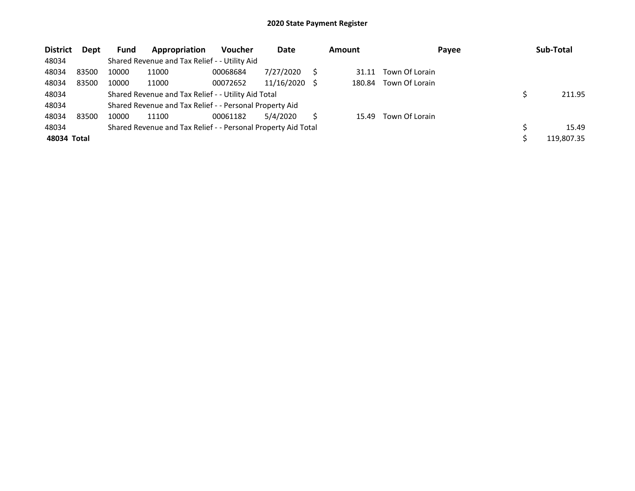| <b>District</b> | <b>Dept</b> | <b>Fund</b> | Appropriation                                                 | <b>Voucher</b> | Date       |     | <b>Amount</b> | Payee          | Sub-Total  |
|-----------------|-------------|-------------|---------------------------------------------------------------|----------------|------------|-----|---------------|----------------|------------|
| 48034           |             |             | Shared Revenue and Tax Relief - - Utility Aid                 |                |            |     |               |                |            |
| 48034           | 83500       | 10000       | 11000                                                         | 00068684       | 7/27/2020  |     | 31.11         | Town Of Lorain |            |
| 48034           | 83500       | 10000       | 11000                                                         | 00072652       | 11/16/2020 | - S | 180.84        | Town Of Lorain |            |
| 48034           |             |             | Shared Revenue and Tax Relief - - Utility Aid Total           |                |            |     |               |                | 211.95     |
| 48034           |             |             | Shared Revenue and Tax Relief - - Personal Property Aid       |                |            |     |               |                |            |
| 48034           | 83500       | 10000       | 11100                                                         | 00061182       | 5/4/2020   |     | 15.49         | Town Of Lorain |            |
| 48034           |             |             | Shared Revenue and Tax Relief - - Personal Property Aid Total |                |            |     |               |                | 15.49      |
| 48034 Total     |             |             |                                                               |                |            |     |               |                | 119,807.35 |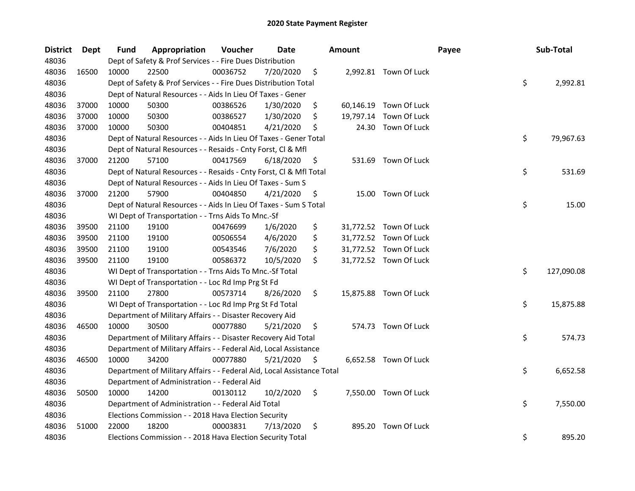| <b>District</b> | <b>Dept</b> | Fund  | Appropriation                                                          | Voucher  | <b>Date</b> |     | <b>Amount</b> |                        | Payee | Sub-Total        |
|-----------------|-------------|-------|------------------------------------------------------------------------|----------|-------------|-----|---------------|------------------------|-------|------------------|
| 48036           |             |       | Dept of Safety & Prof Services - - Fire Dues Distribution              |          |             |     |               |                        |       |                  |
| 48036           | 16500       | 10000 | 22500                                                                  | 00036752 | 7/20/2020   | \$  |               | 2,992.81 Town Of Luck  |       |                  |
| 48036           |             |       | Dept of Safety & Prof Services - - Fire Dues Distribution Total        |          |             |     |               |                        |       | \$<br>2,992.81   |
| 48036           |             |       | Dept of Natural Resources - - Aids In Lieu Of Taxes - Gener            |          |             |     |               |                        |       |                  |
| 48036           | 37000       | 10000 | 50300                                                                  | 00386526 | 1/30/2020   | \$  |               | 60,146.19 Town Of Luck |       |                  |
| 48036           | 37000       | 10000 | 50300                                                                  | 00386527 | 1/30/2020   | \$  | 19,797.14     | Town Of Luck           |       |                  |
| 48036           | 37000       | 10000 | 50300                                                                  | 00404851 | 4/21/2020   | \$  | 24.30         | Town Of Luck           |       |                  |
| 48036           |             |       | Dept of Natural Resources - - Aids In Lieu Of Taxes - Gener Total      |          |             |     |               |                        |       | \$<br>79,967.63  |
| 48036           |             |       | Dept of Natural Resources - - Resaids - Cnty Forst, Cl & Mfl           |          |             |     |               |                        |       |                  |
| 48036           | 37000       | 21200 | 57100                                                                  | 00417569 | 6/18/2020   | \$  |               | 531.69 Town Of Luck    |       |                  |
| 48036           |             |       | Dept of Natural Resources - - Resaids - Cnty Forst, Cl & Mfl Total     |          |             |     |               |                        |       | \$<br>531.69     |
| 48036           |             |       | Dept of Natural Resources - - Aids In Lieu Of Taxes - Sum S            |          |             |     |               |                        |       |                  |
| 48036           | 37000       | 21200 | 57900                                                                  | 00404850 | 4/21/2020   | \$. |               | 15.00 Town Of Luck     |       |                  |
| 48036           |             |       | Dept of Natural Resources - - Aids In Lieu Of Taxes - Sum S Total      |          |             |     |               |                        |       | \$<br>15.00      |
| 48036           |             |       | WI Dept of Transportation - - Trns Aids To Mnc.-Sf                     |          |             |     |               |                        |       |                  |
| 48036           | 39500       | 21100 | 19100                                                                  | 00476699 | 1/6/2020    | \$  |               | 31,772.52 Town Of Luck |       |                  |
| 48036           | 39500       | 21100 | 19100                                                                  | 00506554 | 4/6/2020    | \$  |               | 31,772.52 Town Of Luck |       |                  |
| 48036           | 39500       | 21100 | 19100                                                                  | 00543546 | 7/6/2020    | \$  |               | 31,772.52 Town Of Luck |       |                  |
| 48036           | 39500       | 21100 | 19100                                                                  | 00586372 | 10/5/2020   | \$  |               | 31,772.52 Town Of Luck |       |                  |
| 48036           |             |       | WI Dept of Transportation - - Trns Aids To Mnc.-Sf Total               |          |             |     |               |                        |       | \$<br>127,090.08 |
| 48036           |             |       | WI Dept of Transportation - - Loc Rd Imp Prg St Fd                     |          |             |     |               |                        |       |                  |
| 48036           | 39500       | 21100 | 27800                                                                  | 00573714 | 8/26/2020   | \$  |               | 15,875.88 Town Of Luck |       |                  |
| 48036           |             |       | WI Dept of Transportation - - Loc Rd Imp Prg St Fd Total               |          |             |     |               |                        |       | \$<br>15,875.88  |
| 48036           |             |       | Department of Military Affairs - - Disaster Recovery Aid               |          |             |     |               |                        |       |                  |
| 48036           | 46500       | 10000 | 30500                                                                  | 00077880 | 5/21/2020   | \$  |               | 574.73 Town Of Luck    |       |                  |
| 48036           |             |       | Department of Military Affairs - - Disaster Recovery Aid Total         |          |             |     |               |                        |       | \$<br>574.73     |
| 48036           |             |       | Department of Military Affairs - - Federal Aid, Local Assistance       |          |             |     |               |                        |       |                  |
| 48036           | 46500       | 10000 | 34200                                                                  | 00077880 | 5/21/2020   | \$  |               | 6,652.58 Town Of Luck  |       |                  |
| 48036           |             |       | Department of Military Affairs - - Federal Aid, Local Assistance Total |          |             |     |               |                        |       | \$<br>6,652.58   |
| 48036           |             |       | Department of Administration - - Federal Aid                           |          |             |     |               |                        |       |                  |
| 48036           | 50500       | 10000 | 14200                                                                  | 00130112 | 10/2/2020   | \$  |               | 7,550.00 Town Of Luck  |       |                  |
| 48036           |             |       | Department of Administration - - Federal Aid Total                     |          |             |     |               |                        |       | \$<br>7,550.00   |
| 48036           |             |       | Elections Commission - - 2018 Hava Election Security                   |          |             |     |               |                        |       |                  |
| 48036           | 51000       | 22000 | 18200                                                                  | 00003831 | 7/13/2020   | \$  | 895.20        | Town Of Luck           |       |                  |
| 48036           |             |       | Elections Commission - - 2018 Hava Election Security Total             |          |             |     |               |                        |       | \$<br>895.20     |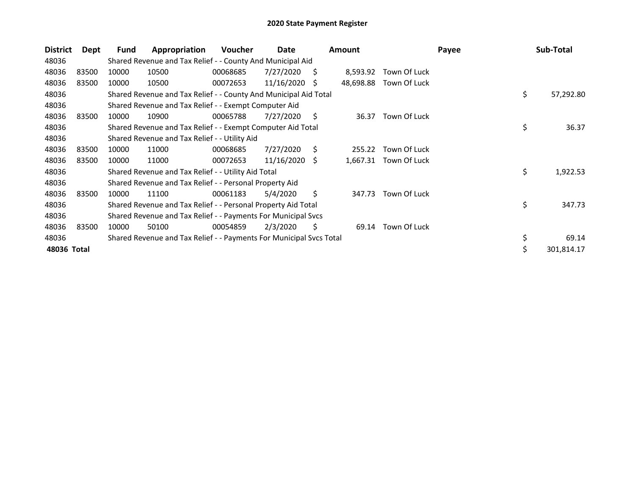| <b>District</b> | Dept  | Fund  | Appropriation                                                       | <b>Voucher</b> | Date            |    | <b>Amount</b> |                       | Payee | Sub-Total        |
|-----------------|-------|-------|---------------------------------------------------------------------|----------------|-----------------|----|---------------|-----------------------|-------|------------------|
| 48036           |       |       | Shared Revenue and Tax Relief - - County And Municipal Aid          |                |                 |    |               |                       |       |                  |
| 48036           | 83500 | 10000 | 10500                                                               | 00068685       | 7/27/2020       | S. | 8,593.92      | Town Of Luck          |       |                  |
| 48036           | 83500 | 10000 | 10500                                                               | 00072653       | 11/16/2020      | S  | 48,698.88     | Town Of Luck          |       |                  |
| 48036           |       |       | Shared Revenue and Tax Relief - - County And Municipal Aid Total    |                |                 |    |               |                       |       | \$<br>57,292.80  |
| 48036           |       |       | Shared Revenue and Tax Relief - - Exempt Computer Aid               |                |                 |    |               |                       |       |                  |
| 48036           | 83500 | 10000 | 10900                                                               | 00065788       | 7/27/2020       | S. | 36.37         | Town Of Luck          |       |                  |
| 48036           |       |       | Shared Revenue and Tax Relief - - Exempt Computer Aid Total         |                |                 |    |               |                       |       | \$<br>36.37      |
| 48036           |       |       | Shared Revenue and Tax Relief - - Utility Aid                       |                |                 |    |               |                       |       |                  |
| 48036           | 83500 | 10000 | 11000                                                               | 00068685       | 7/27/2020       | S. | 255.22        | Town Of Luck          |       |                  |
| 48036           | 83500 | 10000 | 11000                                                               | 00072653       | $11/16/2020$ \$ |    |               | 1,667.31 Town Of Luck |       |                  |
| 48036           |       |       | Shared Revenue and Tax Relief - - Utility Aid Total                 |                |                 |    |               |                       |       | \$<br>1,922.53   |
| 48036           |       |       | Shared Revenue and Tax Relief - - Personal Property Aid             |                |                 |    |               |                       |       |                  |
| 48036           | 83500 | 10000 | 11100                                                               | 00061183       | 5/4/2020        | \$ | 347.73        | Town Of Luck          |       |                  |
| 48036           |       |       | Shared Revenue and Tax Relief - - Personal Property Aid Total       |                |                 |    |               |                       |       | \$<br>347.73     |
| 48036           |       |       | Shared Revenue and Tax Relief - - Payments For Municipal Svcs       |                |                 |    |               |                       |       |                  |
| 48036           | 83500 | 10000 | 50100                                                               | 00054859       | 2/3/2020        | S. | 69.14         | Town Of Luck          |       |                  |
| 48036           |       |       | Shared Revenue and Tax Relief - - Payments For Municipal Svcs Total |                |                 |    |               |                       |       | \$<br>69.14      |
| 48036 Total     |       |       |                                                                     |                |                 |    |               |                       |       | \$<br>301,814.17 |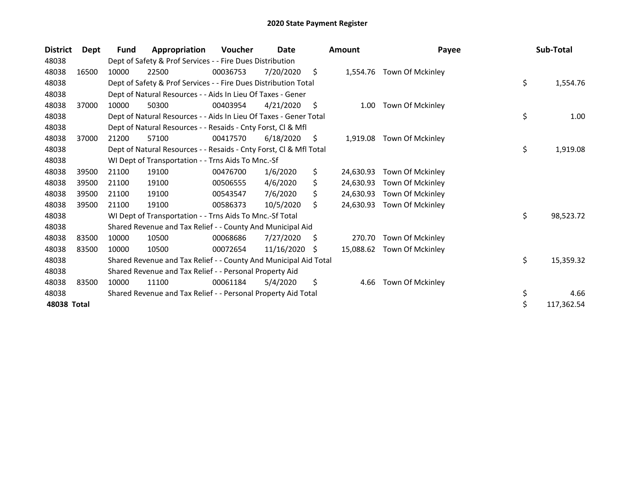| <b>District</b> | <b>Dept</b> | <b>Fund</b> | Appropriation                                                      | <b>Voucher</b> | Date       |    | <b>Amount</b> | Payee                     | Sub-Total        |
|-----------------|-------------|-------------|--------------------------------------------------------------------|----------------|------------|----|---------------|---------------------------|------------------|
| 48038           |             |             | Dept of Safety & Prof Services - - Fire Dues Distribution          |                |            |    |               |                           |                  |
| 48038           | 16500       | 10000       | 22500                                                              | 00036753       | 7/20/2020  | \$ |               | 1,554.76 Town Of Mckinley |                  |
| 48038           |             |             | Dept of Safety & Prof Services - - Fire Dues Distribution Total    |                |            |    |               |                           | \$<br>1,554.76   |
| 48038           |             |             | Dept of Natural Resources - - Aids In Lieu Of Taxes - Gener        |                |            |    |               |                           |                  |
| 48038           | 37000       | 10000       | 50300                                                              | 00403954       | 4/21/2020  | S. | 1.00          | Town Of Mckinley          |                  |
| 48038           |             |             | Dept of Natural Resources - - Aids In Lieu Of Taxes - Gener Total  |                |            |    |               |                           | \$<br>1.00       |
| 48038           |             |             | Dept of Natural Resources - - Resaids - Cnty Forst, Cl & Mfl       |                |            |    |               |                           |                  |
| 48038           | 37000       | 21200       | 57100                                                              | 00417570       | 6/18/2020  | S. | 1,919.08      | Town Of Mckinley          |                  |
| 48038           |             |             | Dept of Natural Resources - - Resaids - Cnty Forst, Cl & Mfl Total |                |            |    |               |                           | \$<br>1,919.08   |
| 48038           |             |             | WI Dept of Transportation - - Trns Aids To Mnc.-Sf                 |                |            |    |               |                           |                  |
| 48038           | 39500       | 21100       | 19100                                                              | 00476700       | 1/6/2020   | \$ | 24,630.93     | Town Of Mckinley          |                  |
| 48038           | 39500       | 21100       | 19100                                                              | 00506555       | 4/6/2020   | \$ | 24,630.93     | Town Of Mckinley          |                  |
| 48038           | 39500       | 21100       | 19100                                                              | 00543547       | 7/6/2020   | \$ | 24,630.93     | Town Of Mckinley          |                  |
| 48038           | 39500       | 21100       | 19100                                                              | 00586373       | 10/5/2020  | Ś. | 24,630.93     | Town Of Mckinley          |                  |
| 48038           |             |             | WI Dept of Transportation - - Trns Aids To Mnc.-Sf Total           |                |            |    |               |                           | \$<br>98,523.72  |
| 48038           |             |             | Shared Revenue and Tax Relief - - County And Municipal Aid         |                |            |    |               |                           |                  |
| 48038           | 83500       | 10000       | 10500                                                              | 00068686       | 7/27/2020  | S  | 270.70        | Town Of Mckinley          |                  |
| 48038           | 83500       | 10000       | 10500                                                              | 00072654       | 11/16/2020 | S. | 15,088.62     | Town Of Mckinley          |                  |
| 48038           |             |             | Shared Revenue and Tax Relief - - County And Municipal Aid Total   |                |            |    |               |                           | \$<br>15,359.32  |
| 48038           |             |             | Shared Revenue and Tax Relief - - Personal Property Aid            |                |            |    |               |                           |                  |
| 48038           | 83500       | 10000       | 11100                                                              | 00061184       | 5/4/2020   | \$ | 4.66          | Town Of Mckinley          |                  |
| 48038           |             |             | Shared Revenue and Tax Relief - - Personal Property Aid Total      |                |            |    |               |                           | \$<br>4.66       |
| 48038 Total     |             |             |                                                                    |                |            |    |               |                           | \$<br>117,362.54 |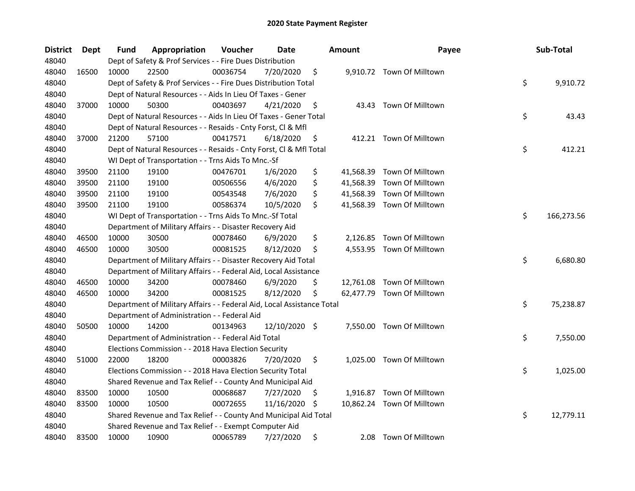| <b>District</b> | <b>Dept</b> | Fund  | Appropriation                                                          | Voucher  | Date          | <b>Amount</b>  | Payee                      | Sub-Total        |
|-----------------|-------------|-------|------------------------------------------------------------------------|----------|---------------|----------------|----------------------------|------------------|
| 48040           |             |       | Dept of Safety & Prof Services - - Fire Dues Distribution              |          |               |                |                            |                  |
| 48040           | 16500       | 10000 | 22500                                                                  | 00036754 | 7/20/2020     | \$             | 9,910.72 Town Of Milltown  |                  |
| 48040           |             |       | Dept of Safety & Prof Services - - Fire Dues Distribution Total        |          |               |                |                            | \$<br>9,910.72   |
| 48040           |             |       | Dept of Natural Resources - - Aids In Lieu Of Taxes - Gener            |          |               |                |                            |                  |
| 48040           | 37000       | 10000 | 50300                                                                  | 00403697 | 4/21/2020     | \$             | 43.43 Town Of Milltown     |                  |
| 48040           |             |       | Dept of Natural Resources - - Aids In Lieu Of Taxes - Gener Total      |          |               |                |                            | \$<br>43.43      |
| 48040           |             |       | Dept of Natural Resources - - Resaids - Cnty Forst, Cl & Mfl           |          |               |                |                            |                  |
| 48040           | 37000       | 21200 | 57100                                                                  | 00417571 | 6/18/2020     | \$             | 412.21 Town Of Milltown    |                  |
| 48040           |             |       | Dept of Natural Resources - - Resaids - Cnty Forst, Cl & Mfl Total     |          |               |                |                            | \$<br>412.21     |
| 48040           |             |       | WI Dept of Transportation - - Trns Aids To Mnc.-Sf                     |          |               |                |                            |                  |
| 48040           | 39500       | 21100 | 19100                                                                  | 00476701 | 1/6/2020      | \$             | 41,568.39 Town Of Milltown |                  |
| 48040           | 39500       | 21100 | 19100                                                                  | 00506556 | 4/6/2020      | \$             | 41,568.39 Town Of Milltown |                  |
| 48040           | 39500       | 21100 | 19100                                                                  | 00543548 | 7/6/2020      | \$             | 41,568.39 Town Of Milltown |                  |
| 48040           | 39500       | 21100 | 19100                                                                  | 00586374 | 10/5/2020     | \$             | 41,568.39 Town Of Milltown |                  |
| 48040           |             |       | WI Dept of Transportation - - Trns Aids To Mnc.-Sf Total               |          |               |                |                            | \$<br>166,273.56 |
| 48040           |             |       | Department of Military Affairs - - Disaster Recovery Aid               |          |               |                |                            |                  |
| 48040           | 46500       | 10000 | 30500                                                                  | 00078460 | 6/9/2020      | \$<br>2,126.85 | Town Of Milltown           |                  |
| 48040           | 46500       | 10000 | 30500                                                                  | 00081525 | 8/12/2020     | \$<br>4,553.95 | Town Of Milltown           |                  |
| 48040           |             |       | Department of Military Affairs - - Disaster Recovery Aid Total         |          |               |                |                            | \$<br>6,680.80   |
| 48040           |             |       | Department of Military Affairs - - Federal Aid, Local Assistance       |          |               |                |                            |                  |
| 48040           | 46500       | 10000 | 34200                                                                  | 00078460 | 6/9/2020      | \$             | 12,761.08 Town Of Milltown |                  |
| 48040           | 46500       | 10000 | 34200                                                                  | 00081525 | 8/12/2020     | \$             | 62,477.79 Town Of Milltown |                  |
| 48040           |             |       | Department of Military Affairs - - Federal Aid, Local Assistance Total |          |               |                |                            | \$<br>75,238.87  |
| 48040           |             |       | Department of Administration - - Federal Aid                           |          |               |                |                            |                  |
| 48040           | 50500       | 10000 | 14200                                                                  | 00134963 | 12/10/2020 \$ |                | 7,550.00 Town Of Milltown  |                  |
| 48040           |             |       | Department of Administration - - Federal Aid Total                     |          |               |                |                            | \$<br>7,550.00   |
| 48040           |             |       | Elections Commission - - 2018 Hava Election Security                   |          |               |                |                            |                  |
| 48040           | 51000       | 22000 | 18200                                                                  | 00003826 | 7/20/2020     | \$             | 1,025.00 Town Of Milltown  |                  |
| 48040           |             |       | Elections Commission - - 2018 Hava Election Security Total             |          |               |                |                            | \$<br>1,025.00   |
| 48040           |             |       | Shared Revenue and Tax Relief - - County And Municipal Aid             |          |               |                |                            |                  |
| 48040           | 83500       | 10000 | 10500                                                                  | 00068687 | 7/27/2020     | \$             | 1,916.87 Town Of Milltown  |                  |
| 48040           | 83500       | 10000 | 10500                                                                  | 00072655 | 11/16/2020    | \$             | 10,862.24 Town Of Milltown |                  |
| 48040           |             |       | Shared Revenue and Tax Relief - - County And Municipal Aid Total       |          |               |                |                            | \$<br>12,779.11  |
| 48040           |             |       | Shared Revenue and Tax Relief - - Exempt Computer Aid                  |          |               |                |                            |                  |
| 48040           | 83500       | 10000 | 10900                                                                  | 00065789 | 7/27/2020     | \$<br>2.08     | Town Of Milltown           |                  |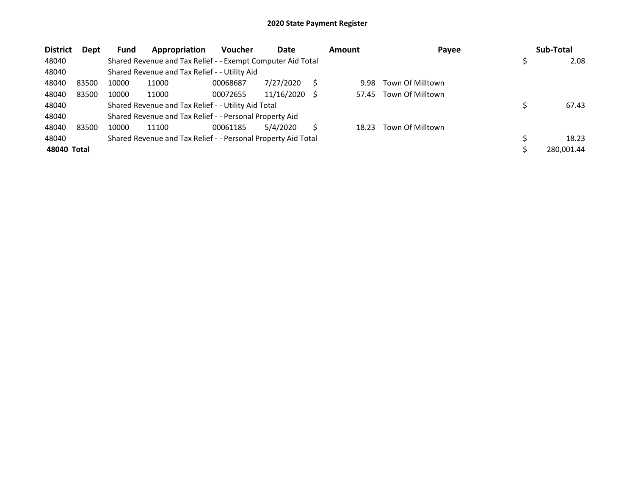| <b>District</b> | Dept  | <b>Fund</b> | Appropriation                                                 | <b>Voucher</b> | Date       | <b>Amount</b> | Payee            | Sub-Total  |
|-----------------|-------|-------------|---------------------------------------------------------------|----------------|------------|---------------|------------------|------------|
| 48040           |       |             | Shared Revenue and Tax Relief - - Exempt Computer Aid Total   |                |            |               |                  | 2.08       |
| 48040           |       |             | Shared Revenue and Tax Relief - - Utility Aid                 |                |            |               |                  |            |
| 48040           | 83500 | 10000       | 11000                                                         | 00068687       | 7/27/2020  | 9.98          | Town Of Milltown |            |
| 48040           | 83500 | 10000       | 11000                                                         | 00072655       | 11/16/2020 | 57.45         | Town Of Milltown |            |
| 48040           |       |             | Shared Revenue and Tax Relief - - Utility Aid Total           |                |            |               |                  | 67.43      |
| 48040           |       |             | Shared Revenue and Tax Relief - - Personal Property Aid       |                |            |               |                  |            |
| 48040           | 83500 | 10000       | 11100                                                         | 00061185       | 5/4/2020   | 18.23         | Town Of Milltown |            |
| 48040           |       |             | Shared Revenue and Tax Relief - - Personal Property Aid Total |                |            |               |                  | 18.23      |
| 48040 Total     |       |             |                                                               |                |            |               |                  | 280.001.44 |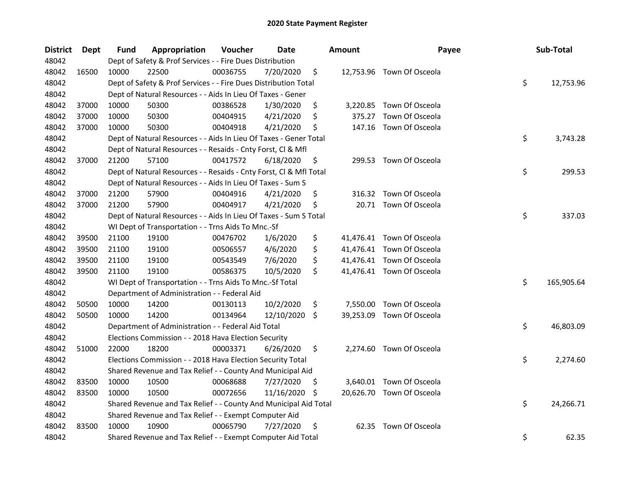| <b>District</b> | Dept  | Fund  | Appropriation                                                      | Voucher  | <b>Date</b> |     | Amount | Payee                     | Sub-Total        |
|-----------------|-------|-------|--------------------------------------------------------------------|----------|-------------|-----|--------|---------------------------|------------------|
| 48042           |       |       | Dept of Safety & Prof Services - - Fire Dues Distribution          |          |             |     |        |                           |                  |
| 48042           | 16500 | 10000 | 22500                                                              | 00036755 | 7/20/2020   | \$  |        | 12,753.96 Town Of Osceola |                  |
| 48042           |       |       | Dept of Safety & Prof Services - - Fire Dues Distribution Total    |          |             |     |        |                           | \$<br>12,753.96  |
| 48042           |       |       | Dept of Natural Resources - - Aids In Lieu Of Taxes - Gener        |          |             |     |        |                           |                  |
| 48042           | 37000 | 10000 | 50300                                                              | 00386528 | 1/30/2020   | \$  |        | 3,220.85 Town Of Osceola  |                  |
| 48042           | 37000 | 10000 | 50300                                                              | 00404915 | 4/21/2020   | \$  | 375.27 | Town Of Osceola           |                  |
| 48042           | 37000 | 10000 | 50300                                                              | 00404918 | 4/21/2020   | \$  |        | 147.16 Town Of Osceola    |                  |
| 48042           |       |       | Dept of Natural Resources - - Aids In Lieu Of Taxes - Gener Total  |          |             |     |        |                           | \$<br>3,743.28   |
| 48042           |       |       | Dept of Natural Resources - - Resaids - Cnty Forst, Cl & Mfl       |          |             |     |        |                           |                  |
| 48042           | 37000 | 21200 | 57100                                                              | 00417572 | 6/18/2020   | \$  |        | 299.53 Town Of Osceola    |                  |
| 48042           |       |       | Dept of Natural Resources - - Resaids - Cnty Forst, Cl & Mfl Total |          |             |     |        |                           | \$<br>299.53     |
| 48042           |       |       | Dept of Natural Resources - - Aids In Lieu Of Taxes - Sum S        |          |             |     |        |                           |                  |
| 48042           | 37000 | 21200 | 57900                                                              | 00404916 | 4/21/2020   | \$  | 316.32 | Town Of Osceola           |                  |
| 48042           | 37000 | 21200 | 57900                                                              | 00404917 | 4/21/2020   | \$  |        | 20.71 Town Of Osceola     |                  |
| 48042           |       |       | Dept of Natural Resources - - Aids In Lieu Of Taxes - Sum S Total  |          |             |     |        |                           | \$<br>337.03     |
| 48042           |       |       | WI Dept of Transportation - - Trns Aids To Mnc.-Sf                 |          |             |     |        |                           |                  |
| 48042           | 39500 | 21100 | 19100                                                              | 00476702 | 1/6/2020    | \$  |        | 41,476.41 Town Of Osceola |                  |
| 48042           | 39500 | 21100 | 19100                                                              | 00506557 | 4/6/2020    | \$  |        | 41,476.41 Town Of Osceola |                  |
| 48042           | 39500 | 21100 | 19100                                                              | 00543549 | 7/6/2020    | \$  |        | 41,476.41 Town Of Osceola |                  |
| 48042           | 39500 | 21100 | 19100                                                              | 00586375 | 10/5/2020   | \$  |        | 41,476.41 Town Of Osceola |                  |
| 48042           |       |       | WI Dept of Transportation - - Trns Aids To Mnc.-Sf Total           |          |             |     |        |                           | \$<br>165,905.64 |
| 48042           |       |       | Department of Administration - - Federal Aid                       |          |             |     |        |                           |                  |
| 48042           | 50500 | 10000 | 14200                                                              | 00130113 | 10/2/2020   | \$  |        | 7,550.00 Town Of Osceola  |                  |
| 48042           | 50500 | 10000 | 14200                                                              | 00134964 | 12/10/2020  | \$  |        | 39,253.09 Town Of Osceola |                  |
| 48042           |       |       | Department of Administration - - Federal Aid Total                 |          |             |     |        |                           | \$<br>46,803.09  |
| 48042           |       |       | Elections Commission - - 2018 Hava Election Security               |          |             |     |        |                           |                  |
| 48042           | 51000 | 22000 | 18200                                                              | 00003371 | 6/26/2020   | \$  |        | 2,274.60 Town Of Osceola  |                  |
| 48042           |       |       | Elections Commission - - 2018 Hava Election Security Total         |          |             |     |        |                           | \$<br>2,274.60   |
| 48042           |       |       | Shared Revenue and Tax Relief - - County And Municipal Aid         |          |             |     |        |                           |                  |
| 48042           | 83500 | 10000 | 10500                                                              | 00068688 | 7/27/2020   | \$  |        | 3,640.01 Town Of Osceola  |                  |
| 48042           | 83500 | 10000 | 10500                                                              | 00072656 | 11/16/2020  | -\$ |        | 20,626.70 Town Of Osceola |                  |
| 48042           |       |       | Shared Revenue and Tax Relief - - County And Municipal Aid Total   |          |             |     |        |                           | \$<br>24,266.71  |
| 48042           |       |       | Shared Revenue and Tax Relief - - Exempt Computer Aid              |          |             |     |        |                           |                  |
| 48042           | 83500 | 10000 | 10900                                                              | 00065790 | 7/27/2020   | \$  | 62.35  | Town Of Osceola           |                  |
| 48042           |       |       | Shared Revenue and Tax Relief - - Exempt Computer Aid Total        |          |             |     |        |                           | \$<br>62.35      |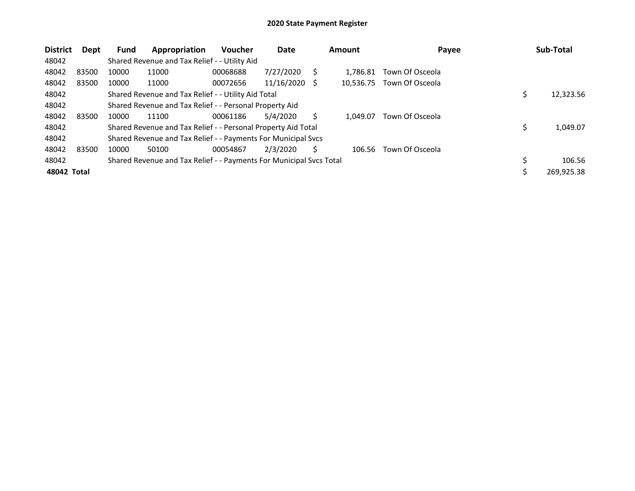| <b>District</b> | Dept  | <b>Fund</b> | Appropriation                                                       | Voucher  | Date       |     | <b>Amount</b> | Payee           | Sub-Total    |
|-----------------|-------|-------------|---------------------------------------------------------------------|----------|------------|-----|---------------|-----------------|--------------|
| 48042           |       |             | Shared Revenue and Tax Relief - - Utility Aid                       |          |            |     |               |                 |              |
| 48042           | 83500 | 10000       | 11000                                                               | 00068688 | 7/27/2020  | S   | 1.786.81      | Town Of Osceola |              |
| 48042           | 83500 | 10000       | 11000                                                               | 00072656 | 11/16/2020 | - S | 10.536.75     | Town Of Osceola |              |
| 48042           |       |             | Shared Revenue and Tax Relief - - Utility Aid Total                 |          |            |     |               |                 | 12,323.56    |
| 48042           |       |             | Shared Revenue and Tax Relief - - Personal Property Aid             |          |            |     |               |                 |              |
| 48042           | 83500 | 10000       | 11100                                                               | 00061186 | 5/4/2020   | S   | 1.049.07      | Town Of Osceola |              |
| 48042           |       |             | Shared Revenue and Tax Relief - - Personal Property Aid Total       |          |            |     |               |                 | 1,049.07     |
| 48042           |       |             | Shared Revenue and Tax Relief - - Payments For Municipal Svcs       |          |            |     |               |                 |              |
| 48042           | 83500 | 10000       | 50100                                                               | 00054867 | 2/3/2020   | S   | 106.56        | Town Of Osceola |              |
| 48042           |       |             | Shared Revenue and Tax Relief - - Payments For Municipal Svcs Total |          |            |     |               |                 | \$<br>106.56 |
| 48042 Total     |       |             |                                                                     |          |            |     |               |                 | 269.925.38   |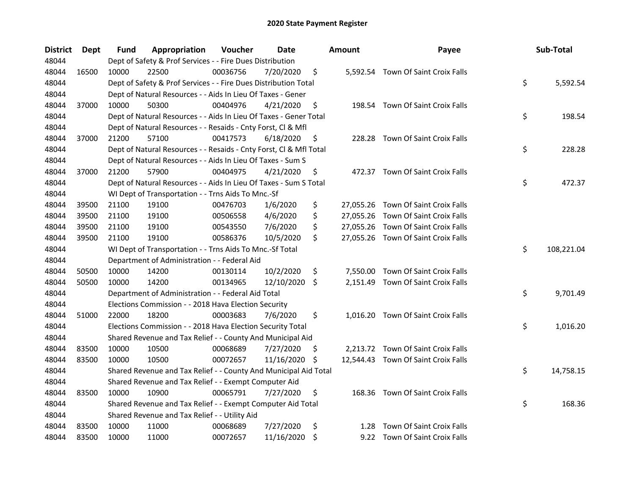| <b>District</b> | Dept  | Fund  | Appropriation                                                      | Voucher  | Date       |     | <b>Amount</b> | Payee                               | Sub-Total        |
|-----------------|-------|-------|--------------------------------------------------------------------|----------|------------|-----|---------------|-------------------------------------|------------------|
| 48044           |       |       | Dept of Safety & Prof Services - - Fire Dues Distribution          |          |            |     |               |                                     |                  |
| 48044           | 16500 | 10000 | 22500                                                              | 00036756 | 7/20/2020  | \$  |               | 5,592.54 Town Of Saint Croix Falls  |                  |
| 48044           |       |       | Dept of Safety & Prof Services - - Fire Dues Distribution Total    |          |            |     |               |                                     | \$<br>5,592.54   |
| 48044           |       |       | Dept of Natural Resources - - Aids In Lieu Of Taxes - Gener        |          |            |     |               |                                     |                  |
| 48044           | 37000 | 10000 | 50300                                                              | 00404976 | 4/21/2020  | \$  |               | 198.54 Town Of Saint Croix Falls    |                  |
| 48044           |       |       | Dept of Natural Resources - - Aids In Lieu Of Taxes - Gener Total  |          |            |     |               |                                     | \$<br>198.54     |
| 48044           |       |       | Dept of Natural Resources - - Resaids - Cnty Forst, Cl & Mfl       |          |            |     |               |                                     |                  |
| 48044           | 37000 | 21200 | 57100                                                              | 00417573 | 6/18/2020  | \$  |               | 228.28 Town Of Saint Croix Falls    |                  |
| 48044           |       |       | Dept of Natural Resources - - Resaids - Cnty Forst, Cl & Mfl Total |          |            |     |               |                                     | \$<br>228.28     |
| 48044           |       |       | Dept of Natural Resources - - Aids In Lieu Of Taxes - Sum S        |          |            |     |               |                                     |                  |
| 48044           | 37000 | 21200 | 57900                                                              | 00404975 | 4/21/2020  | \$  |               | 472.37 Town Of Saint Croix Falls    |                  |
| 48044           |       |       | Dept of Natural Resources - - Aids In Lieu Of Taxes - Sum S Total  |          |            |     |               |                                     | \$<br>472.37     |
| 48044           |       |       | WI Dept of Transportation - - Trns Aids To Mnc.-Sf                 |          |            |     |               |                                     |                  |
| 48044           | 39500 | 21100 | 19100                                                              | 00476703 | 1/6/2020   | \$  |               | 27,055.26 Town Of Saint Croix Falls |                  |
| 48044           | 39500 | 21100 | 19100                                                              | 00506558 | 4/6/2020   | \$  |               | 27,055.26 Town Of Saint Croix Falls |                  |
| 48044           | 39500 | 21100 | 19100                                                              | 00543550 | 7/6/2020   | \$  |               | 27,055.26 Town Of Saint Croix Falls |                  |
| 48044           | 39500 | 21100 | 19100                                                              | 00586376 | 10/5/2020  | \$  |               | 27,055.26 Town Of Saint Croix Falls |                  |
| 48044           |       |       | WI Dept of Transportation - - Trns Aids To Mnc.-Sf Total           |          |            |     |               |                                     | \$<br>108,221.04 |
| 48044           |       |       | Department of Administration - - Federal Aid                       |          |            |     |               |                                     |                  |
| 48044           | 50500 | 10000 | 14200                                                              | 00130114 | 10/2/2020  | \$  | 7,550.00      | Town Of Saint Croix Falls           |                  |
| 48044           | 50500 | 10000 | 14200                                                              | 00134965 | 12/10/2020 | \$  |               | 2,151.49 Town Of Saint Croix Falls  |                  |
| 48044           |       |       | Department of Administration - - Federal Aid Total                 |          |            |     |               |                                     | \$<br>9,701.49   |
| 48044           |       |       | Elections Commission - - 2018 Hava Election Security               |          |            |     |               |                                     |                  |
| 48044           | 51000 | 22000 | 18200                                                              | 00003683 | 7/6/2020   | \$  |               | 1,016.20 Town Of Saint Croix Falls  |                  |
| 48044           |       |       | Elections Commission - - 2018 Hava Election Security Total         |          |            |     |               |                                     | \$<br>1,016.20   |
| 48044           |       |       | Shared Revenue and Tax Relief - - County And Municipal Aid         |          |            |     |               |                                     |                  |
| 48044           | 83500 | 10000 | 10500                                                              | 00068689 | 7/27/2020  | \$. |               | 2,213.72 Town Of Saint Croix Falls  |                  |
| 48044           | 83500 | 10000 | 10500                                                              | 00072657 | 11/16/2020 | -\$ |               | 12,544.43 Town Of Saint Croix Falls |                  |
| 48044           |       |       | Shared Revenue and Tax Relief - - County And Municipal Aid Total   |          |            |     |               |                                     | \$<br>14,758.15  |
| 48044           |       |       | Shared Revenue and Tax Relief - - Exempt Computer Aid              |          |            |     |               |                                     |                  |
| 48044           | 83500 | 10000 | 10900                                                              | 00065791 | 7/27/2020  | \$  |               | 168.36 Town Of Saint Croix Falls    |                  |
| 48044           |       |       | Shared Revenue and Tax Relief - - Exempt Computer Aid Total        |          |            |     |               |                                     | \$<br>168.36     |
| 48044           |       |       | Shared Revenue and Tax Relief - - Utility Aid                      |          |            |     |               |                                     |                  |
| 48044           | 83500 | 10000 | 11000                                                              | 00068689 | 7/27/2020  | \$  | 1.28          | Town Of Saint Croix Falls           |                  |
| 48044           | 83500 | 10000 | 11000                                                              | 00072657 | 11/16/2020 | \$  |               | 9.22 Town Of Saint Croix Falls      |                  |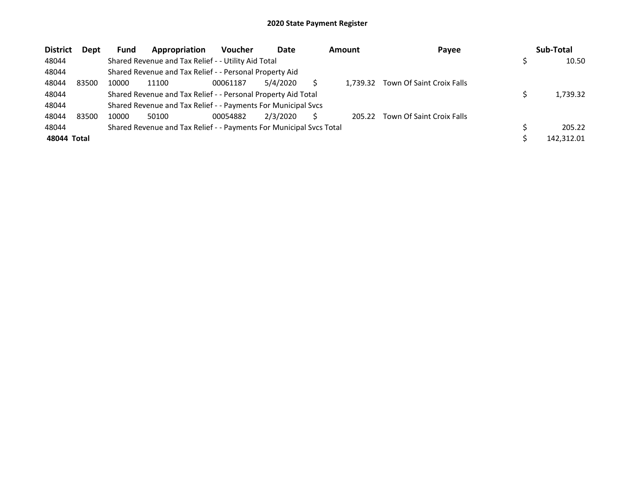| <b>District</b> | Dept  | <b>Fund</b> | Appropriation                                                       | <b>Voucher</b> | Date     | <b>Amount</b> | Payee                     | Sub-Total  |
|-----------------|-------|-------------|---------------------------------------------------------------------|----------------|----------|---------------|---------------------------|------------|
| 48044           |       |             | Shared Revenue and Tax Relief - - Utility Aid Total                 |                |          |               |                           | 10.50      |
| 48044           |       |             | Shared Revenue and Tax Relief - - Personal Property Aid             |                |          |               |                           |            |
| 48044           | 83500 | 10000       | 11100                                                               | 00061187       | 5/4/2020 | 1.739.32      | Town Of Saint Croix Falls |            |
| 48044           |       |             | Shared Revenue and Tax Relief - - Personal Property Aid Total       |                |          |               |                           | 1,739.32   |
| 48044           |       |             | Shared Revenue and Tax Relief - - Payments For Municipal Svcs       |                |          |               |                           |            |
| 48044           | 83500 | 10000       | 50100                                                               | 00054882       | 2/3/2020 | 205.22        | Town Of Saint Croix Falls |            |
| 48044           |       |             | Shared Revenue and Tax Relief - - Payments For Municipal Svcs Total |                |          |               |                           | 205.22     |
| 48044 Total     |       |             |                                                                     |                |          |               |                           | 142,312.01 |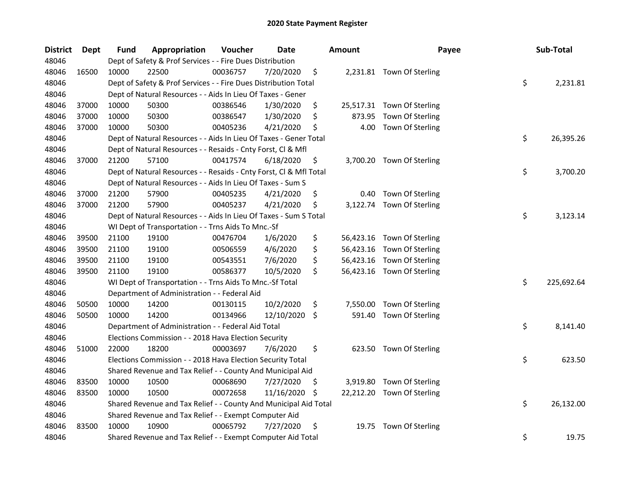| <b>District</b> | <b>Dept</b> | Fund  | Appropriation                                                      | Voucher  | <b>Date</b> |     | <b>Amount</b> | Payee                      | Sub-Total        |
|-----------------|-------------|-------|--------------------------------------------------------------------|----------|-------------|-----|---------------|----------------------------|------------------|
| 48046           |             |       | Dept of Safety & Prof Services - - Fire Dues Distribution          |          |             |     |               |                            |                  |
| 48046           | 16500       | 10000 | 22500                                                              | 00036757 | 7/20/2020   | \$  |               | 2,231.81 Town Of Sterling  |                  |
| 48046           |             |       | Dept of Safety & Prof Services - - Fire Dues Distribution Total    |          |             |     |               |                            | \$<br>2,231.81   |
| 48046           |             |       | Dept of Natural Resources - - Aids In Lieu Of Taxes - Gener        |          |             |     |               |                            |                  |
| 48046           | 37000       | 10000 | 50300                                                              | 00386546 | 1/30/2020   | \$  |               | 25,517.31 Town Of Sterling |                  |
| 48046           | 37000       | 10000 | 50300                                                              | 00386547 | 1/30/2020   | \$  | 873.95        | Town Of Sterling           |                  |
| 48046           | 37000       | 10000 | 50300                                                              | 00405236 | 4/21/2020   | \$  | 4.00          | Town Of Sterling           |                  |
| 48046           |             |       | Dept of Natural Resources - - Aids In Lieu Of Taxes - Gener Total  |          |             |     |               |                            | \$<br>26,395.26  |
| 48046           |             |       | Dept of Natural Resources - - Resaids - Cnty Forst, Cl & Mfl       |          |             |     |               |                            |                  |
| 48046           | 37000       | 21200 | 57100                                                              | 00417574 | 6/18/2020   | \$  |               | 3,700.20 Town Of Sterling  |                  |
| 48046           |             |       | Dept of Natural Resources - - Resaids - Cnty Forst, Cl & Mfl Total |          |             |     |               |                            | \$<br>3,700.20   |
| 48046           |             |       | Dept of Natural Resources - - Aids In Lieu Of Taxes - Sum S        |          |             |     |               |                            |                  |
| 48046           | 37000       | 21200 | 57900                                                              | 00405235 | 4/21/2020   | \$  | 0.40          | Town Of Sterling           |                  |
| 48046           | 37000       | 21200 | 57900                                                              | 00405237 | 4/21/2020   | \$  | 3,122.74      | Town Of Sterling           |                  |
| 48046           |             |       | Dept of Natural Resources - - Aids In Lieu Of Taxes - Sum S Total  |          |             |     |               |                            | \$<br>3,123.14   |
| 48046           |             |       | WI Dept of Transportation - - Trns Aids To Mnc.-Sf                 |          |             |     |               |                            |                  |
| 48046           | 39500       | 21100 | 19100                                                              | 00476704 | 1/6/2020    | \$  | 56,423.16     | Town Of Sterling           |                  |
| 48046           | 39500       | 21100 | 19100                                                              | 00506559 | 4/6/2020    | \$  | 56,423.16     | Town Of Sterling           |                  |
| 48046           | 39500       | 21100 | 19100                                                              | 00543551 | 7/6/2020    | \$  | 56,423.16     | Town Of Sterling           |                  |
| 48046           | 39500       | 21100 | 19100                                                              | 00586377 | 10/5/2020   | \$  |               | 56,423.16 Town Of Sterling |                  |
| 48046           |             |       | WI Dept of Transportation - - Trns Aids To Mnc.-Sf Total           |          |             |     |               |                            | \$<br>225,692.64 |
| 48046           |             |       | Department of Administration - - Federal Aid                       |          |             |     |               |                            |                  |
| 48046           | 50500       | 10000 | 14200                                                              | 00130115 | 10/2/2020   | \$  | 7,550.00      | Town Of Sterling           |                  |
| 48046           | 50500       | 10000 | 14200                                                              | 00134966 | 12/10/2020  | \$  | 591.40        | Town Of Sterling           |                  |
| 48046           |             |       | Department of Administration - - Federal Aid Total                 |          |             |     |               |                            | \$<br>8,141.40   |
| 48046           |             |       | Elections Commission - - 2018 Hava Election Security               |          |             |     |               |                            |                  |
| 48046           | 51000       | 22000 | 18200                                                              | 00003697 | 7/6/2020    | \$  |               | 623.50 Town Of Sterling    |                  |
| 48046           |             |       | Elections Commission - - 2018 Hava Election Security Total         |          |             |     |               |                            | \$<br>623.50     |
| 48046           |             |       | Shared Revenue and Tax Relief - - County And Municipal Aid         |          |             |     |               |                            |                  |
| 48046           | 83500       | 10000 | 10500                                                              | 00068690 | 7/27/2020   | \$  | 3,919.80      | Town Of Sterling           |                  |
| 48046           | 83500       | 10000 | 10500                                                              | 00072658 | 11/16/2020  | \$. |               | 22,212.20 Town Of Sterling |                  |
| 48046           |             |       | Shared Revenue and Tax Relief - - County And Municipal Aid Total   |          |             |     |               |                            | \$<br>26,132.00  |
| 48046           |             |       | Shared Revenue and Tax Relief - - Exempt Computer Aid              |          |             |     |               |                            |                  |
| 48046           | 83500       | 10000 | 10900                                                              | 00065792 | 7/27/2020   | \$  | 19.75         | Town Of Sterling           |                  |
| 48046           |             |       | Shared Revenue and Tax Relief - - Exempt Computer Aid Total        |          |             |     |               |                            | \$<br>19.75      |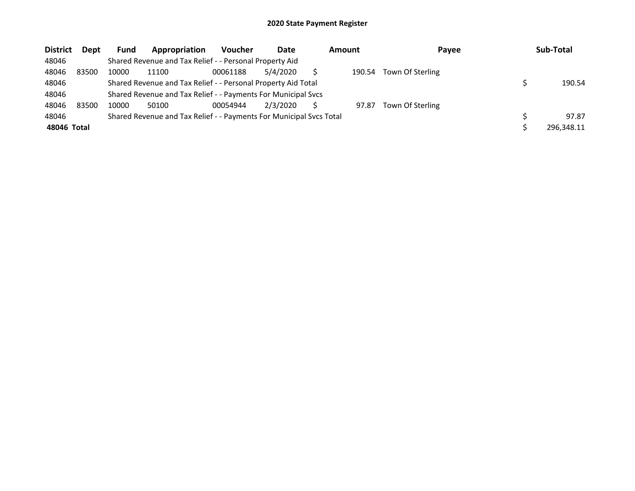| <b>District</b> | Dept  | Fund  | Appropriation                                                       | <b>Voucher</b> | Date     | Amount | Payee            | Sub-Total  |
|-----------------|-------|-------|---------------------------------------------------------------------|----------------|----------|--------|------------------|------------|
| 48046           |       |       | Shared Revenue and Tax Relief - - Personal Property Aid             |                |          |        |                  |            |
| 48046           | 83500 | 10000 | 11100                                                               | 00061188       | 5/4/2020 | 190.54 | Town Of Sterling |            |
| 48046           |       |       | Shared Revenue and Tax Relief - - Personal Property Aid Total       |                |          |        |                  | 190.54     |
| 48046           |       |       | Shared Revenue and Tax Relief - - Payments For Municipal Svcs       |                |          |        |                  |            |
| 48046           | 83500 | 10000 | 50100                                                               | 00054944       | 2/3/2020 | 97.87  | Town Of Sterling |            |
| 48046           |       |       | Shared Revenue and Tax Relief - - Payments For Municipal Svcs Total |                |          |        |                  | 97.87      |
| 48046 Total     |       |       |                                                                     |                |          |        |                  | 296.348.11 |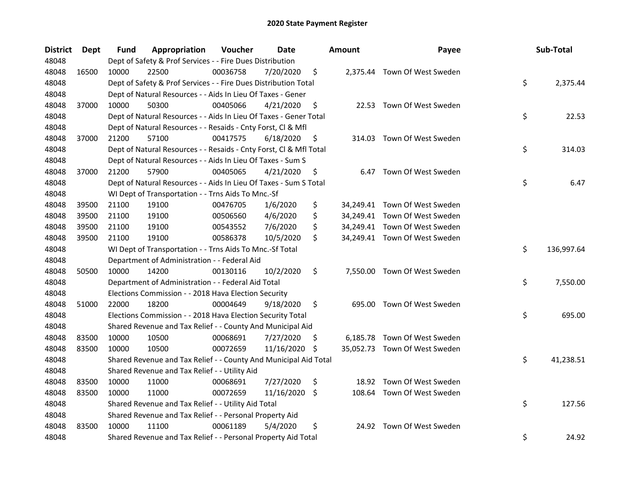| <b>District</b> | Dept  | Fund  | Appropriation                                                      | Voucher  | <b>Date</b> |     | <b>Amount</b> | Payee                         | Sub-Total        |
|-----------------|-------|-------|--------------------------------------------------------------------|----------|-------------|-----|---------------|-------------------------------|------------------|
| 48048           |       |       | Dept of Safety & Prof Services - - Fire Dues Distribution          |          |             |     |               |                               |                  |
| 48048           | 16500 | 10000 | 22500                                                              | 00036758 | 7/20/2020   | \$  |               | 2,375.44 Town Of West Sweden  |                  |
| 48048           |       |       | Dept of Safety & Prof Services - - Fire Dues Distribution Total    |          |             |     |               |                               | \$<br>2,375.44   |
| 48048           |       |       | Dept of Natural Resources - - Aids In Lieu Of Taxes - Gener        |          |             |     |               |                               |                  |
| 48048           | 37000 | 10000 | 50300                                                              | 00405066 | 4/21/2020   | \$  |               | 22.53 Town Of West Sweden     |                  |
| 48048           |       |       | Dept of Natural Resources - - Aids In Lieu Of Taxes - Gener Total  |          |             |     |               |                               | \$<br>22.53      |
| 48048           |       |       | Dept of Natural Resources - - Resaids - Cnty Forst, Cl & Mfl       |          |             |     |               |                               |                  |
| 48048           | 37000 | 21200 | 57100                                                              | 00417575 | 6/18/2020   | \$  |               | 314.03 Town Of West Sweden    |                  |
| 48048           |       |       | Dept of Natural Resources - - Resaids - Cnty Forst, Cl & Mfl Total |          |             |     |               |                               | \$<br>314.03     |
| 48048           |       |       | Dept of Natural Resources - - Aids In Lieu Of Taxes - Sum S        |          |             |     |               |                               |                  |
| 48048           | 37000 | 21200 | 57900                                                              | 00405065 | 4/21/2020   | \$  |               | 6.47 Town Of West Sweden      |                  |
| 48048           |       |       | Dept of Natural Resources - - Aids In Lieu Of Taxes - Sum S Total  |          |             |     |               |                               | \$<br>6.47       |
| 48048           |       |       | WI Dept of Transportation - - Trns Aids To Mnc.-Sf                 |          |             |     |               |                               |                  |
| 48048           | 39500 | 21100 | 19100                                                              | 00476705 | 1/6/2020    | \$  |               | 34,249.41 Town Of West Sweden |                  |
| 48048           | 39500 | 21100 | 19100                                                              | 00506560 | 4/6/2020    | \$  |               | 34,249.41 Town Of West Sweden |                  |
| 48048           | 39500 | 21100 | 19100                                                              | 00543552 | 7/6/2020    | \$  |               | 34,249.41 Town Of West Sweden |                  |
| 48048           | 39500 | 21100 | 19100                                                              | 00586378 | 10/5/2020   | \$  |               | 34,249.41 Town Of West Sweden |                  |
| 48048           |       |       | WI Dept of Transportation - - Trns Aids To Mnc.-Sf Total           |          |             |     |               |                               | \$<br>136,997.64 |
| 48048           |       |       | Department of Administration - - Federal Aid                       |          |             |     |               |                               |                  |
| 48048           | 50500 | 10000 | 14200                                                              | 00130116 | 10/2/2020   | \$  |               | 7,550.00 Town Of West Sweden  |                  |
| 48048           |       |       | Department of Administration - - Federal Aid Total                 |          |             |     |               |                               | \$<br>7,550.00   |
| 48048           |       |       | Elections Commission - - 2018 Hava Election Security               |          |             |     |               |                               |                  |
| 48048           | 51000 | 22000 | 18200                                                              | 00004649 | 9/18/2020   | \$  |               | 695.00 Town Of West Sweden    |                  |
| 48048           |       |       | Elections Commission - - 2018 Hava Election Security Total         |          |             |     |               |                               | \$<br>695.00     |
| 48048           |       |       | Shared Revenue and Tax Relief - - County And Municipal Aid         |          |             |     |               |                               |                  |
| 48048           | 83500 | 10000 | 10500                                                              | 00068691 | 7/27/2020   | \$  |               | 6,185.78 Town Of West Sweden  |                  |
| 48048           | 83500 | 10000 | 10500                                                              | 00072659 | 11/16/2020  | \$  |               | 35,052.73 Town Of West Sweden |                  |
| 48048           |       |       | Shared Revenue and Tax Relief - - County And Municipal Aid Total   |          |             |     |               |                               | \$<br>41,238.51  |
| 48048           |       |       | Shared Revenue and Tax Relief - - Utility Aid                      |          |             |     |               |                               |                  |
| 48048           | 83500 | 10000 | 11000                                                              | 00068691 | 7/27/2020   | \$  |               | 18.92 Town Of West Sweden     |                  |
| 48048           | 83500 | 10000 | 11000                                                              | 00072659 | 11/16/2020  | \$. |               | 108.64 Town Of West Sweden    |                  |
| 48048           |       |       | Shared Revenue and Tax Relief - - Utility Aid Total                |          |             |     |               |                               | \$<br>127.56     |
| 48048           |       |       | Shared Revenue and Tax Relief - - Personal Property Aid            |          |             |     |               |                               |                  |
| 48048           | 83500 | 10000 | 11100                                                              | 00061189 | 5/4/2020    | \$  |               | 24.92 Town Of West Sweden     |                  |
| 48048           |       |       | Shared Revenue and Tax Relief - - Personal Property Aid Total      |          |             |     |               |                               | \$<br>24.92      |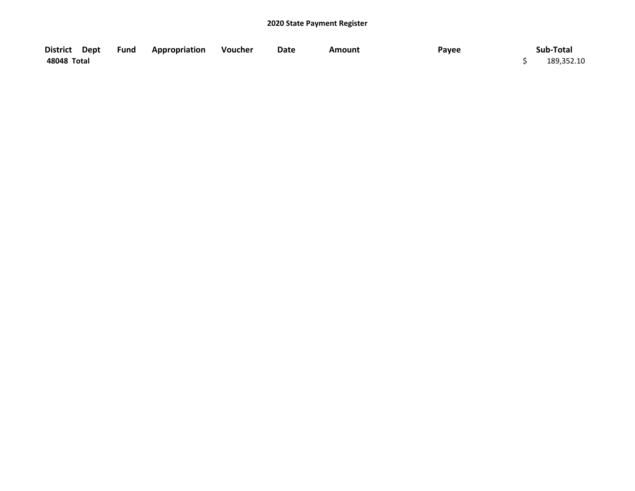| District Dept | Fund | <b>Appropriation</b> | Voucher | Date | Amount | Payee | Sub-Total  |
|---------------|------|----------------------|---------|------|--------|-------|------------|
| 48048 Total   |      |                      |         |      |        |       | 189,352.10 |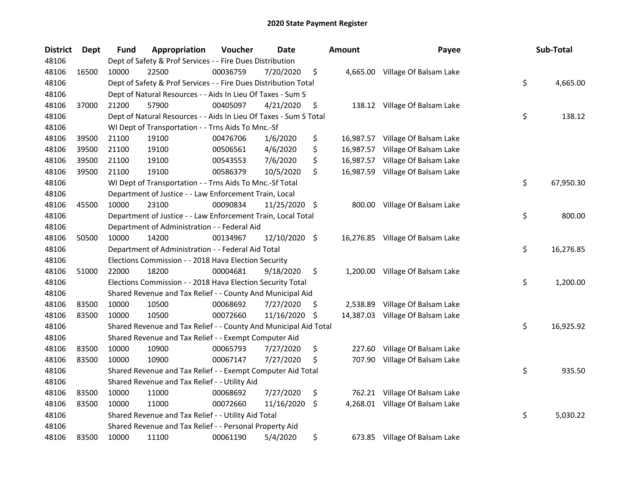| <b>District</b> | Dept  | <b>Fund</b> | Appropriation                                                     | Voucher  | <b>Date</b>   |     | <b>Amount</b> | Payee                            | Sub-Total       |
|-----------------|-------|-------------|-------------------------------------------------------------------|----------|---------------|-----|---------------|----------------------------------|-----------------|
| 48106           |       |             | Dept of Safety & Prof Services - - Fire Dues Distribution         |          |               |     |               |                                  |                 |
| 48106           | 16500 | 10000       | 22500                                                             | 00036759 | 7/20/2020     | \$  |               | 4,665.00 Village Of Balsam Lake  |                 |
| 48106           |       |             | Dept of Safety & Prof Services - - Fire Dues Distribution Total   |          |               |     |               |                                  | \$<br>4,665.00  |
| 48106           |       |             | Dept of Natural Resources - - Aids In Lieu Of Taxes - Sum S       |          |               |     |               |                                  |                 |
| 48106           | 37000 | 21200       | 57900                                                             | 00405097 | 4/21/2020     | \$  |               | 138.12 Village Of Balsam Lake    |                 |
| 48106           |       |             | Dept of Natural Resources - - Aids In Lieu Of Taxes - Sum S Total |          |               |     |               |                                  | \$<br>138.12    |
| 48106           |       |             | WI Dept of Transportation - - Trns Aids To Mnc.-Sf                |          |               |     |               |                                  |                 |
| 48106           | 39500 | 21100       | 19100                                                             | 00476706 | 1/6/2020      | \$  |               | 16,987.57 Village Of Balsam Lake |                 |
| 48106           | 39500 | 21100       | 19100                                                             | 00506561 | 4/6/2020      | \$  |               | 16,987.57 Village Of Balsam Lake |                 |
| 48106           | 39500 | 21100       | 19100                                                             | 00543553 | 7/6/2020      | \$  |               | 16,987.57 Village Of Balsam Lake |                 |
| 48106           | 39500 | 21100       | 19100                                                             | 00586379 | 10/5/2020     | \$  |               | 16,987.59 Village Of Balsam Lake |                 |
| 48106           |       |             | WI Dept of Transportation - - Trns Aids To Mnc.-Sf Total          |          |               |     |               |                                  | \$<br>67,950.30 |
| 48106           |       |             | Department of Justice - - Law Enforcement Train, Local            |          |               |     |               |                                  |                 |
| 48106           | 45500 | 10000       | 23100                                                             | 00090834 | 11/25/2020 \$ |     | 800.00        | Village Of Balsam Lake           |                 |
| 48106           |       |             | Department of Justice - - Law Enforcement Train, Local Total      |          |               |     |               |                                  | \$<br>800.00    |
| 48106           |       |             | Department of Administration - - Federal Aid                      |          |               |     |               |                                  |                 |
| 48106           | 50500 | 10000       | 14200                                                             | 00134967 | 12/10/2020 \$ |     |               | 16,276.85 Village Of Balsam Lake |                 |
| 48106           |       |             | Department of Administration - - Federal Aid Total                |          |               |     |               |                                  | \$<br>16,276.85 |
| 48106           |       |             | Elections Commission - - 2018 Hava Election Security              |          |               |     |               |                                  |                 |
| 48106           | 51000 | 22000       | 18200                                                             | 00004681 | 9/18/2020     | \$  | 1,200.00      | Village Of Balsam Lake           |                 |
| 48106           |       |             | Elections Commission - - 2018 Hava Election Security Total        |          |               |     |               |                                  | \$<br>1,200.00  |
| 48106           |       |             | Shared Revenue and Tax Relief - - County And Municipal Aid        |          |               |     |               |                                  |                 |
| 48106           | 83500 | 10000       | 10500                                                             | 00068692 | 7/27/2020     | \$. | 2,538.89      | Village Of Balsam Lake           |                 |
| 48106           | 83500 | 10000       | 10500                                                             | 00072660 | 11/16/2020    | \$  |               | 14,387.03 Village Of Balsam Lake |                 |
| 48106           |       |             | Shared Revenue and Tax Relief - - County And Municipal Aid Total  |          |               |     |               |                                  | \$<br>16,925.92 |
| 48106           |       |             | Shared Revenue and Tax Relief - - Exempt Computer Aid             |          |               |     |               |                                  |                 |
| 48106           | 83500 | 10000       | 10900                                                             | 00065793 | 7/27/2020     | \$  | 227.60        | Village Of Balsam Lake           |                 |
| 48106           | 83500 | 10000       | 10900                                                             | 00067147 | 7/27/2020     | \$  | 707.90        | Village Of Balsam Lake           |                 |
| 48106           |       |             | Shared Revenue and Tax Relief - - Exempt Computer Aid Total       |          |               |     |               |                                  | \$<br>935.50    |
| 48106           |       |             | Shared Revenue and Tax Relief - - Utility Aid                     |          |               |     |               |                                  |                 |
| 48106           | 83500 | 10000       | 11000                                                             | 00068692 | 7/27/2020     | \$  | 762.21        | Village Of Balsam Lake           |                 |
| 48106           | 83500 | 10000       | 11000                                                             | 00072660 | 11/16/2020    | \$  | 4,268.01      | Village Of Balsam Lake           |                 |
| 48106           |       |             | Shared Revenue and Tax Relief - - Utility Aid Total               |          |               |     |               |                                  | \$<br>5,030.22  |
| 48106           |       |             | Shared Revenue and Tax Relief - - Personal Property Aid           |          |               |     |               |                                  |                 |
| 48106           | 83500 | 10000       | 11100                                                             | 00061190 | 5/4/2020      | \$  |               | 673.85 Village Of Balsam Lake    |                 |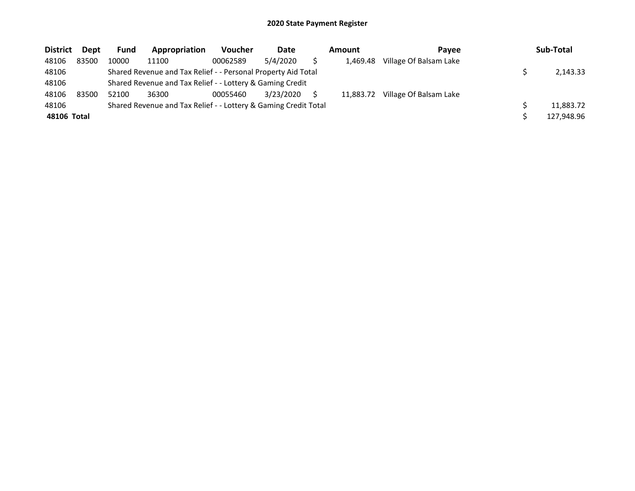| <b>District</b> | Dept  | <b>Fund</b> | Appropriation                                                   | <b>Voucher</b> | Date      | Amount    | <b>Pavee</b>           | Sub-Total  |
|-----------------|-------|-------------|-----------------------------------------------------------------|----------------|-----------|-----------|------------------------|------------|
| 48106           | 83500 | 10000       | 11100                                                           | 00062589       | 5/4/2020  | 1.469.48  | Village Of Balsam Lake |            |
| 48106           |       |             | Shared Revenue and Tax Relief - - Personal Property Aid Total   |                |           |           |                        | 2.143.33   |
| 48106           |       |             | Shared Revenue and Tax Relief - - Lottery & Gaming Credit       |                |           |           |                        |            |
| 48106           | 83500 | 52100       | 36300                                                           | 00055460       | 3/23/2020 | 11,883.72 | Village Of Balsam Lake |            |
| 48106           |       |             | Shared Revenue and Tax Relief - - Lottery & Gaming Credit Total |                |           |           |                        | 11.883.72  |
| 48106 Total     |       |             |                                                                 |                |           |           |                        | 127,948.96 |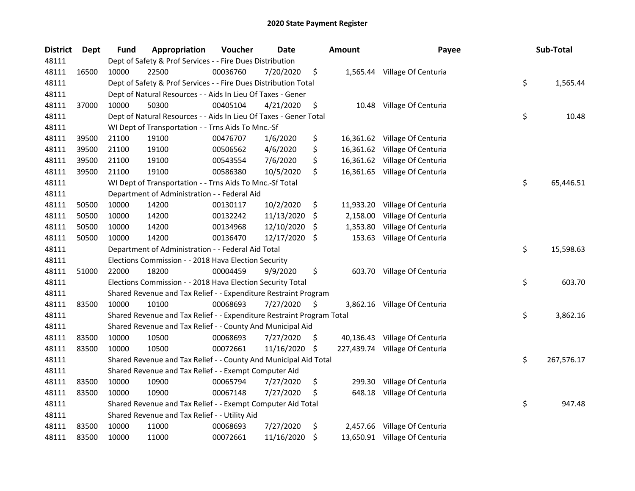| <b>District</b> | Dept  | <b>Fund</b> | Appropriation                                                         | Voucher  | <b>Date</b> |     | <b>Amount</b> | Payee                          | Sub-Total        |
|-----------------|-------|-------------|-----------------------------------------------------------------------|----------|-------------|-----|---------------|--------------------------------|------------------|
| 48111           |       |             | Dept of Safety & Prof Services - - Fire Dues Distribution             |          |             |     |               |                                |                  |
| 48111           | 16500 | 10000       | 22500                                                                 | 00036760 | 7/20/2020   | \$  |               | 1,565.44 Village Of Centuria   |                  |
| 48111           |       |             | Dept of Safety & Prof Services - - Fire Dues Distribution Total       |          |             |     |               |                                | \$<br>1,565.44   |
| 48111           |       |             | Dept of Natural Resources - - Aids In Lieu Of Taxes - Gener           |          |             |     |               |                                |                  |
| 48111           | 37000 | 10000       | 50300                                                                 | 00405104 | 4/21/2020   | \$  |               | 10.48 Village Of Centuria      |                  |
| 48111           |       |             | Dept of Natural Resources - - Aids In Lieu Of Taxes - Gener Total     |          |             |     |               |                                | \$<br>10.48      |
| 48111           |       |             | WI Dept of Transportation - - Trns Aids To Mnc.-Sf                    |          |             |     |               |                                |                  |
| 48111           | 39500 | 21100       | 19100                                                                 | 00476707 | 1/6/2020    | \$  |               | 16,361.62 Village Of Centuria  |                  |
| 48111           | 39500 | 21100       | 19100                                                                 | 00506562 | 4/6/2020    | \$  |               | 16,361.62 Village Of Centuria  |                  |
| 48111           | 39500 | 21100       | 19100                                                                 | 00543554 | 7/6/2020    | \$  |               | 16,361.62 Village Of Centuria  |                  |
| 48111           | 39500 | 21100       | 19100                                                                 | 00586380 | 10/5/2020   | \$  |               | 16,361.65 Village Of Centuria  |                  |
| 48111           |       |             | WI Dept of Transportation - - Trns Aids To Mnc.-Sf Total              |          |             |     |               |                                | \$<br>65,446.51  |
| 48111           |       |             | Department of Administration - - Federal Aid                          |          |             |     |               |                                |                  |
| 48111           | 50500 | 10000       | 14200                                                                 | 00130117 | 10/2/2020   | \$  | 11,933.20     | Village Of Centuria            |                  |
| 48111           | 50500 | 10000       | 14200                                                                 | 00132242 | 11/13/2020  | \$  | 2,158.00      | Village Of Centuria            |                  |
| 48111           | 50500 | 10000       | 14200                                                                 | 00134968 | 12/10/2020  | -S  | 1,353.80      | Village Of Centuria            |                  |
| 48111           | 50500 | 10000       | 14200                                                                 | 00136470 | 12/17/2020  | \$  | 153.63        | Village Of Centuria            |                  |
| 48111           |       |             | Department of Administration - - Federal Aid Total                    |          |             |     |               |                                | \$<br>15,598.63  |
| 48111           |       |             | Elections Commission - - 2018 Hava Election Security                  |          |             |     |               |                                |                  |
| 48111           | 51000 | 22000       | 18200                                                                 | 00004459 | 9/9/2020    | \$  |               | 603.70 Village Of Centuria     |                  |
| 48111           |       |             | Elections Commission - - 2018 Hava Election Security Total            |          |             |     |               |                                | \$<br>603.70     |
| 48111           |       |             | Shared Revenue and Tax Relief - - Expenditure Restraint Program       |          |             |     |               |                                |                  |
| 48111           | 83500 | 10000       | 10100                                                                 | 00068693 | 7/27/2020   | \$  |               | 3,862.16 Village Of Centuria   |                  |
| 48111           |       |             | Shared Revenue and Tax Relief - - Expenditure Restraint Program Total |          |             |     |               |                                | \$<br>3,862.16   |
| 48111           |       |             | Shared Revenue and Tax Relief - - County And Municipal Aid            |          |             |     |               |                                |                  |
| 48111           | 83500 | 10000       | 10500                                                                 | 00068693 | 7/27/2020   | \$. |               | 40,136.43 Village Of Centuria  |                  |
| 48111           | 83500 | 10000       | 10500                                                                 | 00072661 | 11/16/2020  | \$  |               | 227,439.74 Village Of Centuria |                  |
| 48111           |       |             | Shared Revenue and Tax Relief - - County And Municipal Aid Total      |          |             |     |               |                                | \$<br>267,576.17 |
| 48111           |       |             | Shared Revenue and Tax Relief - - Exempt Computer Aid                 |          |             |     |               |                                |                  |
| 48111           | 83500 | 10000       | 10900                                                                 | 00065794 | 7/27/2020   | \$  | 299.30        | Village Of Centuria            |                  |
| 48111           | 83500 | 10000       | 10900                                                                 | 00067148 | 7/27/2020   | \$  | 648.18        | Village Of Centuria            |                  |
| 48111           |       |             | Shared Revenue and Tax Relief - - Exempt Computer Aid Total           |          |             |     |               |                                | \$<br>947.48     |
| 48111           |       |             | Shared Revenue and Tax Relief - - Utility Aid                         |          |             |     |               |                                |                  |
| 48111           | 83500 | 10000       | 11000                                                                 | 00068693 | 7/27/2020   | \$  |               | 2,457.66 Village Of Centuria   |                  |
| 48111           | 83500 | 10000       | 11000                                                                 | 00072661 | 11/16/2020  | \$  |               | 13,650.91 Village Of Centuria  |                  |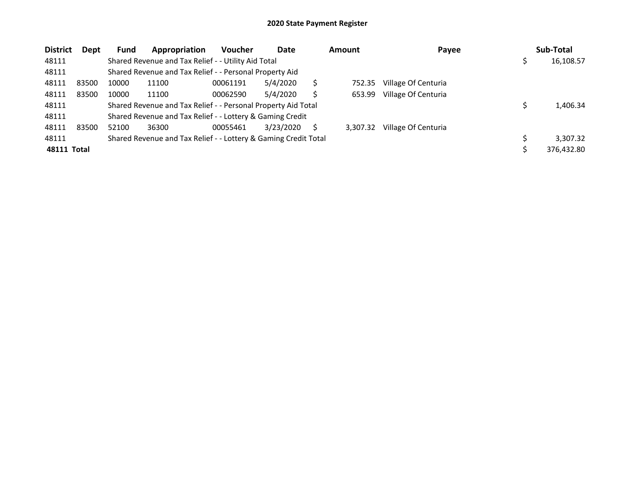| <b>District</b>    | <b>Dept</b> | <b>Fund</b> | Appropriation                                                   | <b>Voucher</b> | Date      |   | <b>Amount</b> | Payee               | Sub-Total  |
|--------------------|-------------|-------------|-----------------------------------------------------------------|----------------|-----------|---|---------------|---------------------|------------|
| 48111              |             |             | Shared Revenue and Tax Relief - - Utility Aid Total             |                |           |   |               |                     | 16,108.57  |
| 48111              |             |             | Shared Revenue and Tax Relief - - Personal Property Aid         |                |           |   |               |                     |            |
| 48111              | 83500       | 10000       | 11100                                                           | 00061191       | 5/4/2020  | S | 752.35        | Village Of Centuria |            |
| 48111              | 83500       | 10000       | 11100                                                           | 00062590       | 5/4/2020  |   | 653.99        | Village Of Centuria |            |
| 48111              |             |             | Shared Revenue and Tax Relief - - Personal Property Aid Total   |                |           |   |               |                     | 1,406.34   |
| 48111              |             |             | Shared Revenue and Tax Relief - - Lottery & Gaming Credit       |                |           |   |               |                     |            |
| 48111              | 83500       | 52100       | 36300                                                           | 00055461       | 3/23/2020 |   | 3.307.32      | Village Of Centuria |            |
| 48111              |             |             | Shared Revenue and Tax Relief - - Lottery & Gaming Credit Total |                |           |   |               |                     | 3.307.32   |
| <b>48111 Total</b> |             |             |                                                                 |                |           |   |               |                     | 376,432.80 |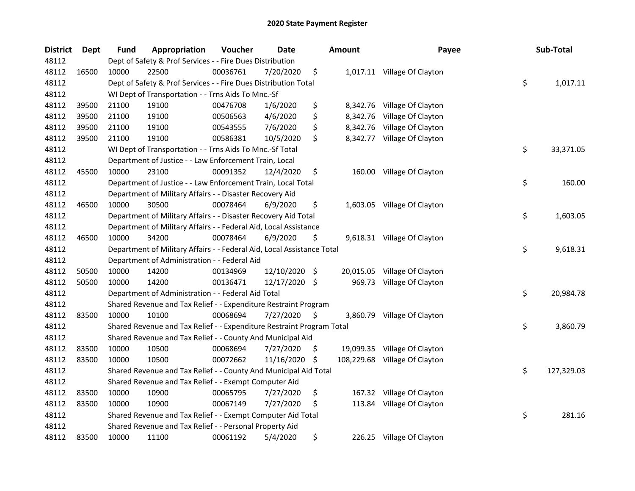| <b>District</b> | Dept  | <b>Fund</b> | Appropriation                                                          | Voucher  | <b>Date</b>   |      | <b>Amount</b> | Payee                         | Sub-Total        |
|-----------------|-------|-------------|------------------------------------------------------------------------|----------|---------------|------|---------------|-------------------------------|------------------|
| 48112           |       |             | Dept of Safety & Prof Services - - Fire Dues Distribution              |          |               |      |               |                               |                  |
| 48112           | 16500 | 10000       | 22500                                                                  | 00036761 | 7/20/2020     | \$   |               | 1,017.11 Village Of Clayton   |                  |
| 48112           |       |             | Dept of Safety & Prof Services - - Fire Dues Distribution Total        |          |               |      |               |                               | \$<br>1,017.11   |
| 48112           |       |             | WI Dept of Transportation - - Trns Aids To Mnc.-Sf                     |          |               |      |               |                               |                  |
| 48112           | 39500 | 21100       | 19100                                                                  | 00476708 | 1/6/2020      | \$   |               | 8,342.76 Village Of Clayton   |                  |
| 48112           | 39500 | 21100       | 19100                                                                  | 00506563 | 4/6/2020      | \$   | 8,342.76      | Village Of Clayton            |                  |
| 48112           | 39500 | 21100       | 19100                                                                  | 00543555 | 7/6/2020      | \$   |               | 8,342.76 Village Of Clayton   |                  |
| 48112           | 39500 | 21100       | 19100                                                                  | 00586381 | 10/5/2020     | \$   |               | 8,342.77 Village Of Clayton   |                  |
| 48112           |       |             | WI Dept of Transportation - - Trns Aids To Mnc.-Sf Total               |          |               |      |               |                               | \$<br>33,371.05  |
| 48112           |       |             | Department of Justice - - Law Enforcement Train, Local                 |          |               |      |               |                               |                  |
| 48112           | 45500 | 10000       | 23100                                                                  | 00091352 | 12/4/2020     | \$   |               | 160.00 Village Of Clayton     |                  |
| 48112           |       |             | Department of Justice - - Law Enforcement Train, Local Total           |          |               |      |               |                               | \$<br>160.00     |
| 48112           |       |             | Department of Military Affairs - - Disaster Recovery Aid               |          |               |      |               |                               |                  |
| 48112           | 46500 | 10000       | 30500                                                                  | 00078464 | 6/9/2020      | \$   |               | 1,603.05 Village Of Clayton   |                  |
| 48112           |       |             | Department of Military Affairs - - Disaster Recovery Aid Total         |          |               |      |               |                               | \$<br>1,603.05   |
| 48112           |       |             | Department of Military Affairs - - Federal Aid, Local Assistance       |          |               |      |               |                               |                  |
| 48112           | 46500 | 10000       | 34200                                                                  | 00078464 | 6/9/2020      | \$   |               | 9,618.31 Village Of Clayton   |                  |
| 48112           |       |             | Department of Military Affairs - - Federal Aid, Local Assistance Total |          |               |      |               |                               | \$<br>9,618.31   |
| 48112           |       |             | Department of Administration - - Federal Aid                           |          |               |      |               |                               |                  |
| 48112           | 50500 | 10000       | 14200                                                                  | 00134969 | 12/10/2020    | - \$ |               | 20,015.05 Village Of Clayton  |                  |
| 48112           | 50500 | 10000       | 14200                                                                  | 00136471 | 12/17/2020 \$ |      |               | 969.73 Village Of Clayton     |                  |
| 48112           |       |             | Department of Administration - - Federal Aid Total                     |          |               |      |               |                               | \$<br>20,984.78  |
| 48112           |       |             | Shared Revenue and Tax Relief - - Expenditure Restraint Program        |          |               |      |               |                               |                  |
| 48112           | 83500 | 10000       | 10100                                                                  | 00068694 | 7/27/2020     | \$   |               | 3,860.79 Village Of Clayton   |                  |
| 48112           |       |             | Shared Revenue and Tax Relief - - Expenditure Restraint Program Total  |          |               |      |               |                               | \$<br>3,860.79   |
| 48112           |       |             | Shared Revenue and Tax Relief - - County And Municipal Aid             |          |               |      |               |                               |                  |
| 48112           | 83500 | 10000       | 10500                                                                  | 00068694 | 7/27/2020     | -S   |               | 19,099.35 Village Of Clayton  |                  |
| 48112           | 83500 | 10000       | 10500                                                                  | 00072662 | 11/16/2020    | -\$  |               | 108,229.68 Village Of Clayton |                  |
| 48112           |       |             | Shared Revenue and Tax Relief - - County And Municipal Aid Total       |          |               |      |               |                               | \$<br>127,329.03 |
| 48112           |       |             | Shared Revenue and Tax Relief - - Exempt Computer Aid                  |          |               |      |               |                               |                  |
| 48112           | 83500 | 10000       | 10900                                                                  | 00065795 | 7/27/2020     | \$   |               | 167.32 Village Of Clayton     |                  |
| 48112           | 83500 | 10000       | 10900                                                                  | 00067149 | 7/27/2020     | \$   |               | 113.84 Village Of Clayton     |                  |
| 48112           |       |             | Shared Revenue and Tax Relief - - Exempt Computer Aid Total            |          |               |      |               |                               | \$<br>281.16     |
| 48112           |       |             | Shared Revenue and Tax Relief - - Personal Property Aid                |          |               |      |               |                               |                  |
| 48112           | 83500 | 10000       | 11100                                                                  | 00061192 | 5/4/2020      | \$   |               | 226.25 Village Of Clayton     |                  |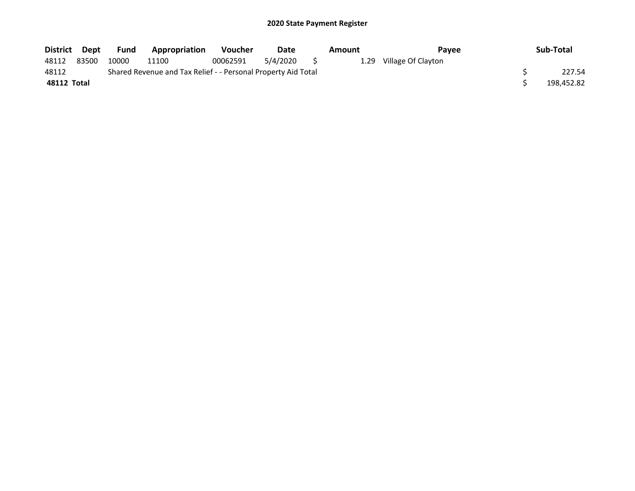| District Dept |       | Fund  | <b>Appropriation</b>                                          | <b>Voucher</b> | Date        | Amount | Payee                   | Sub-Total  |
|---------------|-------|-------|---------------------------------------------------------------|----------------|-------------|--------|-------------------------|------------|
| 48112         | 83500 | 10000 | 11100                                                         | 00062591       | 5/4/2020 \$ |        | 1.29 Village Of Clayton |            |
| 48112         |       |       | Shared Revenue and Tax Relief - - Personal Property Aid Total |                |             |        |                         | 227.54     |
| 48112 Total   |       |       |                                                               |                |             |        |                         | 198,452.82 |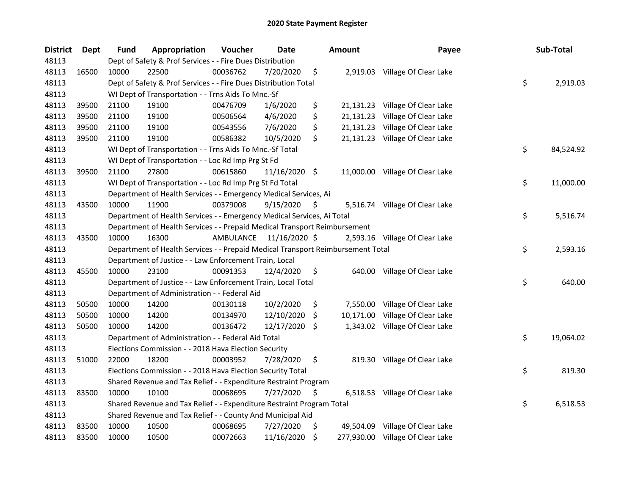| <b>District</b> | Dept  | <b>Fund</b> | Appropriation                                                                   | Voucher   | <b>Date</b>   |     | <b>Amount</b> | Payee                            | Sub-Total       |
|-----------------|-------|-------------|---------------------------------------------------------------------------------|-----------|---------------|-----|---------------|----------------------------------|-----------------|
| 48113           |       |             | Dept of Safety & Prof Services - - Fire Dues Distribution                       |           |               |     |               |                                  |                 |
| 48113           | 16500 | 10000       | 22500                                                                           | 00036762  | 7/20/2020     | \$  |               | 2,919.03 Village Of Clear Lake   |                 |
| 48113           |       |             | Dept of Safety & Prof Services - - Fire Dues Distribution Total                 |           |               |     |               |                                  | \$<br>2,919.03  |
| 48113           |       |             | WI Dept of Transportation - - Trns Aids To Mnc.-Sf                              |           |               |     |               |                                  |                 |
| 48113           | 39500 | 21100       | 19100                                                                           | 00476709  | 1/6/2020      | \$  |               | 21,131.23 Village Of Clear Lake  |                 |
| 48113           | 39500 | 21100       | 19100                                                                           | 00506564  | 4/6/2020      | \$  | 21,131.23     | Village Of Clear Lake            |                 |
| 48113           | 39500 | 21100       | 19100                                                                           | 00543556  | 7/6/2020      | \$  |               | 21,131.23 Village Of Clear Lake  |                 |
| 48113           | 39500 | 21100       | 19100                                                                           | 00586382  | 10/5/2020     | \$  |               | 21,131.23 Village Of Clear Lake  |                 |
| 48113           |       |             | WI Dept of Transportation - - Trns Aids To Mnc.-Sf Total                        |           |               |     |               |                                  | \$<br>84,524.92 |
| 48113           |       |             | WI Dept of Transportation - - Loc Rd Imp Prg St Fd                              |           |               |     |               |                                  |                 |
| 48113           | 39500 | 21100       | 27800                                                                           | 00615860  | 11/16/2020 \$ |     |               | 11,000.00 Village Of Clear Lake  |                 |
| 48113           |       |             | WI Dept of Transportation - - Loc Rd Imp Prg St Fd Total                        |           |               |     |               |                                  | \$<br>11,000.00 |
| 48113           |       |             | Department of Health Services - - Emergency Medical Services, Ai                |           |               |     |               |                                  |                 |
| 48113           | 43500 | 10000       | 11900                                                                           | 00379008  | 9/15/2020     | \$  |               | 5,516.74 Village Of Clear Lake   |                 |
| 48113           |       |             | Department of Health Services - - Emergency Medical Services, Ai Total          |           |               |     |               |                                  | \$<br>5,516.74  |
| 48113           |       |             | Department of Health Services - - Prepaid Medical Transport Reimbursement       |           |               |     |               |                                  |                 |
| 48113           | 43500 | 10000       | 16300                                                                           | AMBULANCE | 11/16/2020 \$ |     |               | 2,593.16 Village Of Clear Lake   |                 |
| 48113           |       |             | Department of Health Services - - Prepaid Medical Transport Reimbursement Total |           |               |     |               |                                  | \$<br>2,593.16  |
| 48113           |       |             | Department of Justice - - Law Enforcement Train, Local                          |           |               |     |               |                                  |                 |
| 48113           | 45500 | 10000       | 23100                                                                           | 00091353  | 12/4/2020     | \$  |               | 640.00 Village Of Clear Lake     |                 |
| 48113           |       |             | Department of Justice - - Law Enforcement Train, Local Total                    |           |               |     |               |                                  | \$<br>640.00    |
| 48113           |       |             | Department of Administration - - Federal Aid                                    |           |               |     |               |                                  |                 |
| 48113           | 50500 | 10000       | 14200                                                                           | 00130118  | 10/2/2020     | \$  |               | 7,550.00 Village Of Clear Lake   |                 |
| 48113           | 50500 | 10000       | 14200                                                                           | 00134970  | 12/10/2020    | \$  |               | 10,171.00 Village Of Clear Lake  |                 |
| 48113           | 50500 | 10000       | 14200                                                                           | 00136472  | 12/17/2020 \$ |     |               | 1,343.02 Village Of Clear Lake   |                 |
| 48113           |       |             | Department of Administration - - Federal Aid Total                              |           |               |     |               |                                  | \$<br>19,064.02 |
| 48113           |       |             | Elections Commission - - 2018 Hava Election Security                            |           |               |     |               |                                  |                 |
| 48113           | 51000 | 22000       | 18200                                                                           | 00003952  | 7/28/2020     | \$  |               | 819.30 Village Of Clear Lake     |                 |
| 48113           |       |             | Elections Commission - - 2018 Hava Election Security Total                      |           |               |     |               |                                  | \$<br>819.30    |
| 48113           |       |             | Shared Revenue and Tax Relief - - Expenditure Restraint Program                 |           |               |     |               |                                  |                 |
| 48113           | 83500 | 10000       | 10100                                                                           | 00068695  | 7/27/2020     | \$, |               | 6,518.53 Village Of Clear Lake   |                 |
| 48113           |       |             | Shared Revenue and Tax Relief - - Expenditure Restraint Program Total           |           |               |     |               |                                  | \$<br>6,518.53  |
| 48113           |       |             | Shared Revenue and Tax Relief - - County And Municipal Aid                      |           |               |     |               |                                  |                 |
| 48113           | 83500 | 10000       | 10500                                                                           | 00068695  | 7/27/2020     | \$  |               | 49,504.09 Village Of Clear Lake  |                 |
| 48113           | 83500 | 10000       | 10500                                                                           | 00072663  | 11/16/2020    | \$  |               | 277,930.00 Village Of Clear Lake |                 |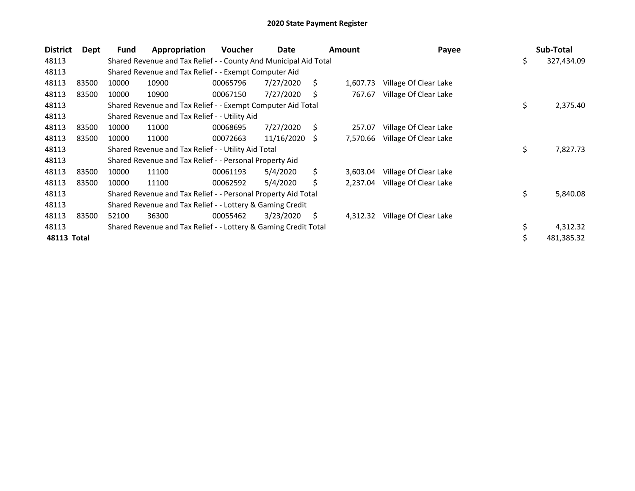| <b>District</b> | Dept  | Fund  | Appropriation                                                    | <b>Voucher</b> | Date       |    | <b>Amount</b> | Payee                 | Sub-Total        |
|-----------------|-------|-------|------------------------------------------------------------------|----------------|------------|----|---------------|-----------------------|------------------|
| 48113           |       |       | Shared Revenue and Tax Relief - - County And Municipal Aid Total |                |            |    |               |                       | \$<br>327,434.09 |
| 48113           |       |       | Shared Revenue and Tax Relief - - Exempt Computer Aid            |                |            |    |               |                       |                  |
| 48113           | 83500 | 10000 | 10900                                                            | 00065796       | 7/27/2020  | Ś. | 1,607.73      | Village Of Clear Lake |                  |
| 48113           | 83500 | 10000 | 10900                                                            | 00067150       | 7/27/2020  |    | 767.67        | Village Of Clear Lake |                  |
| 48113           |       |       | Shared Revenue and Tax Relief - - Exempt Computer Aid Total      |                |            |    |               |                       | \$<br>2,375.40   |
| 48113           |       |       | Shared Revenue and Tax Relief - - Utility Aid                    |                |            |    |               |                       |                  |
| 48113           | 83500 | 10000 | 11000                                                            | 00068695       | 7/27/2020  | Ś. | 257.07        | Village Of Clear Lake |                  |
| 48113           | 83500 | 10000 | 11000                                                            | 00072663       | 11/16/2020 | -S | 7,570.66      | Village Of Clear Lake |                  |
| 48113           |       |       | Shared Revenue and Tax Relief - - Utility Aid Total              |                |            |    |               |                       | \$<br>7,827.73   |
| 48113           |       |       | Shared Revenue and Tax Relief - - Personal Property Aid          |                |            |    |               |                       |                  |
| 48113           | 83500 | 10000 | 11100                                                            | 00061193       | 5/4/2020   | Ś. | 3,603.04      | Village Of Clear Lake |                  |
| 48113           | 83500 | 10000 | 11100                                                            | 00062592       | 5/4/2020   | S  | 2,237.04      | Village Of Clear Lake |                  |
| 48113           |       |       | Shared Revenue and Tax Relief - - Personal Property Aid Total    |                |            |    |               |                       | \$<br>5,840.08   |
| 48113           |       |       | Shared Revenue and Tax Relief - - Lottery & Gaming Credit        |                |            |    |               |                       |                  |
| 48113           | 83500 | 52100 | 36300                                                            | 00055462       | 3/23/2020  | \$ | 4,312.32      | Village Of Clear Lake |                  |
| 48113           |       |       | Shared Revenue and Tax Relief - - Lottery & Gaming Credit Total  |                |            |    |               |                       | \$<br>4,312.32   |
| 48113 Total     |       |       |                                                                  |                |            |    |               |                       | 481,385.32       |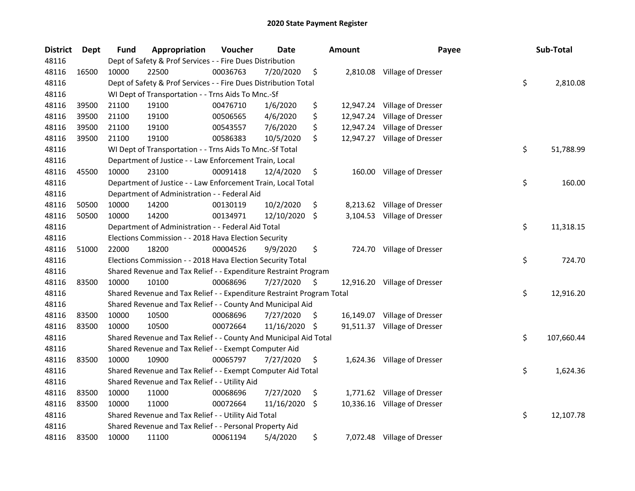| <b>District</b> | Dept  | <b>Fund</b> | Appropriation                                                         | Voucher  | <b>Date</b> |     | <b>Amount</b> | Payee                        | Sub-Total        |
|-----------------|-------|-------------|-----------------------------------------------------------------------|----------|-------------|-----|---------------|------------------------------|------------------|
| 48116           |       |             | Dept of Safety & Prof Services - - Fire Dues Distribution             |          |             |     |               |                              |                  |
| 48116           | 16500 | 10000       | 22500                                                                 | 00036763 | 7/20/2020   | \$  |               | 2,810.08 Village of Dresser  |                  |
| 48116           |       |             | Dept of Safety & Prof Services - - Fire Dues Distribution Total       |          |             |     |               |                              | \$<br>2,810.08   |
| 48116           |       |             | WI Dept of Transportation - - Trns Aids To Mnc.-Sf                    |          |             |     |               |                              |                  |
| 48116           | 39500 | 21100       | 19100                                                                 | 00476710 | 1/6/2020    | \$  |               | 12,947.24 Village of Dresser |                  |
| 48116           | 39500 | 21100       | 19100                                                                 | 00506565 | 4/6/2020    | \$  |               | 12,947.24 Village of Dresser |                  |
| 48116           | 39500 | 21100       | 19100                                                                 | 00543557 | 7/6/2020    | \$  |               | 12,947.24 Village of Dresser |                  |
| 48116           | 39500 | 21100       | 19100                                                                 | 00586383 | 10/5/2020   | \$  |               | 12,947.27 Village of Dresser |                  |
| 48116           |       |             | WI Dept of Transportation - - Trns Aids To Mnc.-Sf Total              |          |             |     |               |                              | \$<br>51,788.99  |
| 48116           |       |             | Department of Justice - - Law Enforcement Train, Local                |          |             |     |               |                              |                  |
| 48116           | 45500 | 10000       | 23100                                                                 | 00091418 | 12/4/2020   | \$  |               | 160.00 Village of Dresser    |                  |
| 48116           |       |             | Department of Justice - - Law Enforcement Train, Local Total          |          |             |     |               |                              | \$<br>160.00     |
| 48116           |       |             | Department of Administration - - Federal Aid                          |          |             |     |               |                              |                  |
| 48116           | 50500 | 10000       | 14200                                                                 | 00130119 | 10/2/2020   | \$  |               | 8,213.62 Village of Dresser  |                  |
| 48116           | 50500 | 10000       | 14200                                                                 | 00134971 | 12/10/2020  | \$  |               | 3,104.53 Village of Dresser  |                  |
| 48116           |       |             | Department of Administration - - Federal Aid Total                    |          |             |     |               |                              | \$<br>11,318.15  |
| 48116           |       |             | Elections Commission - - 2018 Hava Election Security                  |          |             |     |               |                              |                  |
| 48116           | 51000 | 22000       | 18200                                                                 | 00004526 | 9/9/2020    | \$  | 724.70        | Village of Dresser           |                  |
| 48116           |       |             | Elections Commission - - 2018 Hava Election Security Total            |          |             |     |               |                              | \$<br>724.70     |
| 48116           |       |             | Shared Revenue and Tax Relief - - Expenditure Restraint Program       |          |             |     |               |                              |                  |
| 48116           | 83500 | 10000       | 10100                                                                 | 00068696 | 7/27/2020   | \$  |               | 12,916.20 Village of Dresser |                  |
| 48116           |       |             | Shared Revenue and Tax Relief - - Expenditure Restraint Program Total |          |             |     |               |                              | \$<br>12,916.20  |
| 48116           |       |             | Shared Revenue and Tax Relief - - County And Municipal Aid            |          |             |     |               |                              |                  |
| 48116           | 83500 | 10000       | 10500                                                                 | 00068696 | 7/27/2020   | -\$ |               | 16,149.07 Village of Dresser |                  |
| 48116           | 83500 | 10000       | 10500                                                                 | 00072664 | 11/16/2020  | \$  |               | 91,511.37 Village of Dresser |                  |
| 48116           |       |             | Shared Revenue and Tax Relief - - County And Municipal Aid Total      |          |             |     |               |                              | \$<br>107,660.44 |
| 48116           |       |             | Shared Revenue and Tax Relief - - Exempt Computer Aid                 |          |             |     |               |                              |                  |
| 48116           | 83500 | 10000       | 10900                                                                 | 00065797 | 7/27/2020   | \$  |               | 1,624.36 Village of Dresser  |                  |
| 48116           |       |             | Shared Revenue and Tax Relief - - Exempt Computer Aid Total           |          |             |     |               |                              | \$<br>1,624.36   |
| 48116           |       |             | Shared Revenue and Tax Relief - - Utility Aid                         |          |             |     |               |                              |                  |
| 48116           | 83500 | 10000       | 11000                                                                 | 00068696 | 7/27/2020   | \$  |               | 1,771.62 Village of Dresser  |                  |
| 48116           | 83500 | 10000       | 11000                                                                 | 00072664 | 11/16/2020  | \$  |               | 10,336.16 Village of Dresser |                  |
| 48116           |       |             | Shared Revenue and Tax Relief - - Utility Aid Total                   |          |             |     |               |                              | \$<br>12,107.78  |
| 48116           |       |             | Shared Revenue and Tax Relief - - Personal Property Aid               |          |             |     |               |                              |                  |
| 48116           | 83500 | 10000       | 11100                                                                 | 00061194 | 5/4/2020    | \$  |               | 7,072.48 Village of Dresser  |                  |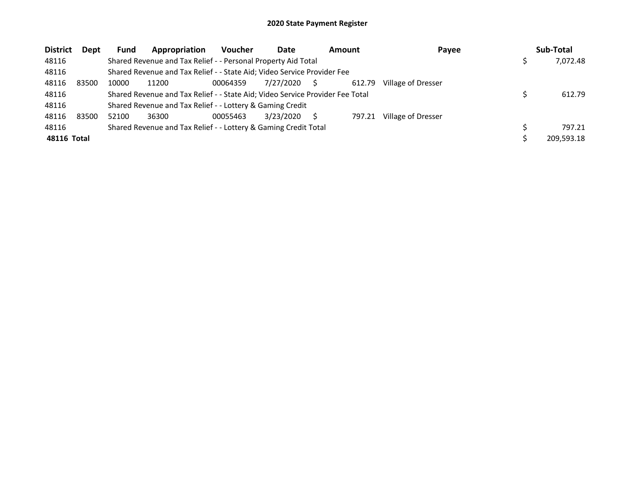| <b>District</b> | Dept  | <b>Fund</b> | Appropriation                                                                 | Voucher  | Date      | <b>Amount</b> |        | Payee              | Sub-Total  |
|-----------------|-------|-------------|-------------------------------------------------------------------------------|----------|-----------|---------------|--------|--------------------|------------|
| 48116           |       |             | Shared Revenue and Tax Relief - - Personal Property Aid Total                 |          |           |               |        |                    | 7.072.48   |
| 48116           |       |             | Shared Revenue and Tax Relief - - State Aid; Video Service Provider Fee       |          |           |               |        |                    |            |
| 48116           | 83500 | 10000       | 11200                                                                         | 00064359 | 7/27/2020 |               | 612.79 | Village of Dresser |            |
| 48116           |       |             | Shared Revenue and Tax Relief - - State Aid; Video Service Provider Fee Total |          |           |               |        |                    | 612.79     |
| 48116           |       |             | Shared Revenue and Tax Relief - - Lottery & Gaming Credit                     |          |           |               |        |                    |            |
| 48116           | 83500 | 52100       | 36300                                                                         | 00055463 | 3/23/2020 |               | 797.21 | Village of Dresser |            |
| 48116           |       |             | Shared Revenue and Tax Relief - - Lottery & Gaming Credit Total               |          |           |               |        |                    | 797.21     |
| 48116 Total     |       |             |                                                                               |          |           |               |        |                    | 209,593.18 |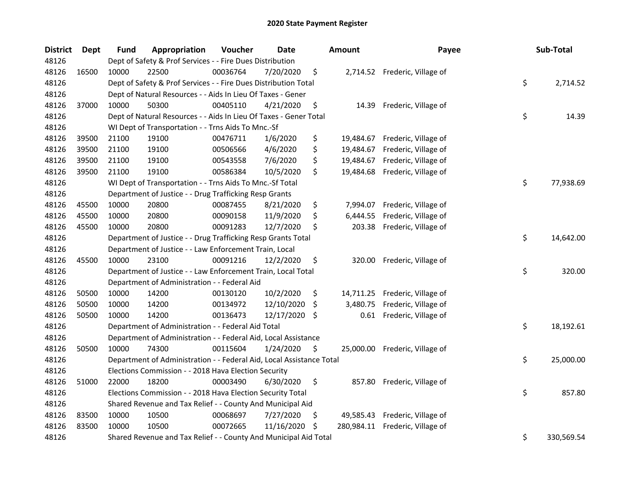| <b>District</b> | Dept  | <b>Fund</b> | Appropriation                                                        | Voucher  | <b>Date</b> |     | <b>Amount</b> | Payee                          | Sub-Total        |
|-----------------|-------|-------------|----------------------------------------------------------------------|----------|-------------|-----|---------------|--------------------------------|------------------|
| 48126           |       |             | Dept of Safety & Prof Services - - Fire Dues Distribution            |          |             |     |               |                                |                  |
| 48126           | 16500 | 10000       | 22500                                                                | 00036764 | 7/20/2020   | \$  |               | 2,714.52 Frederic, Village of  |                  |
| 48126           |       |             | Dept of Safety & Prof Services - - Fire Dues Distribution Total      |          |             |     |               |                                | \$<br>2,714.52   |
| 48126           |       |             | Dept of Natural Resources - - Aids In Lieu Of Taxes - Gener          |          |             |     |               |                                |                  |
| 48126           | 37000 | 10000       | 50300                                                                | 00405110 | 4/21/2020   | \$  |               | 14.39 Frederic, Village of     |                  |
| 48126           |       |             | Dept of Natural Resources - - Aids In Lieu Of Taxes - Gener Total    |          |             |     |               |                                | \$<br>14.39      |
| 48126           |       |             | WI Dept of Transportation - - Trns Aids To Mnc.-Sf                   |          |             |     |               |                                |                  |
| 48126           | 39500 | 21100       | 19100                                                                | 00476711 | 1/6/2020    | \$  |               | 19,484.67 Frederic, Village of |                  |
| 48126           | 39500 | 21100       | 19100                                                                | 00506566 | 4/6/2020    | \$  |               | 19,484.67 Frederic, Village of |                  |
| 48126           | 39500 | 21100       | 19100                                                                | 00543558 | 7/6/2020    | \$  |               | 19,484.67 Frederic, Village of |                  |
| 48126           | 39500 | 21100       | 19100                                                                | 00586384 | 10/5/2020   | \$  |               | 19,484.68 Frederic, Village of |                  |
| 48126           |       |             | WI Dept of Transportation - - Trns Aids To Mnc.-Sf Total             |          |             |     |               |                                | \$<br>77,938.69  |
| 48126           |       |             | Department of Justice - - Drug Trafficking Resp Grants               |          |             |     |               |                                |                  |
| 48126           | 45500 | 10000       | 20800                                                                | 00087455 | 8/21/2020   | \$  |               | 7,994.07 Frederic, Village of  |                  |
| 48126           | 45500 | 10000       | 20800                                                                | 00090158 | 11/9/2020   | \$  | 6,444.55      | Frederic, Village of           |                  |
| 48126           | 45500 | 10000       | 20800                                                                | 00091283 | 12/7/2020   | \$  | 203.38        | Frederic, Village of           |                  |
| 48126           |       |             | Department of Justice - - Drug Trafficking Resp Grants Total         |          |             |     |               |                                | \$<br>14,642.00  |
| 48126           |       |             | Department of Justice - - Law Enforcement Train, Local               |          |             |     |               |                                |                  |
| 48126           | 45500 | 10000       | 23100                                                                | 00091216 | 12/2/2020   | \$  |               | 320.00 Frederic, Village of    |                  |
| 48126           |       |             | Department of Justice - - Law Enforcement Train, Local Total         |          |             |     |               |                                | \$<br>320.00     |
| 48126           |       |             | Department of Administration - - Federal Aid                         |          |             |     |               |                                |                  |
| 48126           | 50500 | 10000       | 14200                                                                | 00130120 | 10/2/2020   | \$  |               | 14,711.25 Frederic, Village of |                  |
| 48126           | 50500 | 10000       | 14200                                                                | 00134972 | 12/10/2020  | \$  | 3,480.75      | Frederic, Village of           |                  |
| 48126           | 50500 | 10000       | 14200                                                                | 00136473 | 12/17/2020  | -\$ |               | 0.61 Frederic, Village of      |                  |
| 48126           |       |             | Department of Administration - - Federal Aid Total                   |          |             |     |               |                                | \$<br>18,192.61  |
| 48126           |       |             | Department of Administration - - Federal Aid, Local Assistance       |          |             |     |               |                                |                  |
| 48126           | 50500 | 10000       | 74300                                                                | 00115604 | 1/24/2020   | \$  |               | 25,000.00 Frederic, Village of |                  |
| 48126           |       |             | Department of Administration - - Federal Aid, Local Assistance Total |          |             |     |               |                                | \$<br>25,000.00  |
| 48126           |       |             | Elections Commission - - 2018 Hava Election Security                 |          |             |     |               |                                |                  |
| 48126           | 51000 | 22000       | 18200                                                                | 00003490 | 6/30/2020   | \$  |               | 857.80 Frederic, Village of    |                  |
| 48126           |       |             | Elections Commission - - 2018 Hava Election Security Total           |          |             |     |               |                                | \$<br>857.80     |
| 48126           |       |             | Shared Revenue and Tax Relief - - County And Municipal Aid           |          |             |     |               |                                |                  |
| 48126           | 83500 | 10000       | 10500                                                                | 00068697 | 7/27/2020   | \$. |               | 49,585.43 Frederic, Village of |                  |
| 48126           | 83500 | 10000       | 10500                                                                | 00072665 | 11/16/2020  | \$  | 280,984.11    | Frederic, Village of           |                  |
| 48126           |       |             | Shared Revenue and Tax Relief - - County And Municipal Aid Total     |          |             |     |               |                                | \$<br>330,569.54 |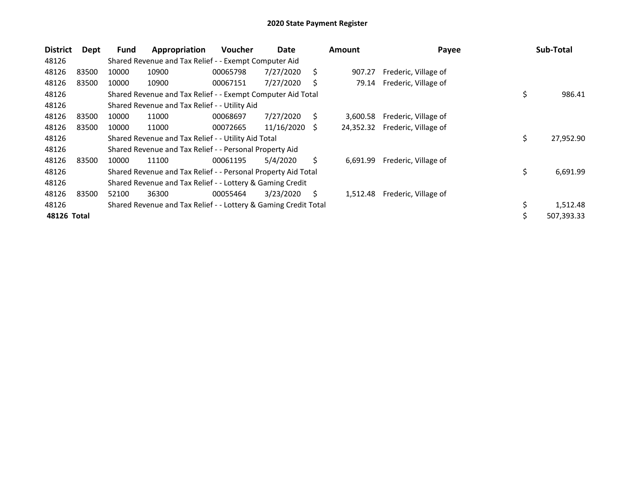| <b>District</b> | Dept  | Fund  | Appropriation                                                   | <b>Voucher</b> | Date       |    | <b>Amount</b> | Payee                |     | Sub-Total  |
|-----------------|-------|-------|-----------------------------------------------------------------|----------------|------------|----|---------------|----------------------|-----|------------|
| 48126           |       |       | Shared Revenue and Tax Relief - - Exempt Computer Aid           |                |            |    |               |                      |     |            |
| 48126           | 83500 | 10000 | 10900                                                           | 00065798       | 7/27/2020  | S  | 907.27        | Frederic, Village of |     |            |
| 48126           | 83500 | 10000 | 10900                                                           | 00067151       | 7/27/2020  | S  | 79.14         | Frederic, Village of |     |            |
| 48126           |       |       | Shared Revenue and Tax Relief - - Exempt Computer Aid Total     |                |            |    |               |                      | \$  | 986.41     |
| 48126           |       |       | Shared Revenue and Tax Relief - - Utility Aid                   |                |            |    |               |                      |     |            |
| 48126           | 83500 | 10000 | 11000                                                           | 00068697       | 7/27/2020  | S  | 3,600.58      | Frederic, Village of |     |            |
| 48126           | 83500 | 10000 | 11000                                                           | 00072665       | 11/16/2020 | S  | 24,352.32     | Frederic, Village of |     |            |
| 48126           |       |       | Shared Revenue and Tax Relief - - Utility Aid Total             |                |            |    |               |                      | \$. | 27,952.90  |
| 48126           |       |       | Shared Revenue and Tax Relief - - Personal Property Aid         |                |            |    |               |                      |     |            |
| 48126           | 83500 | 10000 | 11100                                                           | 00061195       | 5/4/2020   | Ś. | 6,691.99      | Frederic, Village of |     |            |
| 48126           |       |       | Shared Revenue and Tax Relief - - Personal Property Aid Total   |                |            |    |               |                      | \$  | 6,691.99   |
| 48126           |       |       | Shared Revenue and Tax Relief - - Lottery & Gaming Credit       |                |            |    |               |                      |     |            |
| 48126           | 83500 | 52100 | 36300                                                           | 00055464       | 3/23/2020  | S  | 1,512.48      | Frederic, Village of |     |            |
| 48126           |       |       | Shared Revenue and Tax Relief - - Lottery & Gaming Credit Total |                |            |    |               |                      | \$  | 1,512.48   |
| 48126 Total     |       |       |                                                                 |                |            |    |               |                      | \$  | 507,393.33 |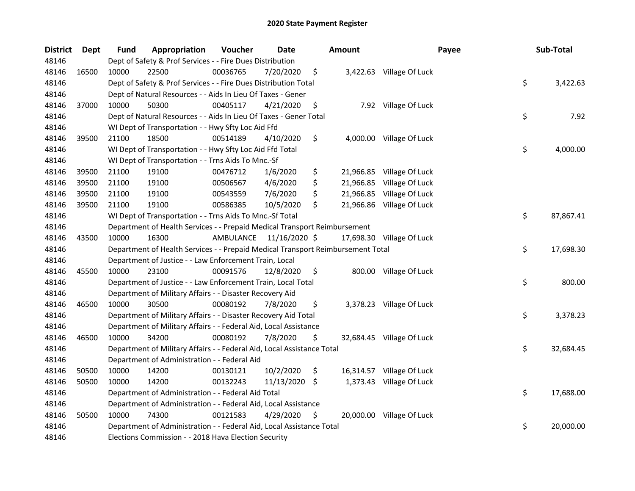| <b>District</b> | <b>Dept</b> | Fund  | Appropriation                                                                   | Voucher   | <b>Date</b>   |     | <b>Amount</b> |                           | Payee | Sub-Total |
|-----------------|-------------|-------|---------------------------------------------------------------------------------|-----------|---------------|-----|---------------|---------------------------|-------|-----------|
| 48146           |             |       | Dept of Safety & Prof Services - - Fire Dues Distribution                       |           |               |     |               |                           |       |           |
| 48146           | 16500       | 10000 | 22500                                                                           | 00036765  | 7/20/2020     | \$  |               | 3,422.63 Village Of Luck  |       |           |
| 48146           |             |       | Dept of Safety & Prof Services - - Fire Dues Distribution Total                 |           |               |     |               |                           | \$    | 3,422.63  |
| 48146           |             |       | Dept of Natural Resources - - Aids In Lieu Of Taxes - Gener                     |           |               |     |               |                           |       |           |
| 48146           | 37000       | 10000 | 50300                                                                           | 00405117  | 4/21/2020     | \$  |               | 7.92 Village Of Luck      |       |           |
| 48146           |             |       | Dept of Natural Resources - - Aids In Lieu Of Taxes - Gener Total               |           |               |     |               |                           | \$    | 7.92      |
| 48146           |             |       | WI Dept of Transportation - - Hwy Sfty Loc Aid Ffd                              |           |               |     |               |                           |       |           |
| 48146           | 39500       | 21100 | 18500                                                                           | 00514189  | 4/10/2020     | \$  |               | 4,000.00 Village Of Luck  |       |           |
| 48146           |             |       | WI Dept of Transportation - - Hwy Sfty Loc Aid Ffd Total                        |           |               |     |               |                           | \$    | 4,000.00  |
| 48146           |             |       | WI Dept of Transportation - - Trns Aids To Mnc.-Sf                              |           |               |     |               |                           |       |           |
| 48146           | 39500       | 21100 | 19100                                                                           | 00476712  | 1/6/2020      | \$  |               | 21,966.85 Village Of Luck |       |           |
| 48146           | 39500       | 21100 | 19100                                                                           | 00506567  | 4/6/2020      | \$  | 21,966.85     | Village Of Luck           |       |           |
| 48146           | 39500       | 21100 | 19100                                                                           | 00543559  | 7/6/2020      | \$  | 21,966.85     | Village Of Luck           |       |           |
| 48146           | 39500       | 21100 | 19100                                                                           | 00586385  | 10/5/2020     | \$  |               | 21,966.86 Village Of Luck |       |           |
| 48146           |             |       | WI Dept of Transportation - - Trns Aids To Mnc.-Sf Total                        |           |               |     |               |                           | \$    | 87,867.41 |
| 48146           |             |       | Department of Health Services - - Prepaid Medical Transport Reimbursement       |           |               |     |               |                           |       |           |
| 48146           | 43500       | 10000 | 16300                                                                           | AMBULANCE | 11/16/2020 \$ |     |               | 17,698.30 Village Of Luck |       |           |
| 48146           |             |       | Department of Health Services - - Prepaid Medical Transport Reimbursement Total |           |               |     |               |                           | \$    | 17,698.30 |
| 48146           |             |       | Department of Justice - - Law Enforcement Train, Local                          |           |               |     |               |                           |       |           |
| 48146           | 45500       | 10000 | 23100                                                                           | 00091576  | 12/8/2020     | \$  |               | 800.00 Village Of Luck    |       |           |
| 48146           |             |       | Department of Justice - - Law Enforcement Train, Local Total                    |           |               |     |               |                           | \$    | 800.00    |
| 48146           |             |       | Department of Military Affairs - - Disaster Recovery Aid                        |           |               |     |               |                           |       |           |
| 48146           | 46500       | 10000 | 30500                                                                           | 00080192  | 7/8/2020      | \$  |               | 3,378.23 Village Of Luck  |       |           |
| 48146           |             |       | Department of Military Affairs - - Disaster Recovery Aid Total                  |           |               |     |               |                           | \$    | 3,378.23  |
| 48146           |             |       | Department of Military Affairs - - Federal Aid, Local Assistance                |           |               |     |               |                           |       |           |
| 48146           | 46500       | 10000 | 34200                                                                           | 00080192  | 7/8/2020      | \$. |               | 32,684.45 Village Of Luck |       |           |
| 48146           |             |       | Department of Military Affairs - - Federal Aid, Local Assistance Total          |           |               |     |               |                           | \$    | 32,684.45 |
| 48146           |             |       | Department of Administration - - Federal Aid                                    |           |               |     |               |                           |       |           |
| 48146           | 50500       | 10000 | 14200                                                                           | 00130121  | 10/2/2020     | \$  |               | 16,314.57 Village Of Luck |       |           |
| 48146           | 50500       | 10000 | 14200                                                                           | 00132243  | 11/13/2020 \$ |     |               | 1,373.43 Village Of Luck  |       |           |
| 48146           |             |       | Department of Administration - - Federal Aid Total                              |           |               |     |               |                           | \$    | 17,688.00 |
| 48146           |             |       | Department of Administration - - Federal Aid, Local Assistance                  |           |               |     |               |                           |       |           |
| 48146           | 50500       | 10000 | 74300                                                                           | 00121583  | 4/29/2020     | \$. |               | 20,000.00 Village Of Luck |       |           |
| 48146           |             |       | Department of Administration - - Federal Aid, Local Assistance Total            |           |               |     |               |                           | \$    | 20,000.00 |
| 48146           |             |       | Elections Commission - - 2018 Hava Election Security                            |           |               |     |               |                           |       |           |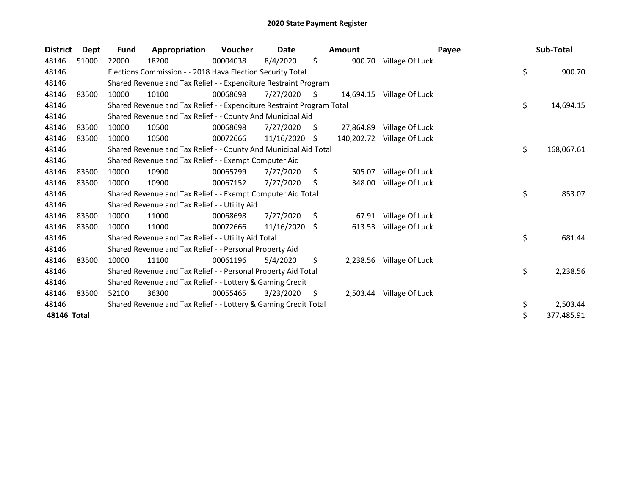| <b>District</b> | Dept  | <b>Fund</b> | Appropriation                                                         | Voucher  | Date       |      | <b>Amount</b> | Payee           | Sub-Total        |
|-----------------|-------|-------------|-----------------------------------------------------------------------|----------|------------|------|---------------|-----------------|------------------|
| 48146           | 51000 | 22000       | 18200                                                                 | 00004038 | 8/4/2020   | \$   | 900.70        | Village Of Luck |                  |
| 48146           |       |             | Elections Commission - - 2018 Hava Election Security Total            |          |            |      |               |                 | \$<br>900.70     |
| 48146           |       |             | Shared Revenue and Tax Relief - - Expenditure Restraint Program       |          |            |      |               |                 |                  |
| 48146           | 83500 | 10000       | 10100                                                                 | 00068698 | 7/27/2020  | S.   | 14,694.15     | Village Of Luck |                  |
| 48146           |       |             | Shared Revenue and Tax Relief - - Expenditure Restraint Program Total |          |            |      |               |                 | \$<br>14,694.15  |
| 48146           |       |             | Shared Revenue and Tax Relief - - County And Municipal Aid            |          |            |      |               |                 |                  |
| 48146           | 83500 | 10000       | 10500                                                                 | 00068698 | 7/27/2020  | S.   | 27,864.89     | Village Of Luck |                  |
| 48146           | 83500 | 10000       | 10500                                                                 | 00072666 | 11/16/2020 | -\$  | 140,202.72    | Village Of Luck |                  |
| 48146           |       |             | Shared Revenue and Tax Relief - - County And Municipal Aid Total      |          |            |      |               |                 | \$<br>168,067.61 |
| 48146           |       |             | Shared Revenue and Tax Relief - - Exempt Computer Aid                 |          |            |      |               |                 |                  |
| 48146           | 83500 | 10000       | 10900                                                                 | 00065799 | 7/27/2020  | \$   | 505.07        | Village Of Luck |                  |
| 48146           | 83500 | 10000       | 10900                                                                 | 00067152 | 7/27/2020  | \$   | 348.00        | Village Of Luck |                  |
| 48146           |       |             | Shared Revenue and Tax Relief - - Exempt Computer Aid Total           |          |            |      |               |                 | \$<br>853.07     |
| 48146           |       |             | Shared Revenue and Tax Relief - - Utility Aid                         |          |            |      |               |                 |                  |
| 48146           | 83500 | 10000       | 11000                                                                 | 00068698 | 7/27/2020  | \$   | 67.91         | Village Of Luck |                  |
| 48146           | 83500 | 10000       | 11000                                                                 | 00072666 | 11/16/2020 | - \$ | 613.53        | Village Of Luck |                  |
| 48146           |       |             | Shared Revenue and Tax Relief - - Utility Aid Total                   |          |            |      |               |                 | \$<br>681.44     |
| 48146           |       |             | Shared Revenue and Tax Relief - - Personal Property Aid               |          |            |      |               |                 |                  |
| 48146           | 83500 | 10000       | 11100                                                                 | 00061196 | 5/4/2020   | \$   | 2,238.56      | Village Of Luck |                  |
| 48146           |       |             | Shared Revenue and Tax Relief - - Personal Property Aid Total         |          |            |      |               |                 | \$<br>2,238.56   |
| 48146           |       |             | Shared Revenue and Tax Relief - - Lottery & Gaming Credit             |          |            |      |               |                 |                  |
| 48146           | 83500 | 52100       | 36300                                                                 | 00055465 | 3/23/2020  | S    | 2,503.44      | Village Of Luck |                  |
| 48146           |       |             | Shared Revenue and Tax Relief - - Lottery & Gaming Credit Total       |          |            |      |               |                 | \$<br>2,503.44   |
| 48146 Total     |       |             |                                                                       |          |            |      |               |                 | \$<br>377,485.91 |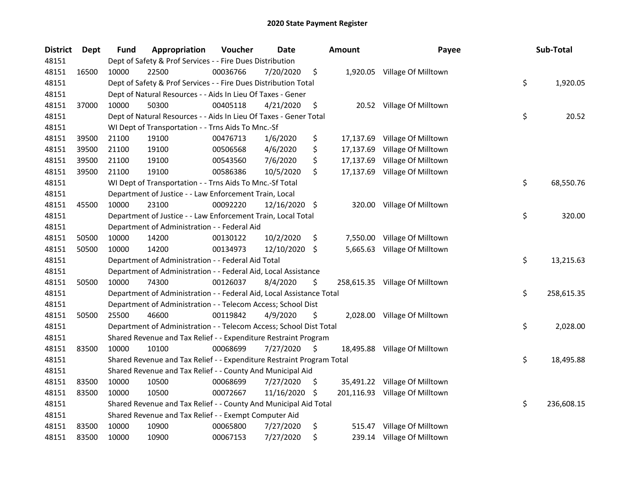| <b>District</b> | <b>Dept</b> | <b>Fund</b> | Appropriation                                                         | Voucher  | Date          |     | Amount   | Payee                          | Sub-Total        |
|-----------------|-------------|-------------|-----------------------------------------------------------------------|----------|---------------|-----|----------|--------------------------------|------------------|
| 48151           |             |             | Dept of Safety & Prof Services - - Fire Dues Distribution             |          |               |     |          |                                |                  |
| 48151           | 16500       | 10000       | 22500                                                                 | 00036766 | 7/20/2020     | \$  |          | 1,920.05 Village Of Milltown   |                  |
| 48151           |             |             | Dept of Safety & Prof Services - - Fire Dues Distribution Total       |          |               |     |          |                                | \$<br>1,920.05   |
| 48151           |             |             | Dept of Natural Resources - - Aids In Lieu Of Taxes - Gener           |          |               |     |          |                                |                  |
| 48151           | 37000       | 10000       | 50300                                                                 | 00405118 | 4/21/2020     | \$  |          | 20.52 Village Of Milltown      |                  |
| 48151           |             |             | Dept of Natural Resources - - Aids In Lieu Of Taxes - Gener Total     |          |               |     |          |                                | \$<br>20.52      |
| 48151           |             |             | WI Dept of Transportation - - Trns Aids To Mnc.-Sf                    |          |               |     |          |                                |                  |
| 48151           | 39500       | 21100       | 19100                                                                 | 00476713 | 1/6/2020      | \$  |          | 17,137.69 Village Of Milltown  |                  |
| 48151           | 39500       | 21100       | 19100                                                                 | 00506568 | 4/6/2020      | \$  |          | 17,137.69 Village Of Milltown  |                  |
| 48151           | 39500       | 21100       | 19100                                                                 | 00543560 | 7/6/2020      | \$  |          | 17,137.69 Village Of Milltown  |                  |
| 48151           | 39500       | 21100       | 19100                                                                 | 00586386 | 10/5/2020     | \$  |          | 17,137.69 Village Of Milltown  |                  |
| 48151           |             |             | WI Dept of Transportation - - Trns Aids To Mnc.-Sf Total              |          |               |     |          |                                | \$<br>68,550.76  |
| 48151           |             |             | Department of Justice - - Law Enforcement Train, Local                |          |               |     |          |                                |                  |
| 48151           | 45500       | 10000       | 23100                                                                 | 00092220 | 12/16/2020 \$ |     |          | 320.00 Village Of Milltown     |                  |
| 48151           |             |             | Department of Justice - - Law Enforcement Train, Local Total          |          |               |     |          |                                | \$<br>320.00     |
| 48151           |             |             | Department of Administration - - Federal Aid                          |          |               |     |          |                                |                  |
| 48151           | 50500       | 10000       | 14200                                                                 | 00130122 | 10/2/2020     | \$  | 7,550.00 | Village Of Milltown            |                  |
| 48151           | 50500       | 10000       | 14200                                                                 | 00134973 | 12/10/2020    | Ŝ.  | 5,665.63 | Village Of Milltown            |                  |
| 48151           |             |             | Department of Administration - - Federal Aid Total                    |          |               |     |          |                                | \$<br>13,215.63  |
| 48151           |             |             | Department of Administration - - Federal Aid, Local Assistance        |          |               |     |          |                                |                  |
| 48151           | 50500       | 10000       | 74300                                                                 | 00126037 | 8/4/2020      | \$  |          | 258,615.35 Village Of Milltown |                  |
| 48151           |             |             | Department of Administration - - Federal Aid, Local Assistance Total  |          |               |     |          |                                | \$<br>258,615.35 |
| 48151           |             |             | Department of Administration - - Telecom Access; School Dist          |          |               |     |          |                                |                  |
| 48151           | 50500       | 25500       | 46600                                                                 | 00119842 | 4/9/2020      | \$  |          | 2,028.00 Village Of Milltown   |                  |
| 48151           |             |             | Department of Administration - - Telecom Access; School Dist Total    |          |               |     |          |                                | \$<br>2,028.00   |
| 48151           |             |             | Shared Revenue and Tax Relief - - Expenditure Restraint Program       |          |               |     |          |                                |                  |
| 48151           | 83500       | 10000       | 10100                                                                 | 00068699 | 7/27/2020     | -S  |          | 18,495.88 Village Of Milltown  |                  |
| 48151           |             |             | Shared Revenue and Tax Relief - - Expenditure Restraint Program Total |          |               |     |          |                                | \$<br>18,495.88  |
| 48151           |             |             | Shared Revenue and Tax Relief - - County And Municipal Aid            |          |               |     |          |                                |                  |
| 48151           | 83500       | 10000       | 10500                                                                 | 00068699 | 7/27/2020     | \$  |          | 35,491.22 Village Of Milltown  |                  |
| 48151           | 83500       | 10000       | 10500                                                                 | 00072667 | 11/16/2020    | -\$ |          | 201,116.93 Village Of Milltown |                  |
| 48151           |             |             | Shared Revenue and Tax Relief - - County And Municipal Aid Total      |          |               |     |          |                                | \$<br>236,608.15 |
| 48151           |             |             | Shared Revenue and Tax Relief - - Exempt Computer Aid                 |          |               |     |          |                                |                  |
| 48151           | 83500       | 10000       | 10900                                                                 | 00065800 | 7/27/2020     | \$  |          | 515.47 Village Of Milltown     |                  |
| 48151           | 83500       | 10000       | 10900                                                                 | 00067153 | 7/27/2020     | \$  |          | 239.14 Village Of Milltown     |                  |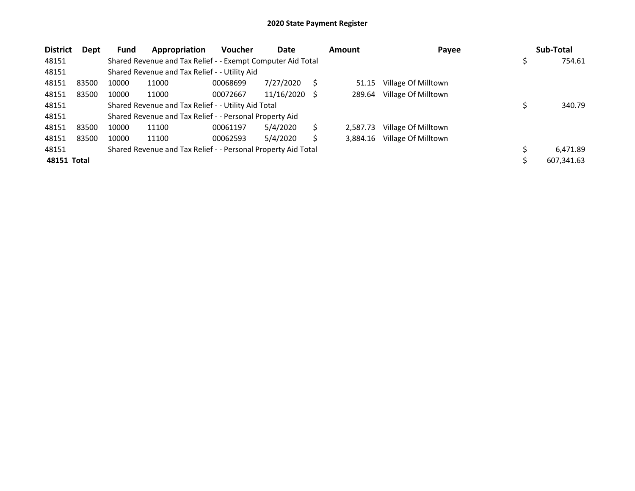| <b>District</b> | Dept  | <b>Fund</b> | Appropriation                                                 | <b>Voucher</b> | Date       |     | <b>Amount</b> | Payee               | Sub-Total  |
|-----------------|-------|-------------|---------------------------------------------------------------|----------------|------------|-----|---------------|---------------------|------------|
| 48151           |       |             | Shared Revenue and Tax Relief - - Exempt Computer Aid Total   |                |            |     |               |                     | 754.61     |
| 48151           |       |             | Shared Revenue and Tax Relief - - Utility Aid                 |                |            |     |               |                     |            |
| 48151           | 83500 | 10000       | 11000                                                         | 00068699       | 7/27/2020  | S   | 51.15         | Village Of Milltown |            |
| 48151           | 83500 | 10000       | 11000                                                         | 00072667       | 11/16/2020 | - S | 289.64        | Village Of Milltown |            |
| 48151           |       |             | Shared Revenue and Tax Relief - - Utility Aid Total           |                |            |     |               |                     | 340.79     |
| 48151           |       |             | Shared Revenue and Tax Relief - - Personal Property Aid       |                |            |     |               |                     |            |
| 48151           | 83500 | 10000       | 11100                                                         | 00061197       | 5/4/2020   |     | 2,587.73      | Village Of Milltown |            |
| 48151           | 83500 | 10000       | 11100                                                         | 00062593       | 5/4/2020   |     | 3.884.16      | Village Of Milltown |            |
| 48151           |       |             | Shared Revenue and Tax Relief - - Personal Property Aid Total |                |            |     |               |                     | 6,471.89   |
| 48151 Total     |       |             |                                                               |                |            |     |               |                     | 607,341.63 |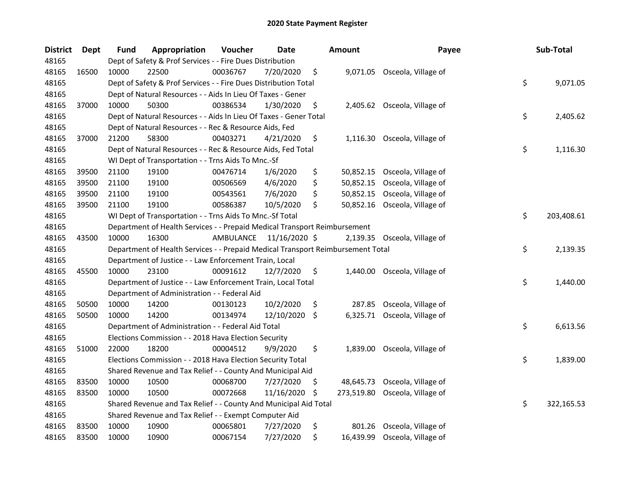| <b>District</b> | Dept  | Fund  | Appropriation                                                                   | Voucher   | <b>Date</b>   | <b>Amount</b>    | Payee                         | Sub-Total        |
|-----------------|-------|-------|---------------------------------------------------------------------------------|-----------|---------------|------------------|-------------------------------|------------------|
| 48165           |       |       | Dept of Safety & Prof Services - - Fire Dues Distribution                       |           |               |                  |                               |                  |
| 48165           | 16500 | 10000 | 22500                                                                           | 00036767  | 7/20/2020     | \$               | 9,071.05 Osceola, Village of  |                  |
| 48165           |       |       | Dept of Safety & Prof Services - - Fire Dues Distribution Total                 |           |               |                  |                               | \$<br>9,071.05   |
| 48165           |       |       | Dept of Natural Resources - - Aids In Lieu Of Taxes - Gener                     |           |               |                  |                               |                  |
| 48165           | 37000 | 10000 | 50300                                                                           | 00386534  | 1/30/2020     | \$               | 2,405.62 Osceola, Village of  |                  |
| 48165           |       |       | Dept of Natural Resources - - Aids In Lieu Of Taxes - Gener Total               |           |               |                  |                               | \$<br>2,405.62   |
| 48165           |       |       | Dept of Natural Resources - - Rec & Resource Aids, Fed                          |           |               |                  |                               |                  |
| 48165           | 37000 | 21200 | 58300                                                                           | 00403271  | 4/21/2020     | \$               | 1,116.30 Osceola, Village of  |                  |
| 48165           |       |       | Dept of Natural Resources - - Rec & Resource Aids, Fed Total                    |           |               |                  |                               | \$<br>1,116.30   |
| 48165           |       |       | WI Dept of Transportation - - Trns Aids To Mnc.-Sf                              |           |               |                  |                               |                  |
| 48165           | 39500 | 21100 | 19100                                                                           | 00476714  | 1/6/2020      | \$               | 50,852.15 Osceola, Village of |                  |
| 48165           | 39500 | 21100 | 19100                                                                           | 00506569  | 4/6/2020      | \$<br>50,852.15  | Osceola, Village of           |                  |
| 48165           | 39500 | 21100 | 19100                                                                           | 00543561  | 7/6/2020      | \$<br>50,852.15  | Osceola, Village of           |                  |
| 48165           | 39500 | 21100 | 19100                                                                           | 00586387  | 10/5/2020     | \$<br>50,852.16  | Osceola, Village of           |                  |
| 48165           |       |       | WI Dept of Transportation - - Trns Aids To Mnc.-Sf Total                        |           |               |                  |                               | \$<br>203,408.61 |
| 48165           |       |       | Department of Health Services - - Prepaid Medical Transport Reimbursement       |           |               |                  |                               |                  |
| 48165           | 43500 | 10000 | 16300                                                                           | AMBULANCE | 11/16/2020 \$ |                  | 2,139.35 Osceola, Village of  |                  |
| 48165           |       |       | Department of Health Services - - Prepaid Medical Transport Reimbursement Total |           |               |                  |                               | \$<br>2,139.35   |
| 48165           |       |       | Department of Justice - - Law Enforcement Train, Local                          |           |               |                  |                               |                  |
| 48165           | 45500 | 10000 | 23100                                                                           | 00091612  | 12/7/2020     | \$               | 1,440.00 Osceola, Village of  |                  |
| 48165           |       |       | Department of Justice - - Law Enforcement Train, Local Total                    |           |               |                  |                               | \$<br>1,440.00   |
| 48165           |       |       | Department of Administration - - Federal Aid                                    |           |               |                  |                               |                  |
| 48165           | 50500 | 10000 | 14200                                                                           | 00130123  | 10/2/2020     | \$<br>287.85     | Osceola, Village of           |                  |
| 48165           | 50500 | 10000 | 14200                                                                           | 00134974  | 12/10/2020    | \$<br>6,325.71   | Osceola, Village of           |                  |
| 48165           |       |       | Department of Administration - - Federal Aid Total                              |           |               |                  |                               | \$<br>6,613.56   |
| 48165           |       |       | Elections Commission - - 2018 Hava Election Security                            |           |               |                  |                               |                  |
| 48165           | 51000 | 22000 | 18200                                                                           | 00004512  | 9/9/2020      | \$               | 1,839.00 Osceola, Village of  |                  |
| 48165           |       |       | Elections Commission - - 2018 Hava Election Security Total                      |           |               |                  |                               | \$<br>1,839.00   |
| 48165           |       |       | Shared Revenue and Tax Relief - - County And Municipal Aid                      |           |               |                  |                               |                  |
| 48165           | 83500 | 10000 | 10500                                                                           | 00068700  | 7/27/2020     | \$<br>48,645.73  | Osceola, Village of           |                  |
| 48165           | 83500 | 10000 | 10500                                                                           | 00072668  | 11/16/2020    | \$<br>273,519.80 | Osceola, Village of           |                  |
| 48165           |       |       | Shared Revenue and Tax Relief - - County And Municipal Aid Total                |           |               |                  |                               | \$<br>322,165.53 |
| 48165           |       |       | Shared Revenue and Tax Relief - - Exempt Computer Aid                           |           |               |                  |                               |                  |
| 48165           | 83500 | 10000 | 10900                                                                           | 00065801  | 7/27/2020     | \$<br>801.26     | Osceola, Village of           |                  |
| 48165           | 83500 | 10000 | 10900                                                                           | 00067154  | 7/27/2020     | \$               | 16,439.99 Osceola, Village of |                  |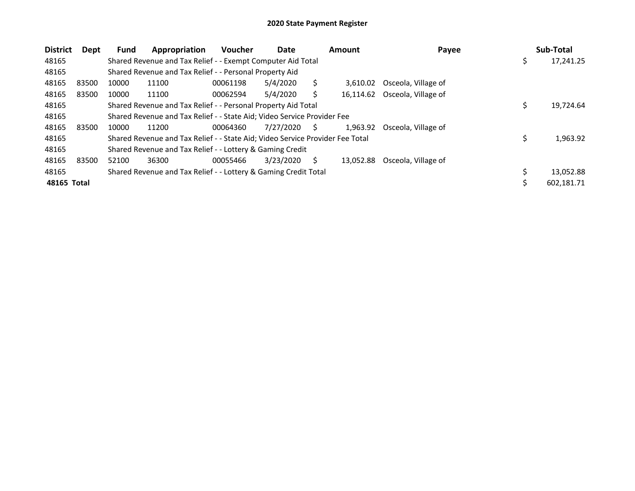| <b>District</b> | Dept  | <b>Fund</b> | Appropriation                                                                 | <b>Voucher</b> | Date      |    | <b>Amount</b> | Payee                         |     | Sub-Total  |
|-----------------|-------|-------------|-------------------------------------------------------------------------------|----------------|-----------|----|---------------|-------------------------------|-----|------------|
| 48165           |       |             | Shared Revenue and Tax Relief - - Exempt Computer Aid Total                   |                |           |    |               |                               | \$. | 17,241.25  |
| 48165           |       |             | Shared Revenue and Tax Relief - - Personal Property Aid                       |                |           |    |               |                               |     |            |
| 48165           | 83500 | 10000       | 11100                                                                         | 00061198       | 5/4/2020  |    | 3.610.02      | Osceola, Village of           |     |            |
| 48165           | 83500 | 10000       | 11100                                                                         | 00062594       | 5/4/2020  |    |               | 16,114.62 Osceola, Village of |     |            |
| 48165           |       |             | Shared Revenue and Tax Relief - - Personal Property Aid Total                 |                |           |    |               |                               | \$  | 19,724.64  |
| 48165           |       |             | Shared Revenue and Tax Relief - - State Aid; Video Service Provider Fee       |                |           |    |               |                               |     |            |
| 48165           | 83500 | 10000       | 11200                                                                         | 00064360       | 7/27/2020 | S. | 1.963.92      | Osceola. Village of           |     |            |
| 48165           |       |             | Shared Revenue and Tax Relief - - State Aid; Video Service Provider Fee Total |                |           |    |               |                               |     | 1,963.92   |
| 48165           |       |             | Shared Revenue and Tax Relief - - Lottery & Gaming Credit                     |                |           |    |               |                               |     |            |
| 48165           | 83500 | 52100       | 36300                                                                         | 00055466       | 3/23/2020 | S  | 13.052.88     | Osceola, Village of           |     |            |
| 48165           |       |             | Shared Revenue and Tax Relief - - Lottery & Gaming Credit Total               |                |           |    |               |                               |     | 13,052.88  |
| 48165 Total     |       |             |                                                                               |                |           |    |               |                               |     | 602.181.71 |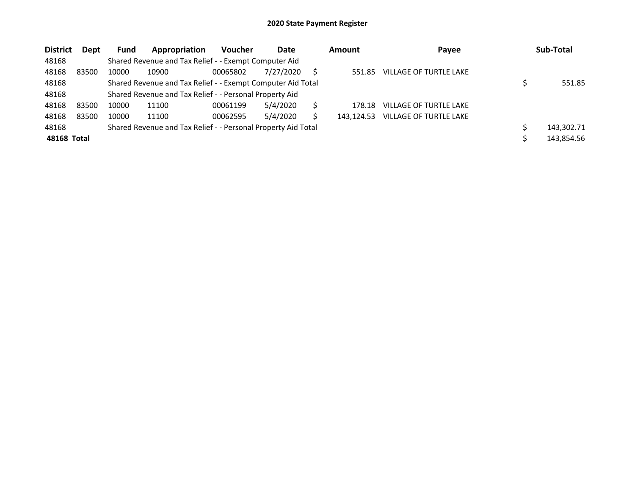| <b>District</b> | <b>Dept</b> | <b>Fund</b> | Appropriation                                                 | <b>Voucher</b> | Date      | <b>Amount</b> | Payee                         | Sub-Total  |
|-----------------|-------------|-------------|---------------------------------------------------------------|----------------|-----------|---------------|-------------------------------|------------|
| 48168           |             |             | Shared Revenue and Tax Relief - - Exempt Computer Aid         |                |           |               |                               |            |
| 48168           | 83500       | 10000       | 10900                                                         | 00065802       | 7/27/2020 | 551.85        | VILLAGE OF TURTLE LAKE        |            |
| 48168           |             |             | Shared Revenue and Tax Relief - - Exempt Computer Aid Total   |                |           |               |                               | 551.85     |
| 48168           |             |             | Shared Revenue and Tax Relief - - Personal Property Aid       |                |           |               |                               |            |
| 48168           | 83500       | 10000       | 11100                                                         | 00061199       | 5/4/2020  | 178.18        | VILLAGE OF TURTLE LAKE        |            |
| 48168           | 83500       | 10000       | 11100                                                         | 00062595       | 5/4/2020  | 143.124.53    | <b>VILLAGE OF TURTLE LAKE</b> |            |
| 48168           |             |             | Shared Revenue and Tax Relief - - Personal Property Aid Total |                |           |               |                               | 143,302.71 |
| 48168 Total     |             |             |                                                               |                |           |               |                               | 143,854.56 |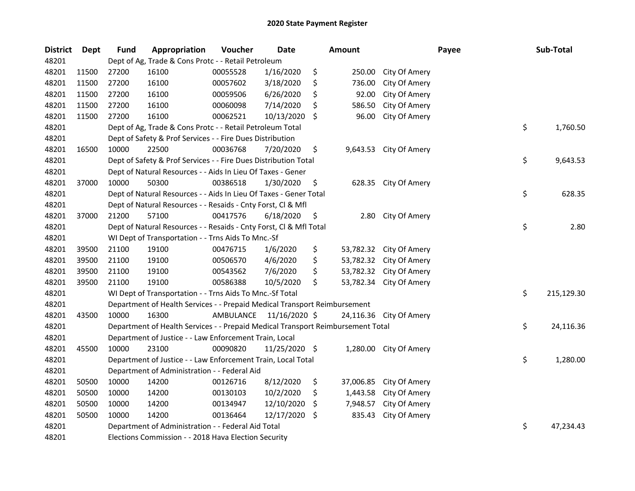| <b>District</b> | Dept  | <b>Fund</b> | Appropriation                                                                   | Voucher   | <b>Date</b>   |     | <b>Amount</b> |                         | Payee | Sub-Total        |
|-----------------|-------|-------------|---------------------------------------------------------------------------------|-----------|---------------|-----|---------------|-------------------------|-------|------------------|
| 48201           |       |             | Dept of Ag, Trade & Cons Protc - - Retail Petroleum                             |           |               |     |               |                         |       |                  |
| 48201           | 11500 | 27200       | 16100                                                                           | 00055528  | 1/16/2020     | \$  | 250.00        | City Of Amery           |       |                  |
| 48201           | 11500 | 27200       | 16100                                                                           | 00057602  | 3/18/2020     | \$  | 736.00        | City Of Amery           |       |                  |
| 48201           | 11500 | 27200       | 16100                                                                           | 00059506  | 6/26/2020     | \$  | 92.00         | City Of Amery           |       |                  |
| 48201           | 11500 | 27200       | 16100                                                                           | 00060098  | 7/14/2020     | S   | 586.50        | City Of Amery           |       |                  |
| 48201           | 11500 | 27200       | 16100                                                                           | 00062521  | 10/13/2020    | S   | 96.00         | City Of Amery           |       |                  |
| 48201           |       |             | Dept of Ag, Trade & Cons Protc - - Retail Petroleum Total                       |           |               |     |               |                         |       | \$<br>1,760.50   |
| 48201           |       |             | Dept of Safety & Prof Services - - Fire Dues Distribution                       |           |               |     |               |                         |       |                  |
| 48201           | 16500 | 10000       | 22500                                                                           | 00036768  | 7/20/2020     | \$  |               | 9,643.53 City Of Amery  |       |                  |
| 48201           |       |             | Dept of Safety & Prof Services - - Fire Dues Distribution Total                 |           |               |     |               |                         |       | \$<br>9,643.53   |
| 48201           |       |             | Dept of Natural Resources - - Aids In Lieu Of Taxes - Gener                     |           |               |     |               |                         |       |                  |
| 48201           | 37000 | 10000       | 50300                                                                           | 00386518  | 1/30/2020     | \$  |               | 628.35 City Of Amery    |       |                  |
| 48201           |       |             | Dept of Natural Resources - - Aids In Lieu Of Taxes - Gener Total               |           |               |     |               |                         |       | \$<br>628.35     |
| 48201           |       |             | Dept of Natural Resources - - Resaids - Cnty Forst, Cl & Mfl                    |           |               |     |               |                         |       |                  |
| 48201           | 37000 | 21200       | 57100                                                                           | 00417576  | 6/18/2020     | \$  | 2.80          | City Of Amery           |       |                  |
| 48201           |       |             | Dept of Natural Resources - - Resaids - Cnty Forst, Cl & Mfl Total              |           |               |     |               |                         |       | \$<br>2.80       |
| 48201           |       |             | WI Dept of Transportation - - Trns Aids To Mnc.-Sf                              |           |               |     |               |                         |       |                  |
| 48201           | 39500 | 21100       | 19100                                                                           | 00476715  | 1/6/2020      | \$  | 53,782.32     | City Of Amery           |       |                  |
| 48201           | 39500 | 21100       | 19100                                                                           | 00506570  | 4/6/2020      | \$  | 53,782.32     | City Of Amery           |       |                  |
| 48201           | 39500 | 21100       | 19100                                                                           | 00543562  | 7/6/2020      | \$  | 53,782.32     | City Of Amery           |       |                  |
| 48201           | 39500 | 21100       | 19100                                                                           | 00586388  | 10/5/2020     | \$  |               | 53,782.34 City Of Amery |       |                  |
| 48201           |       |             | WI Dept of Transportation - - Trns Aids To Mnc.-Sf Total                        |           |               |     |               |                         |       | \$<br>215,129.30 |
| 48201           |       |             | Department of Health Services - - Prepaid Medical Transport Reimbursement       |           |               |     |               |                         |       |                  |
| 48201           | 43500 | 10000       | 16300                                                                           | AMBULANCE | 11/16/2020 \$ |     | 24,116.36     | City Of Amery           |       |                  |
| 48201           |       |             | Department of Health Services - - Prepaid Medical Transport Reimbursement Total |           |               |     |               |                         |       | \$<br>24,116.36  |
| 48201           |       |             | Department of Justice - - Law Enforcement Train, Local                          |           |               |     |               |                         |       |                  |
| 48201           | 45500 | 10000       | 23100                                                                           | 00090820  | 11/25/2020 \$ |     |               | 1,280.00 City Of Amery  |       |                  |
| 48201           |       |             | Department of Justice - - Law Enforcement Train, Local Total                    |           |               |     |               |                         |       | \$<br>1,280.00   |
| 48201           |       |             | Department of Administration - - Federal Aid                                    |           |               |     |               |                         |       |                  |
| 48201           | 50500 | 10000       | 14200                                                                           | 00126716  | 8/12/2020     | \$  | 37,006.85     | City Of Amery           |       |                  |
| 48201           | 50500 | 10000       | 14200                                                                           | 00130103  | 10/2/2020     | \$. | 1,443.58      | City Of Amery           |       |                  |
| 48201           | 50500 | 10000       | 14200                                                                           | 00134947  | 12/10/2020    | -\$ | 7,948.57      | City Of Amery           |       |                  |
| 48201           | 50500 | 10000       | 14200                                                                           | 00136464  | 12/17/2020    | \$  | 835.43        | City Of Amery           |       |                  |
| 48201           |       |             | Department of Administration - - Federal Aid Total                              |           |               |     |               |                         |       | \$<br>47,234.43  |
| 48201           |       |             | Elections Commission - - 2018 Hava Election Security                            |           |               |     |               |                         |       |                  |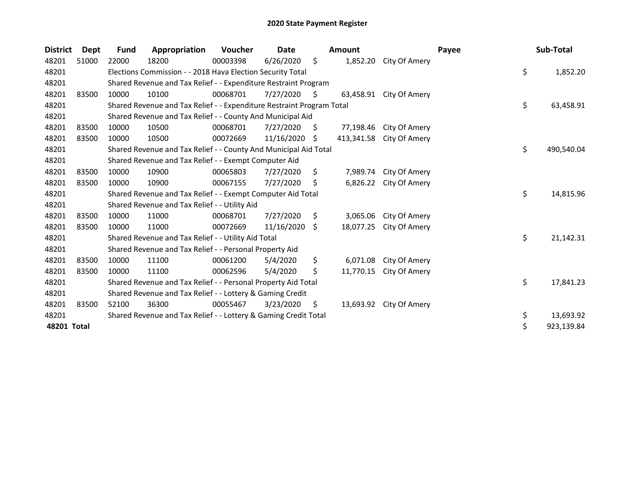| <b>District</b> | Dept  | <b>Fund</b> | Appropriation                                                         | Voucher  | Date       |     | <b>Amount</b> |                         | Payee | Sub-Total        |
|-----------------|-------|-------------|-----------------------------------------------------------------------|----------|------------|-----|---------------|-------------------------|-------|------------------|
| 48201           | 51000 | 22000       | 18200                                                                 | 00003398 | 6/26/2020  | \$  | 1,852.20      | City Of Amery           |       |                  |
| 48201           |       |             | Elections Commission - - 2018 Hava Election Security Total            |          |            |     |               |                         |       | \$<br>1,852.20   |
| 48201           |       |             | Shared Revenue and Tax Relief - - Expenditure Restraint Program       |          |            |     |               |                         |       |                  |
| 48201           | 83500 | 10000       | 10100                                                                 | 00068701 | 7/27/2020  | S.  | 63,458.91     | City Of Amery           |       |                  |
| 48201           |       |             | Shared Revenue and Tax Relief - - Expenditure Restraint Program Total |          |            |     |               |                         |       | \$<br>63,458.91  |
| 48201           |       |             | Shared Revenue and Tax Relief - - County And Municipal Aid            |          |            |     |               |                         |       |                  |
| 48201           | 83500 | 10000       | 10500                                                                 | 00068701 | 7/27/2020  | S.  | 77,198.46     | City Of Amery           |       |                  |
| 48201           | 83500 | 10000       | 10500                                                                 | 00072669 | 11/16/2020 | \$. | 413,341.58    | City Of Amery           |       |                  |
| 48201           |       |             | Shared Revenue and Tax Relief - - County And Municipal Aid Total      |          |            |     |               |                         |       | \$<br>490,540.04 |
| 48201           |       |             | Shared Revenue and Tax Relief - - Exempt Computer Aid                 |          |            |     |               |                         |       |                  |
| 48201           | 83500 | 10000       | 10900                                                                 | 00065803 | 7/27/2020  | \$  | 7,989.74      | City Of Amery           |       |                  |
| 48201           | 83500 | 10000       | 10900                                                                 | 00067155 | 7/27/2020  | \$  | 6,826.22      | City Of Amery           |       |                  |
| 48201           |       |             | Shared Revenue and Tax Relief - - Exempt Computer Aid Total           |          |            |     |               |                         |       | \$<br>14,815.96  |
| 48201           |       |             | Shared Revenue and Tax Relief - - Utility Aid                         |          |            |     |               |                         |       |                  |
| 48201           | 83500 | 10000       | 11000                                                                 | 00068701 | 7/27/2020  | S   | 3,065.06      | City Of Amery           |       |                  |
| 48201           | 83500 | 10000       | 11000                                                                 | 00072669 | 11/16/2020 | S.  | 18,077.25     | City Of Amery           |       |                  |
| 48201           |       |             | Shared Revenue and Tax Relief - - Utility Aid Total                   |          |            |     |               |                         |       | \$<br>21,142.31  |
| 48201           |       |             | Shared Revenue and Tax Relief - - Personal Property Aid               |          |            |     |               |                         |       |                  |
| 48201           | 83500 | 10000       | 11100                                                                 | 00061200 | 5/4/2020   | S.  | 6,071.08      | City Of Amery           |       |                  |
| 48201           | 83500 | 10000       | 11100                                                                 | 00062596 | 5/4/2020   | \$  | 11,770.15     | City Of Amery           |       |                  |
| 48201           |       |             | Shared Revenue and Tax Relief - - Personal Property Aid Total         |          |            |     |               |                         |       | \$<br>17,841.23  |
| 48201           |       |             | Shared Revenue and Tax Relief - - Lottery & Gaming Credit             |          |            |     |               |                         |       |                  |
| 48201           | 83500 | 52100       | 36300                                                                 | 00055467 | 3/23/2020  | \$  |               | 13,693.92 City Of Amery |       |                  |
| 48201           |       |             | Shared Revenue and Tax Relief - - Lottery & Gaming Credit Total       |          |            |     |               |                         |       | \$<br>13,693.92  |
| 48201 Total     |       |             |                                                                       |          |            |     |               |                         |       | \$<br>923,139.84 |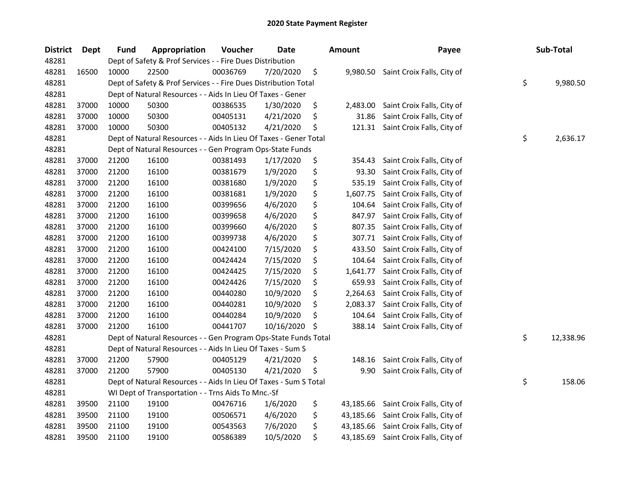| <b>District</b> | Dept  | Fund  | Appropriation                                                     | Voucher  | <b>Date</b> | <b>Amount</b>  | Payee                                | Sub-Total       |
|-----------------|-------|-------|-------------------------------------------------------------------|----------|-------------|----------------|--------------------------------------|-----------------|
| 48281           |       |       | Dept of Safety & Prof Services - - Fire Dues Distribution         |          |             |                |                                      |                 |
| 48281           | 16500 | 10000 | 22500                                                             | 00036769 | 7/20/2020   | \$<br>9,980.50 | Saint Croix Falls, City of           |                 |
| 48281           |       |       | Dept of Safety & Prof Services - - Fire Dues Distribution Total   |          |             |                |                                      | \$<br>9,980.50  |
| 48281           |       |       | Dept of Natural Resources - - Aids In Lieu Of Taxes - Gener       |          |             |                |                                      |                 |
| 48281           | 37000 | 10000 | 50300                                                             | 00386535 | 1/30/2020   | \$<br>2,483.00 | Saint Croix Falls, City of           |                 |
| 48281           | 37000 | 10000 | 50300                                                             | 00405131 | 4/21/2020   | \$<br>31.86    | Saint Croix Falls, City of           |                 |
| 48281           | 37000 | 10000 | 50300                                                             | 00405132 | 4/21/2020   | \$             | 121.31 Saint Croix Falls, City of    |                 |
| 48281           |       |       | Dept of Natural Resources - - Aids In Lieu Of Taxes - Gener Total |          |             |                |                                      | \$<br>2,636.17  |
| 48281           |       |       | Dept of Natural Resources - - Gen Program Ops-State Funds         |          |             |                |                                      |                 |
| 48281           | 37000 | 21200 | 16100                                                             | 00381493 | 1/17/2020   | \$<br>354.43   | Saint Croix Falls, City of           |                 |
| 48281           | 37000 | 21200 | 16100                                                             | 00381679 | 1/9/2020    | \$<br>93.30    | Saint Croix Falls, City of           |                 |
| 48281           | 37000 | 21200 | 16100                                                             | 00381680 | 1/9/2020    | \$<br>535.19   | Saint Croix Falls, City of           |                 |
| 48281           | 37000 | 21200 | 16100                                                             | 00381681 | 1/9/2020    | \$<br>1,607.75 | Saint Croix Falls, City of           |                 |
| 48281           | 37000 | 21200 | 16100                                                             | 00399656 | 4/6/2020    | \$<br>104.64   | Saint Croix Falls, City of           |                 |
| 48281           | 37000 | 21200 | 16100                                                             | 00399658 | 4/6/2020    | \$<br>847.97   | Saint Croix Falls, City of           |                 |
| 48281           | 37000 | 21200 | 16100                                                             | 00399660 | 4/6/2020    | \$<br>807.35   | Saint Croix Falls, City of           |                 |
| 48281           | 37000 | 21200 | 16100                                                             | 00399738 | 4/6/2020    | \$<br>307.71   | Saint Croix Falls, City of           |                 |
| 48281           | 37000 | 21200 | 16100                                                             | 00424100 | 7/15/2020   | \$<br>433.50   | Saint Croix Falls, City of           |                 |
| 48281           | 37000 | 21200 | 16100                                                             | 00424424 | 7/15/2020   | \$<br>104.64   | Saint Croix Falls, City of           |                 |
| 48281           | 37000 | 21200 | 16100                                                             | 00424425 | 7/15/2020   | \$<br>1,641.77 | Saint Croix Falls, City of           |                 |
| 48281           | 37000 | 21200 | 16100                                                             | 00424426 | 7/15/2020   | \$<br>659.93   | Saint Croix Falls, City of           |                 |
| 48281           | 37000 | 21200 | 16100                                                             | 00440280 | 10/9/2020   | \$<br>2,264.63 | Saint Croix Falls, City of           |                 |
| 48281           | 37000 | 21200 | 16100                                                             | 00440281 | 10/9/2020   | \$<br>2,083.37 | Saint Croix Falls, City of           |                 |
| 48281           | 37000 | 21200 | 16100                                                             | 00440284 | 10/9/2020   | \$<br>104.64   | Saint Croix Falls, City of           |                 |
| 48281           | 37000 | 21200 | 16100                                                             | 00441707 | 10/16/2020  | \$             | 388.14 Saint Croix Falls, City of    |                 |
| 48281           |       |       | Dept of Natural Resources - - Gen Program Ops-State Funds Total   |          |             |                |                                      | \$<br>12,338.96 |
| 48281           |       |       | Dept of Natural Resources - - Aids In Lieu Of Taxes - Sum S       |          |             |                |                                      |                 |
| 48281           | 37000 | 21200 | 57900                                                             | 00405129 | 4/21/2020   | \$<br>148.16   | Saint Croix Falls, City of           |                 |
| 48281           | 37000 | 21200 | 57900                                                             | 00405130 | 4/21/2020   | \$<br>9.90     | Saint Croix Falls, City of           |                 |
| 48281           |       |       | Dept of Natural Resources - - Aids In Lieu Of Taxes - Sum S Total |          |             |                |                                      | \$<br>158.06    |
| 48281           |       |       | WI Dept of Transportation - - Trns Aids To Mnc.-Sf                |          |             |                |                                      |                 |
| 48281           | 39500 | 21100 | 19100                                                             | 00476716 | 1/6/2020    | \$             | 43,185.66 Saint Croix Falls, City of |                 |
| 48281           | 39500 | 21100 | 19100                                                             | 00506571 | 4/6/2020    | \$             | 43,185.66 Saint Croix Falls, City of |                 |
| 48281           | 39500 | 21100 | 19100                                                             | 00543563 | 7/6/2020    | \$             | 43,185.66 Saint Croix Falls, City of |                 |
| 48281           | 39500 | 21100 | 19100                                                             | 00586389 | 10/5/2020   | \$             | 43,185.69 Saint Croix Falls, City of |                 |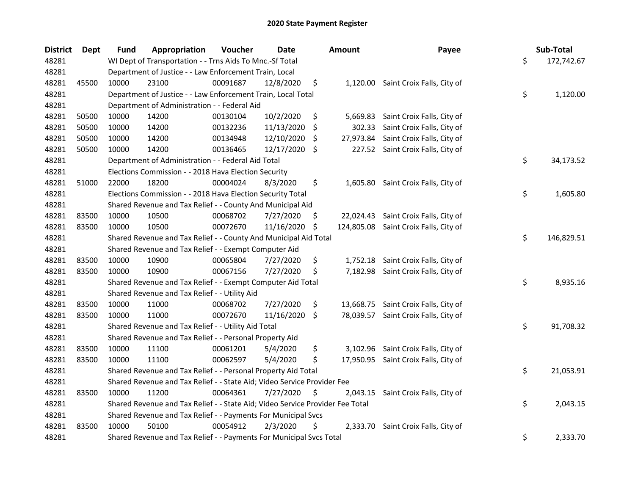| <b>District</b> | <b>Dept</b> | <b>Fund</b> | Appropriation                                                                 | Voucher  | <b>Date</b> |     | Amount    | Payee                                 | Sub-Total        |
|-----------------|-------------|-------------|-------------------------------------------------------------------------------|----------|-------------|-----|-----------|---------------------------------------|------------------|
| 48281           |             |             | WI Dept of Transportation - - Trns Aids To Mnc.-Sf Total                      |          |             |     |           |                                       | \$<br>172,742.67 |
| 48281           |             |             | Department of Justice - - Law Enforcement Train, Local                        |          |             |     |           |                                       |                  |
| 48281           | 45500       | 10000       | 23100                                                                         | 00091687 | 12/8/2020   | \$  |           | 1,120.00 Saint Croix Falls, City of   |                  |
| 48281           |             |             | Department of Justice - - Law Enforcement Train, Local Total                  |          |             |     |           |                                       | \$<br>1,120.00   |
| 48281           |             |             | Department of Administration - - Federal Aid                                  |          |             |     |           |                                       |                  |
| 48281           | 50500       | 10000       | 14200                                                                         | 00130104 | 10/2/2020   | \$  | 5,669.83  | Saint Croix Falls, City of            |                  |
| 48281           | 50500       | 10000       | 14200                                                                         | 00132236 | 11/13/2020  | \$  | 302.33    | Saint Croix Falls, City of            |                  |
| 48281           | 50500       | 10000       | 14200                                                                         | 00134948 | 12/10/2020  | \$  | 27,973.84 | Saint Croix Falls, City of            |                  |
| 48281           | 50500       | 10000       | 14200                                                                         | 00136465 | 12/17/2020  | -\$ |           | 227.52 Saint Croix Falls, City of     |                  |
| 48281           |             |             | Department of Administration - - Federal Aid Total                            |          |             |     |           |                                       | \$<br>34,173.52  |
| 48281           |             |             | Elections Commission - - 2018 Hava Election Security                          |          |             |     |           |                                       |                  |
| 48281           | 51000       | 22000       | 18200                                                                         | 00004024 | 8/3/2020    | \$  |           | 1,605.80 Saint Croix Falls, City of   |                  |
| 48281           |             |             | Elections Commission - - 2018 Hava Election Security Total                    |          |             |     |           |                                       | \$<br>1,605.80   |
| 48281           |             |             | Shared Revenue and Tax Relief - - County And Municipal Aid                    |          |             |     |           |                                       |                  |
| 48281           | 83500       | 10000       | 10500                                                                         | 00068702 | 7/27/2020   | S.  | 22,024.43 | Saint Croix Falls, City of            |                  |
| 48281           | 83500       | 10000       | 10500                                                                         | 00072670 | 11/16/2020  | \$  |           | 124,805.08 Saint Croix Falls, City of |                  |
| 48281           |             |             | Shared Revenue and Tax Relief - - County And Municipal Aid Total              |          |             |     |           |                                       | \$<br>146,829.51 |
| 48281           |             |             | Shared Revenue and Tax Relief - - Exempt Computer Aid                         |          |             |     |           |                                       |                  |
| 48281           | 83500       | 10000       | 10900                                                                         | 00065804 | 7/27/2020   | \$  | 1,752.18  | Saint Croix Falls, City of            |                  |
| 48281           | 83500       | 10000       | 10900                                                                         | 00067156 | 7/27/2020   | \$  |           | 7,182.98 Saint Croix Falls, City of   |                  |
| 48281           |             |             | Shared Revenue and Tax Relief - - Exempt Computer Aid Total                   |          |             |     |           |                                       | \$<br>8,935.16   |
| 48281           |             |             | Shared Revenue and Tax Relief - - Utility Aid                                 |          |             |     |           |                                       |                  |
| 48281           | 83500       | 10000       | 11000                                                                         | 00068702 | 7/27/2020   | \$  |           | 13,668.75 Saint Croix Falls, City of  |                  |
| 48281           | 83500       | 10000       | 11000                                                                         | 00072670 | 11/16/2020  | \$  |           | 78,039.57 Saint Croix Falls, City of  |                  |
| 48281           |             |             | Shared Revenue and Tax Relief - - Utility Aid Total                           |          |             |     |           |                                       | \$<br>91,708.32  |
| 48281           |             |             | Shared Revenue and Tax Relief - - Personal Property Aid                       |          |             |     |           |                                       |                  |
| 48281           | 83500       | 10000       | 11100                                                                         | 00061201 | 5/4/2020    | \$  | 3,102.96  | Saint Croix Falls, City of            |                  |
| 48281           | 83500       | 10000       | 11100                                                                         | 00062597 | 5/4/2020    | \$  |           | 17,950.95 Saint Croix Falls, City of  |                  |
| 48281           |             |             | Shared Revenue and Tax Relief - - Personal Property Aid Total                 |          |             |     |           |                                       | \$<br>21,053.91  |
| 48281           |             |             | Shared Revenue and Tax Relief - - State Aid; Video Service Provider Fee       |          |             |     |           |                                       |                  |
| 48281           | 83500       | 10000       | 11200                                                                         | 00064361 | 7/27/2020   | \$  | 2,043.15  | Saint Croix Falls, City of            |                  |
| 48281           |             |             | Shared Revenue and Tax Relief - - State Aid; Video Service Provider Fee Total |          |             |     |           |                                       | \$<br>2,043.15   |
| 48281           |             |             | Shared Revenue and Tax Relief - - Payments For Municipal Svcs                 |          |             |     |           |                                       |                  |
| 48281           | 83500       | 10000       | 50100                                                                         | 00054912 | 2/3/2020    | \$  | 2,333.70  | Saint Croix Falls, City of            |                  |
| 48281           |             |             | Shared Revenue and Tax Relief - - Payments For Municipal Svcs Total           |          |             |     |           |                                       | \$<br>2,333.70   |